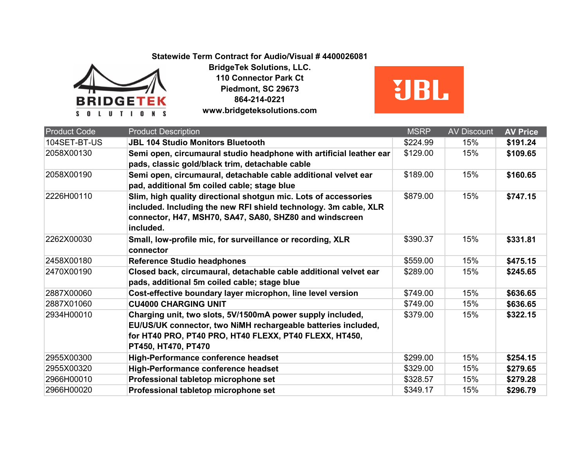## **Statewide Term Contract for Audio/Visual # 4400026081**



**BridgeTek Solutions, LLC. 110 Connector Park Ct Piedmont, SC 29673 864-214-0221 www.bridgeteksolutions.com**



| <b>Product Code</b> | <b>Product Description</b>                                                                                                                                                                                   | <b>MSRP</b> | <b>AV Discount</b> | <b>AV Price</b> |
|---------------------|--------------------------------------------------------------------------------------------------------------------------------------------------------------------------------------------------------------|-------------|--------------------|-----------------|
| 104SET-BT-US        | <b>JBL 104 Studio Monitors Bluetooth</b>                                                                                                                                                                     | \$224.99    | 15%                | \$191.24        |
| 2058X00130          | Semi open, circumaural studio headphone with artificial leather ear<br>pads, classic gold/black trim, detachable cable                                                                                       | \$129.00    | 15%                | \$109.65        |
| 2058X00190          | Semi open, circumaural, detachable cable additional velvet ear<br>pad, additional 5m coiled cable; stage blue                                                                                                | \$189.00    | 15%                | \$160.65        |
| 2226H00110          | Slim, high quality directional shotgun mic. Lots of accessories<br>included. Including the new RFI shield technology. 3m cable, XLR<br>connector, H47, MSH70, SA47, SA80, SHZ80 and windscreen<br>included.  | \$879.00    | 15%                | \$747.15        |
| 2262X00030          | Small, low-profile mic, for surveillance or recording, XLR<br>connector                                                                                                                                      | \$390.37    | 15%                | \$331.81        |
| 2458X00180          | <b>Reference Studio headphones</b>                                                                                                                                                                           | \$559.00    | 15%                | \$475.15        |
| 2470X00190          | Closed back, circumaural, detachable cable additional velvet ear<br>pads, additional 5m coiled cable; stage blue                                                                                             | \$289.00    | 15%                | \$245.65        |
| 2887X00060          | Cost-effective boundary layer microphon, line level version                                                                                                                                                  | \$749.00    | 15%                | \$636.65        |
| 2887X01060          | <b>CU4000 CHARGING UNIT</b>                                                                                                                                                                                  | \$749.00    | 15%                | \$636.65        |
| 2934H00010          | Charging unit, two slots, 5V/1500mA power supply included,<br>EU/US/UK connector, two NiMH rechargeable batteries included,<br>for HT40 PRO, PT40 PRO, HT40 FLEXX, PT40 FLEXX, HT450,<br>PT450, HT470, PT470 | \$379.00    | 15%                | \$322.15        |
| 2955X00300          | <b>High-Performance conference headset</b>                                                                                                                                                                   | \$299.00    | 15%                | \$254.15        |
| 2955X00320          | High-Performance conference headset                                                                                                                                                                          | \$329.00    | 15%                | \$279.65        |
| 2966H00010          | Professional tabletop microphone set                                                                                                                                                                         | \$328.57    | 15%                | \$279.28        |
| 2966H00020          | Professional tabletop microphone set                                                                                                                                                                         | \$349.17    | 15%                | \$296.79        |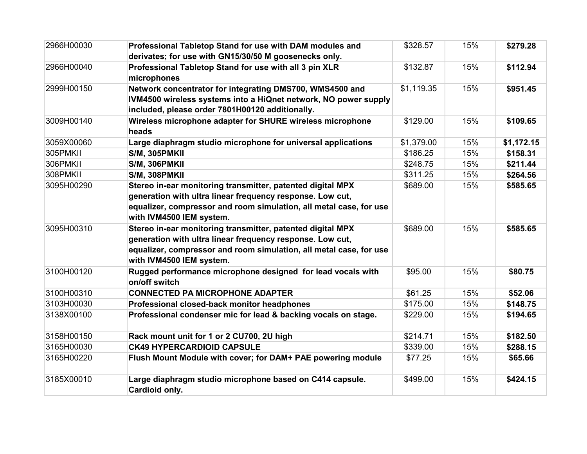| 2966H00030 | Professional Tabletop Stand for use with DAM modules and                                                                                                                                                                  | \$328.57   | 15% | \$279.28   |
|------------|---------------------------------------------------------------------------------------------------------------------------------------------------------------------------------------------------------------------------|------------|-----|------------|
|            | derivates; for use with GN15/30/50 M goosenecks only.                                                                                                                                                                     |            |     |            |
| 2966H00040 | Professional Tabletop Stand for use with all 3 pin XLR<br>microphones                                                                                                                                                     | \$132.87   | 15% | \$112.94   |
| 2999H00150 | Network concentrator for integrating DMS700, WMS4500 and<br>IVM4500 wireless systems into a HiQnet network, NO power supply<br>included, please order 7801H00120 additionally.                                            | \$1,119.35 | 15% | \$951.45   |
| 3009H00140 | Wireless microphone adapter for SHURE wireless microphone<br>heads                                                                                                                                                        | \$129.00   | 15% | \$109.65   |
| 3059X00060 | Large diaphragm studio microphone for universal applications                                                                                                                                                              | \$1,379.00 | 15% | \$1,172.15 |
| 305PMKII   | S/M, 305PMKII                                                                                                                                                                                                             | \$186.25   | 15% | \$158.31   |
| 306PMKII   | S/M, 306PMKII                                                                                                                                                                                                             | \$248.75   | 15% | \$211.44   |
| 308PMKII   | S/M, 308PMKII                                                                                                                                                                                                             | \$311.25   | 15% | \$264.56   |
| 3095H00290 | Stereo in-ear monitoring transmitter, patented digital MPX<br>generation with ultra linear frequency response. Low cut,<br>equalizer, compressor and room simulation, all metal case, for use<br>with IVM4500 IEM system. | \$689.00   | 15% | \$585.65   |
| 3095H00310 | Stereo in-ear monitoring transmitter, patented digital MPX<br>generation with ultra linear frequency response. Low cut,<br>equalizer, compressor and room simulation, all metal case, for use<br>with IVM4500 IEM system. | \$689.00   | 15% | \$585.65   |
| 3100H00120 | Rugged performance microphone designed for lead vocals with<br>on/off switch                                                                                                                                              | \$95.00    | 15% | \$80.75    |
| 3100H00310 | <b>CONNECTED PA MICROPHONE ADAPTER</b>                                                                                                                                                                                    | \$61.25    | 15% | \$52.06    |
| 3103H00030 | Professional closed-back monitor headphones                                                                                                                                                                               | \$175.00   | 15% | \$148.75   |
| 3138X00100 | Professional condenser mic for lead & backing vocals on stage.                                                                                                                                                            | \$229.00   | 15% | \$194.65   |
| 3158H00150 | Rack mount unit for 1 or 2 CU700, 2U high                                                                                                                                                                                 | \$214.71   | 15% | \$182.50   |
| 3165H00030 | <b>CK49 HYPERCARDIOID CAPSULE</b>                                                                                                                                                                                         | \$339.00   | 15% | \$288.15   |
| 3165H00220 | Flush Mount Module with cover; for DAM+ PAE powering module                                                                                                                                                               | \$77.25    | 15% | \$65.66    |
| 3185X00010 | Large diaphragm studio microphone based on C414 capsule.<br>Cardioid only.                                                                                                                                                | \$499.00   | 15% | \$424.15   |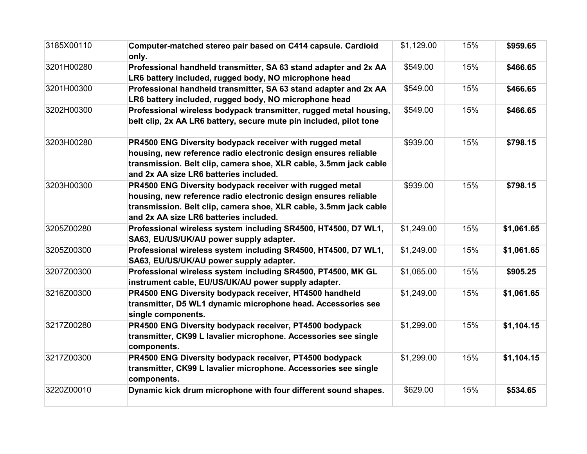| 3185X00110 | Computer-matched stereo pair based on C414 capsule. Cardioid<br>only.                                                                                                                                                                      | \$1,129.00 | 15% | \$959.65   |
|------------|--------------------------------------------------------------------------------------------------------------------------------------------------------------------------------------------------------------------------------------------|------------|-----|------------|
| 3201H00280 | Professional handheld transmitter, SA 63 stand adapter and 2x AA<br>LR6 battery included, rugged body, NO microphone head                                                                                                                  | \$549.00   | 15% | \$466.65   |
| 3201H00300 | Professional handheld transmitter, SA 63 stand adapter and 2x AA<br>LR6 battery included, rugged body, NO microphone head                                                                                                                  | \$549.00   | 15% | \$466.65   |
| 3202H00300 | Professional wireless bodypack transmitter, rugged metal housing,<br>belt clip, 2x AA LR6 battery, secure mute pin included, pilot tone                                                                                                    | \$549.00   | 15% | \$466.65   |
| 3203H00280 | PR4500 ENG Diversity bodypack receiver with rugged metal<br>housing, new reference radio electronic design ensures reliable<br>transmission. Belt clip, camera shoe, XLR cable, 3.5mm jack cable<br>and 2x AA size LR6 batteries included. | \$939.00   | 15% | \$798.15   |
| 3203H00300 | PR4500 ENG Diversity bodypack receiver with rugged metal<br>housing, new reference radio electronic design ensures reliable<br>transmission. Belt clip, camera shoe, XLR cable, 3.5mm jack cable<br>and 2x AA size LR6 batteries included. | \$939.00   | 15% | \$798.15   |
| 3205Z00280 | Professional wireless system including SR4500, HT4500, D7 WL1,<br>SA63, EU/US/UK/AU power supply adapter.                                                                                                                                  | \$1,249.00 | 15% | \$1,061.65 |
| 3205Z00300 | Professional wireless system including SR4500, HT4500, D7 WL1,<br>SA63, EU/US/UK/AU power supply adapter.                                                                                                                                  | \$1,249.00 | 15% | \$1,061.65 |
| 3207Z00300 | Professional wireless system including SR4500, PT4500, MK GL<br>instrument cable, EU/US/UK/AU power supply adapter.                                                                                                                        | \$1,065.00 | 15% | \$905.25   |
| 3216Z00300 | PR4500 ENG Diversity bodypack receiver, HT4500 handheld<br>transmitter, D5 WL1 dynamic microphone head. Accessories see<br>single components.                                                                                              | \$1,249.00 | 15% | \$1,061.65 |
| 3217Z00280 | PR4500 ENG Diversity bodypack receiver, PT4500 bodypack<br>transmitter, CK99 L lavalier microphone. Accessories see single<br>components.                                                                                                  | \$1,299.00 | 15% | \$1,104.15 |
| 3217Z00300 | PR4500 ENG Diversity bodypack receiver, PT4500 bodypack<br>transmitter, CK99 L lavalier microphone. Accessories see single<br>components.                                                                                                  | \$1,299.00 | 15% | \$1,104.15 |
| 3220Z00010 | Dynamic kick drum microphone with four different sound shapes.                                                                                                                                                                             | \$629.00   | 15% | \$534.65   |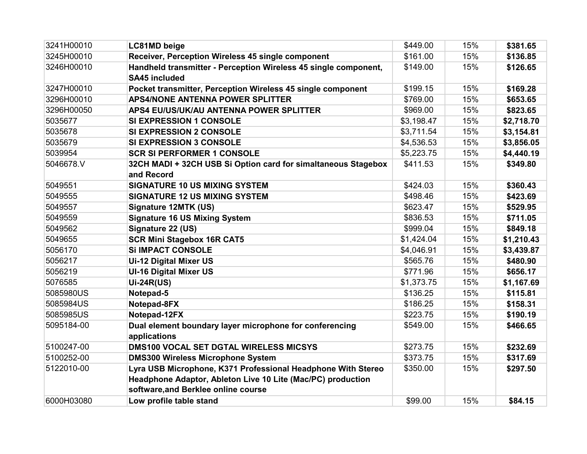| 3241H00010 | <b>LC81MD</b> beige                                                                                                                                                | \$449.00   | 15% | \$381.65   |
|------------|--------------------------------------------------------------------------------------------------------------------------------------------------------------------|------------|-----|------------|
| 3245H00010 | Receiver, Perception Wireless 45 single component                                                                                                                  | \$161.00   | 15% | \$136.85   |
| 3246H00010 | Handheld transmitter - Perception Wireless 45 single component,<br><b>SA45 included</b>                                                                            | \$149.00   | 15% | \$126.65   |
| 3247H00010 | Pocket transmitter, Perception Wireless 45 single component                                                                                                        | \$199.15   | 15% | \$169.28   |
| 3296H00010 | <b>APS4/NONE ANTENNA POWER SPLITTER</b>                                                                                                                            | \$769.00   | 15% | \$653.65   |
| 3296H00050 | APS4 EU/US/UK/AU ANTENNA POWER SPLITTER                                                                                                                            | \$969.00   | 15% | \$823.65   |
| 5035677    | SI EXPRESSION 1 CONSOLE                                                                                                                                            | \$3,198.47 | 15% | \$2,718.70 |
| 5035678    | <b>SI EXPRESSION 2 CONSOLE</b>                                                                                                                                     | \$3,711.54 | 15% | \$3,154.81 |
| 5035679    | <b>SI EXPRESSION 3 CONSOLE</b>                                                                                                                                     | \$4,536.53 | 15% | \$3,856.05 |
| 5039954    | <b>SCR SI PERFORMER 1 CONSOLE</b>                                                                                                                                  | \$5,223.75 | 15% | \$4,440.19 |
| 5046678.V  | 32CH MADI + 32CH USB Si Option card for simaltaneous Stagebox<br>and Record                                                                                        | \$411.53   | 15% | \$349.80   |
| 5049551    | <b>SIGNATURE 10 US MIXING SYSTEM</b>                                                                                                                               | \$424.03   | 15% | \$360.43   |
| 5049555    | <b>SIGNATURE 12 US MIXING SYSTEM</b>                                                                                                                               | \$498.46   | 15% | \$423.69   |
| 5049557    | Signature 12MTK (US)                                                                                                                                               | \$623.47   | 15% | \$529.95   |
| 5049559    | <b>Signature 16 US Mixing System</b>                                                                                                                               | \$836.53   | 15% | \$711.05   |
| 5049562    | Signature 22 (US)                                                                                                                                                  | \$999.04   | 15% | \$849.18   |
| 5049655    | <b>SCR Mini Stagebox 16R CAT5</b>                                                                                                                                  | \$1,424.04 | 15% | \$1,210.43 |
| 5056170    | <b>Si IMPACT CONSOLE</b>                                                                                                                                           | \$4,046.91 | 15% | \$3,439.87 |
| 5056217    | <b>Ui-12 Digital Mixer US</b>                                                                                                                                      | \$565.76   | 15% | \$480.90   |
| 5056219    | <b>UI-16 Digital Mixer US</b>                                                                                                                                      | \$771.96   | 15% | \$656.17   |
| 5076585    | <b>Ui-24R(US)</b>                                                                                                                                                  | \$1,373.75 | 15% | \$1,167.69 |
| 5085980US  | Notepad-5                                                                                                                                                          | \$136.25   | 15% | \$115.81   |
| 5085984US  | Notepad-8FX                                                                                                                                                        | \$186.25   | 15% | \$158.31   |
| 5085985US  | Notepad-12FX                                                                                                                                                       | \$223.75   | 15% | \$190.19   |
| 5095184-00 | Dual element boundary layer microphone for conferencing<br>applications                                                                                            | \$549.00   | 15% | \$466.65   |
| 5100247-00 | <b>DMS100 VOCAL SET DGTAL WIRELESS MICSYS</b>                                                                                                                      | \$273.75   | 15% | \$232.69   |
| 5100252-00 | <b>DMS300 Wireless Microphone System</b>                                                                                                                           | \$373.75   | 15% | \$317.69   |
| 5122010-00 | Lyra USB Microphone, K371 Professional Headphone With Stereo<br>Headphone Adaptor, Ableton Live 10 Lite (Mac/PC) production<br>software, and Berklee online course | \$350.00   | 15% | \$297.50   |
| 6000H03080 | Low profile table stand                                                                                                                                            | \$99.00    | 15% | \$84.15    |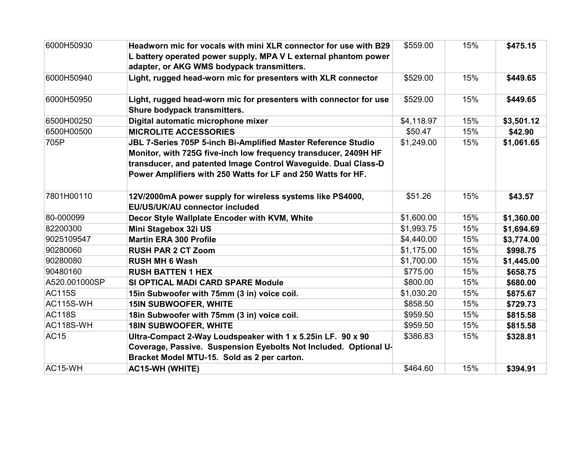| 6000H50930    | Headworn mic for vocals with mini XLR connector for use with B29<br>L battery operated power supply, MPA V L external phantom power<br>adapter, or AKG WMS bodypack transmitters. | \$559.00   | 15% | \$475.15   |
|---------------|-----------------------------------------------------------------------------------------------------------------------------------------------------------------------------------|------------|-----|------------|
| 6000H50940    | Light, rugged head-worn mic for presenters with XLR connector                                                                                                                     | \$529.00   | 15% | \$449.65   |
| 6000H50950    | Light, rugged head-worn mic for presenters with connector for use<br>Shure bodypack transmitters.                                                                                 | \$529.00   | 15% | \$449.65   |
| 6500H00250    | Digital automatic microphone mixer                                                                                                                                                | \$4,118.97 | 15% | \$3,501.12 |
| 6500H00500    | <b>MICROLITE ACCESSORIES</b>                                                                                                                                                      | \$50.47    | 15% | \$42.90    |
| 705P          | JBL 7-Series 705P 5-inch Bi-Amplified Master Reference Studio                                                                                                                     | \$1,249.00 | 15% | \$1,061.65 |
|               | Monitor, with 725G five-inch low frequency transducer, 2409H HF                                                                                                                   |            |     |            |
|               | transducer, and patented Image Control Waveguide. Dual Class-D                                                                                                                    |            |     |            |
|               | Power Amplifiers with 250 Watts for LF and 250 Watts for HF.                                                                                                                      |            |     |            |
| 7801H00110    | 12V/2000mA power supply for wireless systems like PS4000,<br>EU/US/UK/AU connector included                                                                                       | \$51.26    | 15% | \$43.57    |
| 80-000099     | Decor Style Wallplate Encoder with KVM, White                                                                                                                                     | \$1,600.00 | 15% | \$1,360.00 |
| 82200300      | Mini Stagebox 32i US                                                                                                                                                              | \$1,993.75 | 15% | \$1,694.69 |
| 9025109547    | <b>Martin ERA 300 Profile</b>                                                                                                                                                     | \$4,440.00 | 15% | \$3,774.00 |
| 90280060      | <b>RUSH PAR 2 CT Zoom</b>                                                                                                                                                         | \$1,175.00 | 15% | \$998.75   |
| 90280080      | <b>RUSH MH 6 Wash</b>                                                                                                                                                             | \$1,700.00 | 15% | \$1,445.00 |
| 90480160      | <b>RUSH BATTEN 1 HEX</b>                                                                                                                                                          | \$775.00   | 15% | \$658.75   |
| A520.001000SP | SI OPTICAL MADI CARD SPARE Module                                                                                                                                                 | \$800.00   | 15% | \$680.00   |
| <b>AC115S</b> | 15in Subwoofer with 75mm (3 in) voice coil.                                                                                                                                       | \$1,030.20 | 15% | \$875.67   |
| AC115S-WH     | <b>15IN SUBWOOFER, WHITE</b>                                                                                                                                                      | \$858.50   | 15% | \$729.73   |
| <b>AC118S</b> | 18in Subwoofer with 75mm (3 in) voice coil.                                                                                                                                       | \$959.50   | 15% | \$815.58   |
| AC118S-WH     | <b>18IN SUBWOOFER, WHITE</b>                                                                                                                                                      | \$959.50   | 15% | \$815.58   |
| <b>AC15</b>   | Ultra-Compact 2-Way Loudspeaker with 1 x 5.25in LF. 90 x 90                                                                                                                       | \$386.83   | 15% | \$328.81   |
|               | Coverage, Passive. Suspension Eyebolts Not Included. Optional U-<br>Bracket Model MTU-15. Sold as 2 per carton.                                                                   |            |     |            |
| AC15-WH       | <b>AC15-WH (WHITE)</b>                                                                                                                                                            | \$464.60   | 15% | \$394.91   |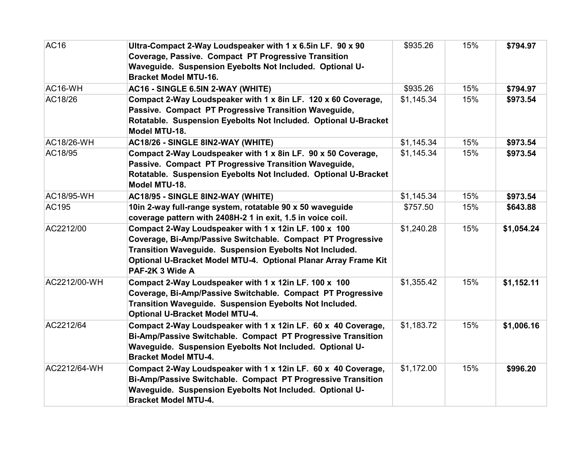| AC16         | Ultra-Compact 2-Way Loudspeaker with 1 x 6.5in LF. 90 x 90      | \$935.26   | 15% | \$794.97   |
|--------------|-----------------------------------------------------------------|------------|-----|------------|
|              | <b>Coverage, Passive. Compact PT Progressive Transition</b>     |            |     |            |
|              | Waveguide. Suspension Eyebolts Not Included. Optional U-        |            |     |            |
|              | <b>Bracket Model MTU-16.</b>                                    |            |     |            |
| AC16-WH      | AC16 - SINGLE 6.5IN 2-WAY (WHITE)                               | \$935.26   | 15% | \$794.97   |
| AC18/26      | Compact 2-Way Loudspeaker with 1 x 8in LF. 120 x 60 Coverage,   | \$1,145.34 | 15% | \$973.54   |
|              | Passive. Compact PT Progressive Transition Waveguide,           |            |     |            |
|              | Rotatable. Suspension Eyebolts Not Included. Optional U-Bracket |            |     |            |
|              | Model MTU-18.                                                   |            |     |            |
| AC18/26-WH   | AC18/26 - SINGLE 8IN2-WAY (WHITE)                               | \$1,145.34 | 15% | \$973.54   |
| AC18/95      | Compact 2-Way Loudspeaker with 1 x 8in LF. 90 x 50 Coverage,    | \$1,145.34 | 15% | \$973.54   |
|              | Passive. Compact PT Progressive Transition Waveguide,           |            |     |            |
|              | Rotatable. Suspension Eyebolts Not Included. Optional U-Bracket |            |     |            |
|              | Model MTU-18.                                                   |            |     |            |
| AC18/95-WH   | AC18/95 - SINGLE 8IN2-WAY (WHITE)                               | \$1,145.34 | 15% | \$973.54   |
| AC195        | 10in 2-way full-range system, rotatable 90 x 50 waveguide       | \$757.50   | 15% | \$643.88   |
|              | coverage pattern with 2408H-2 1 in exit, 1.5 in voice coil.     |            |     |            |
| AC2212/00    | Compact 2-Way Loudspeaker with 1 x 12in LF. 100 x 100           | \$1,240.28 | 15% | \$1,054.24 |
|              | Coverage, Bi-Amp/Passive Switchable. Compact PT Progressive     |            |     |            |
|              | Transition Waveguide. Suspension Eyebolts Not Included.         |            |     |            |
|              | Optional U-Bracket Model MTU-4. Optional Planar Array Frame Kit |            |     |            |
|              | PAF-2K 3 Wide A                                                 |            |     |            |
| AC2212/00-WH | Compact 2-Way Loudspeaker with 1 x 12in LF. 100 x 100           | \$1,355.42 | 15% | \$1,152.11 |
|              | Coverage, Bi-Amp/Passive Switchable. Compact PT Progressive     |            |     |            |
|              | Transition Waveguide. Suspension Eyebolts Not Included.         |            |     |            |
|              | <b>Optional U-Bracket Model MTU-4.</b>                          |            |     |            |
| AC2212/64    | Compact 2-Way Loudspeaker with 1 x 12in LF. 60 x 40 Coverage,   | \$1,183.72 | 15% | \$1,006.16 |
|              | Bi-Amp/Passive Switchable. Compact PT Progressive Transition    |            |     |            |
|              | Waveguide. Suspension Eyebolts Not Included. Optional U-        |            |     |            |
|              | <b>Bracket Model MTU-4.</b>                                     |            |     |            |
| AC2212/64-WH | Compact 2-Way Loudspeaker with 1 x 12in LF. 60 x 40 Coverage,   | \$1,172.00 | 15% | \$996.20   |
|              | Bi-Amp/Passive Switchable. Compact PT Progressive Transition    |            |     |            |
|              | Waveguide. Suspension Eyebolts Not Included. Optional U-        |            |     |            |
|              | <b>Bracket Model MTU-4.</b>                                     |            |     |            |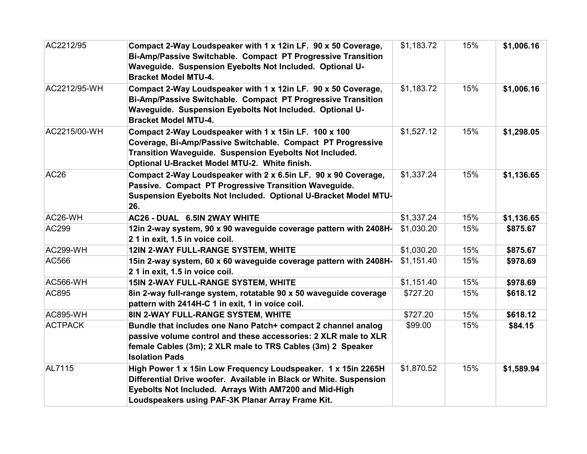| AC2212/95        | Compact 2-Way Loudspeaker with 1 x 12in LF. 90 x 50 Coverage,<br>Bi-Amp/Passive Switchable. Compact PT Progressive Transition<br>Waveguide. Suspension Eyebolts Not Included. Optional U-<br><b>Bracket Model MTU-4.</b>                           | \$1,183.72 | 15% | \$1,006.16 |
|------------------|----------------------------------------------------------------------------------------------------------------------------------------------------------------------------------------------------------------------------------------------------|------------|-----|------------|
| AC2212/95-WH     | Compact 2-Way Loudspeaker with 1 x 12in LF. 90 x 50 Coverage,<br>Bi-Amp/Passive Switchable. Compact PT Progressive Transition<br>Waveguide. Suspension Eyebolts Not Included. Optional U-<br><b>Bracket Model MTU-4.</b>                           | \$1,183.72 | 15% | \$1,006.16 |
| AC2215/00-WH     | Compact 2-Way Loudspeaker with 1 x 15in LF. 100 x 100<br>Coverage, Bi-Amp/Passive Switchable. Compact PT Progressive<br>Transition Waveguide. Suspension Eyebolts Not Included.<br>Optional U-Bracket Model MTU-2. White finish.                   | \$1,527.12 | 15% | \$1,298.05 |
| AC <sub>26</sub> | Compact 2-Way Loudspeaker with 2 x 6.5in LF. 90 x 90 Coverage,<br>Passive. Compact PT Progressive Transition Waveguide.<br>Suspension Eyebolts Not Included. Optional U-Bracket Model MTU-<br>26.                                                  | \$1,337.24 | 15% | \$1,136.65 |
| AC26-WH          | AC26 - DUAL 6.5IN 2WAY WHITE                                                                                                                                                                                                                       | \$1,337.24 | 15% | \$1,136.65 |
| <b>AC299</b>     | 12in 2-way system, 90 x 90 waveguide coverage pattern with 2408H-<br>21 in exit, 1.5 in voice coil.                                                                                                                                                | \$1,030.20 | 15% | \$875.67   |
| AC299-WH         | 12IN 2-WAY FULL-RANGE SYSTEM, WHITE                                                                                                                                                                                                                | \$1,030.20 | 15% | \$875.67   |
| AC566            | 15in 2-way system, 60 x 60 waveguide coverage pattern with 2408H-<br>21 in exit, 1.5 in voice coil.                                                                                                                                                | \$1,151.40 | 15% | \$978.69   |
| AC566-WH         | 15IN 2-WAY FULL-RANGE SYSTEM, WHITE                                                                                                                                                                                                                | \$1,151.40 | 15% | \$978.69   |
| AC895            | 8in 2-way full-range system, rotatable 90 x 50 waveguide coverage<br>pattern with 2414H-C 1 in exit, 1 in voice coil.                                                                                                                              | \$727.20   | 15% | \$618.12   |
| <b>AC895-WH</b>  | 8IN 2-WAY FULL-RANGE SYSTEM, WHITE                                                                                                                                                                                                                 | \$727.20   | 15% | \$618.12   |
| <b>ACTPACK</b>   | Bundle that includes one Nano Patch+ compact 2 channel analog<br>passive volume control and these accessories: 2 XLR male to XLR<br>female Cables (3m); 2 XLR male to TRS Cables (3m) 2 Speaker<br><b>Isolation Pads</b>                           | \$99.00    | 15% | \$84.15    |
| AL7115           | High Power 1 x 15in Low Frequency Loudspeaker. 1 x 15in 2265H<br>Differential Drive woofer. Available in Black or White. Suspension<br>Eyebolts Not Included. Arrays With AM7200 and Mid-High<br>Loudspeakers using PAF-3K Planar Array Frame Kit. | \$1,870.52 | 15% | \$1,589.94 |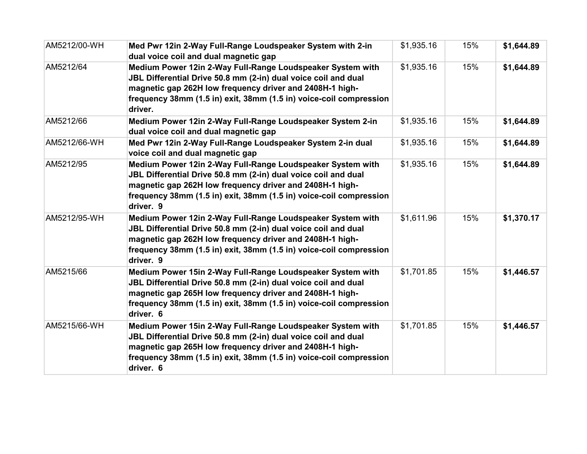| AM5212/00-WH | Med Pwr 12in 2-Way Full-Range Loudspeaker System with 2-in<br>dual voice coil and dual magnetic gap                                                                                                                                                                         | \$1,935.16 | 15% | \$1,644.89 |
|--------------|-----------------------------------------------------------------------------------------------------------------------------------------------------------------------------------------------------------------------------------------------------------------------------|------------|-----|------------|
| AM5212/64    | Medium Power 12in 2-Way Full-Range Loudspeaker System with<br>JBL Differential Drive 50.8 mm (2-in) dual voice coil and dual<br>magnetic gap 262H low frequency driver and 2408H-1 high-<br>frequency 38mm (1.5 in) exit, 38mm (1.5 in) voice-coil compression<br>driver.   | \$1,935.16 | 15% | \$1,644.89 |
| AM5212/66    | Medium Power 12in 2-Way Full-Range Loudspeaker System 2-in<br>dual voice coil and dual magnetic gap                                                                                                                                                                         | \$1,935.16 | 15% | \$1,644.89 |
| AM5212/66-WH | Med Pwr 12in 2-Way Full-Range Loudspeaker System 2-in dual<br>voice coil and dual magnetic gap                                                                                                                                                                              | \$1,935.16 | 15% | \$1,644.89 |
| AM5212/95    | Medium Power 12in 2-Way Full-Range Loudspeaker System with<br>JBL Differential Drive 50.8 mm (2-in) dual voice coil and dual<br>magnetic gap 262H low frequency driver and 2408H-1 high-<br>frequency 38mm (1.5 in) exit, 38mm (1.5 in) voice-coil compression<br>driver. 9 | \$1,935.16 | 15% | \$1,644.89 |
| AM5212/95-WH | Medium Power 12in 2-Way Full-Range Loudspeaker System with<br>JBL Differential Drive 50.8 mm (2-in) dual voice coil and dual<br>magnetic gap 262H low frequency driver and 2408H-1 high-<br>frequency 38mm (1.5 in) exit, 38mm (1.5 in) voice-coil compression<br>driver. 9 | \$1,611.96 | 15% | \$1,370.17 |
| AM5215/66    | Medium Power 15in 2-Way Full-Range Loudspeaker System with<br>JBL Differential Drive 50.8 mm (2-in) dual voice coil and dual<br>magnetic gap 265H low frequency driver and 2408H-1 high-<br>frequency 38mm (1.5 in) exit, 38mm (1.5 in) voice-coil compression<br>driver. 6 | \$1,701.85 | 15% | \$1,446.57 |
| AM5215/66-WH | Medium Power 15in 2-Way Full-Range Loudspeaker System with<br>JBL Differential Drive 50.8 mm (2-in) dual voice coil and dual<br>magnetic gap 265H low frequency driver and 2408H-1 high-<br>frequency 38mm (1.5 in) exit, 38mm (1.5 in) voice-coil compression<br>driver. 6 | \$1,701.85 | 15% | \$1,446.57 |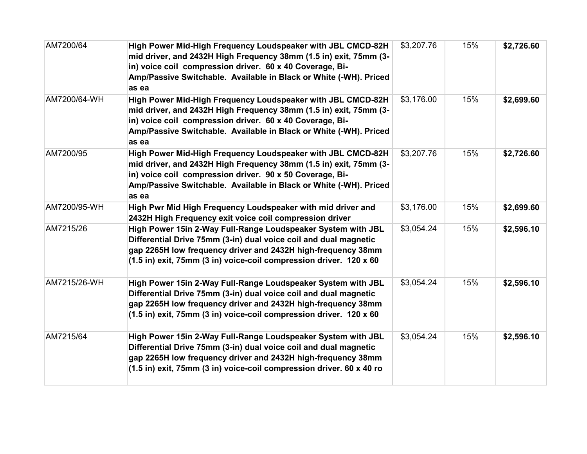| AM7200/64    | High Power Mid-High Frequency Loudspeaker with JBL CMCD-82H<br>mid driver, and 2432H High Frequency 38mm (1.5 in) exit, 75mm (3-<br>in) voice coil compression driver. 60 x 40 Coverage, Bi-<br>Amp/Passive Switchable. Available in Black or White (-WH). Priced<br>as ea | \$3,207.76 | 15% | \$2,726.60 |
|--------------|----------------------------------------------------------------------------------------------------------------------------------------------------------------------------------------------------------------------------------------------------------------------------|------------|-----|------------|
| AM7200/64-WH | High Power Mid-High Frequency Loudspeaker with JBL CMCD-82H<br>mid driver, and 2432H High Frequency 38mm (1.5 in) exit, 75mm (3-<br>in) voice coil compression driver. 60 x 40 Coverage, Bi-<br>Amp/Passive Switchable. Available in Black or White (-WH). Priced<br>as ea | \$3,176.00 | 15% | \$2,699.60 |
| AM7200/95    | High Power Mid-High Frequency Loudspeaker with JBL CMCD-82H<br>mid driver, and 2432H High Frequency 38mm (1.5 in) exit, 75mm (3-<br>in) voice coil compression driver. 90 x 50 Coverage, Bi-<br>Amp/Passive Switchable. Available in Black or White (-WH). Priced<br>as ea | \$3,207.76 | 15% | \$2,726.60 |
| AM7200/95-WH | High Pwr Mid High Frequency Loudspeaker with mid driver and<br>2432H High Frequency exit voice coil compression driver                                                                                                                                                     | \$3,176.00 | 15% | \$2,699.60 |
| AM7215/26    | High Power 15in 2-Way Full-Range Loudspeaker System with JBL<br>Differential Drive 75mm (3-in) dual voice coil and dual magnetic<br>gap 2265H low frequency driver and 2432H high-frequency 38mm<br>(1.5 in) exit, 75mm (3 in) voice-coil compression driver. 120 x 60     | \$3,054.24 | 15% | \$2,596.10 |
| AM7215/26-WH | High Power 15in 2-Way Full-Range Loudspeaker System with JBL<br>Differential Drive 75mm (3-in) dual voice coil and dual magnetic<br>gap 2265H low frequency driver and 2432H high-frequency 38mm<br>(1.5 in) exit, 75mm (3 in) voice-coil compression driver. 120 x 60     | \$3,054.24 | 15% | \$2,596.10 |
| AM7215/64    | High Power 15in 2-Way Full-Range Loudspeaker System with JBL<br>Differential Drive 75mm (3-in) dual voice coil and dual magnetic<br>gap 2265H low frequency driver and 2432H high-frequency 38mm<br>(1.5 in) exit, 75mm (3 in) voice-coil compression driver. 60 x 40 ro   | \$3,054.24 | 15% | \$2,596.10 |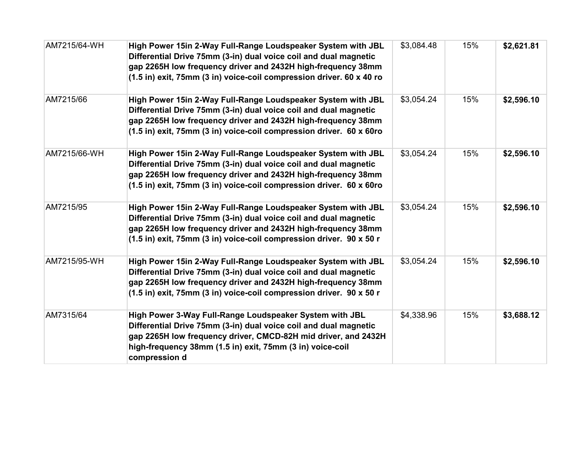| AM7215/64-WH | High Power 15in 2-Way Full-Range Loudspeaker System with JBL<br>Differential Drive 75mm (3-in) dual voice coil and dual magnetic<br>gap 2265H low frequency driver and 2432H high-frequency 38mm<br>(1.5 in) exit, 75mm (3 in) voice-coil compression driver. 60 x 40 ro    | \$3,084.48 | 15% | \$2,621.81 |
|--------------|-----------------------------------------------------------------------------------------------------------------------------------------------------------------------------------------------------------------------------------------------------------------------------|------------|-----|------------|
| AM7215/66    | High Power 15in 2-Way Full-Range Loudspeaker System with JBL<br>Differential Drive 75mm (3-in) dual voice coil and dual magnetic<br>gap 2265H low frequency driver and 2432H high-frequency 38mm<br>(1.5 in) exit, 75mm (3 in) voice-coil compression driver. 60 x 60ro     | \$3,054.24 | 15% | \$2,596.10 |
| AM7215/66-WH | High Power 15in 2-Way Full-Range Loudspeaker System with JBL<br>Differential Drive 75mm (3-in) dual voice coil and dual magnetic<br>gap 2265H low frequency driver and 2432H high-frequency 38mm<br>(1.5 in) exit, 75mm (3 in) voice-coil compression driver. 60 x 60ro     | \$3,054.24 | 15% | \$2,596.10 |
| AM7215/95    | High Power 15in 2-Way Full-Range Loudspeaker System with JBL<br>Differential Drive 75mm (3-in) dual voice coil and dual magnetic<br>gap 2265H low frequency driver and 2432H high-frequency 38mm<br>(1.5 in) exit, 75mm (3 in) voice-coil compression driver. 90 x 50 r     | \$3,054.24 | 15% | \$2,596.10 |
| AM7215/95-WH | High Power 15in 2-Way Full-Range Loudspeaker System with JBL<br>Differential Drive 75mm (3-in) dual voice coil and dual magnetic<br>gap 2265H low frequency driver and 2432H high-frequency 38mm<br>(1.5 in) exit, 75mm (3 in) voice-coil compression driver. 90 x 50 r     | \$3,054.24 | 15% | \$2,596.10 |
| AM7315/64    | High Power 3-Way Full-Range Loudspeaker System with JBL<br>Differential Drive 75mm (3-in) dual voice coil and dual magnetic<br>gap 2265H low frequency driver, CMCD-82H mid driver, and 2432H<br>high-frequency 38mm (1.5 in) exit, 75mm (3 in) voice-coil<br>compression d | \$4,338.96 | 15% | \$3,688.12 |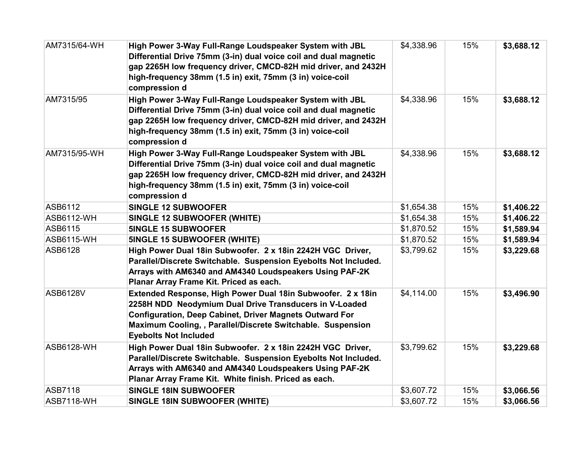| AM7315/64-WH      | High Power 3-Way Full-Range Loudspeaker System with JBL<br>Differential Drive 75mm (3-in) dual voice coil and dual magnetic<br>gap 2265H low frequency driver, CMCD-82H mid driver, and 2432H<br>high-frequency 38mm (1.5 in) exit, 75mm (3 in) voice-coil<br>compression d            | \$4,338.96 | 15% | \$3,688.12 |
|-------------------|----------------------------------------------------------------------------------------------------------------------------------------------------------------------------------------------------------------------------------------------------------------------------------------|------------|-----|------------|
| AM7315/95         | High Power 3-Way Full-Range Loudspeaker System with JBL<br>Differential Drive 75mm (3-in) dual voice coil and dual magnetic<br>gap 2265H low frequency driver, CMCD-82H mid driver, and 2432H<br>high-frequency 38mm (1.5 in) exit, 75mm (3 in) voice-coil<br>compression d            | \$4,338.96 | 15% | \$3,688.12 |
| AM7315/95-WH      | High Power 3-Way Full-Range Loudspeaker System with JBL<br>Differential Drive 75mm (3-in) dual voice coil and dual magnetic<br>gap 2265H low frequency driver, CMCD-82H mid driver, and 2432H<br>high-frequency 38mm (1.5 in) exit, 75mm (3 in) voice-coil<br>compression d            | \$4,338.96 | 15% | \$3,688.12 |
| ASB6112           | <b>SINGLE 12 SUBWOOFER</b>                                                                                                                                                                                                                                                             | \$1,654.38 | 15% | \$1,406.22 |
| <b>ASB6112-WH</b> | <b>SINGLE 12 SUBWOOFER (WHITE)</b>                                                                                                                                                                                                                                                     | \$1,654.38 | 15% | \$1,406.22 |
| ASB6115           | <b>5INGLE 15 SUBWOOFER</b>                                                                                                                                                                                                                                                             | \$1,870.52 | 15% | \$1,589.94 |
| <b>ASB6115-WH</b> | <b>5INGLE 15 SUBWOOFER (WHITE)</b>                                                                                                                                                                                                                                                     | \$1,870.52 | 15% | \$1,589.94 |
| ASB6128           | High Power Dual 18in Subwoofer. 2 x 18in 2242H VGC Driver,<br>Parallel/Discrete Switchable. Suspension Eyebolts Not Included.<br>Arrays with AM6340 and AM4340 Loudspeakers Using PAF-2K<br>Planar Array Frame Kit. Priced as each.                                                    | \$3,799.62 | 15% | \$3,229.68 |
| <b>ASB6128V</b>   | Extended Response, High Power Dual 18in Subwoofer. 2 x 18in<br>2258H NDD Neodymium Dual Drive Transducers in V-Loaded<br><b>Configuration, Deep Cabinet, Driver Magnets Outward For</b><br>Maximum Cooling, , Parallel/Discrete Switchable. Suspension<br><b>Eyebolts Not Included</b> | \$4,114.00 | 15% | \$3,496.90 |
| <b>ASB6128-WH</b> | High Power Dual 18in Subwoofer. 2 x 18in 2242H VGC Driver,<br>Parallel/Discrete Switchable. Suspension Eyebolts Not Included.<br>Arrays with AM6340 and AM4340 Loudspeakers Using PAF-2K<br>Planar Array Frame Kit. White finish. Priced as each.                                      | \$3,799.62 | 15% | \$3,229.68 |
| <b>ASB7118</b>    | <b>SINGLE 18IN SUBWOOFER</b>                                                                                                                                                                                                                                                           | \$3,607.72 | 15% | \$3,066.56 |
| <b>ASB7118-WH</b> | <b>SINGLE 18IN SUBWOOFER (WHITE)</b>                                                                                                                                                                                                                                                   | \$3,607.72 | 15% | \$3,066.56 |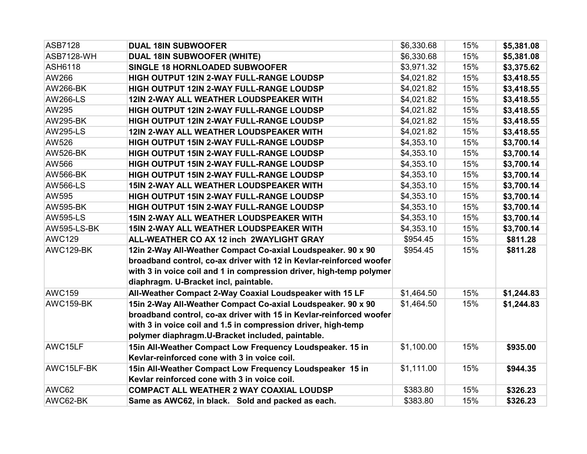| ASB7128           | <b>DUAL 18IN SUBWOOFER</b>                                          | \$6,330.68 | 15% | \$5,381.08 |
|-------------------|---------------------------------------------------------------------|------------|-----|------------|
| <b>ASB7128-WH</b> | <b>DUAL 18IN SUBWOOFER (WHITE)</b>                                  | \$6,330.68 | 15% | \$5,381.08 |
| <b>ASH6118</b>    | <b>SINGLE 18 HORNLOADED SUBWOOFER</b>                               | \$3,971.32 | 15% | \$3,375.62 |
| AW266             | HIGH OUTPUT 12IN 2-WAY FULL-RANGE LOUDSP                            | \$4,021.82 | 15% | \$3,418.55 |
| <b>AW266-BK</b>   | HIGH OUTPUT 12IN 2-WAY FULL-RANGE LOUDSP                            | \$4,021.82 | 15% | \$3,418.55 |
| <b>AW266-LS</b>   | 12IN 2-WAY ALL WEATHER LOUDSPEAKER WITH                             | \$4,021.82 | 15% | \$3,418.55 |
| AW295             | HIGH OUTPUT 12IN 2-WAY FULL-RANGE LOUDSP                            | \$4,021.82 | 15% | \$3,418.55 |
| <b>AW295-BK</b>   | HIGH OUTPUT 12IN 2-WAY FULL-RANGE LOUDSP                            | \$4,021.82 | 15% | \$3,418.55 |
| <b>AW295-LS</b>   | 12IN 2-WAY ALL WEATHER LOUDSPEAKER WITH                             | \$4,021.82 | 15% | \$3,418.55 |
| AW526             | HIGH OUTPUT 15IN 2-WAY FULL-RANGE LOUDSP                            | \$4,353.10 | 15% | \$3,700.14 |
| <b>AW526-BK</b>   | HIGH OUTPUT 15IN 2-WAY FULL-RANGE LOUDSP                            | \$4,353.10 | 15% | \$3,700.14 |
| AW566             | HIGH OUTPUT 15IN 2-WAY FULL-RANGE LOUDSP                            | \$4,353.10 | 15% | \$3,700.14 |
| <b>AW566-BK</b>   | HIGH OUTPUT 15IN 2-WAY FULL-RANGE LOUDSP                            | \$4,353.10 | 15% | \$3,700.14 |
| <b>AW566-LS</b>   | 15IN 2-WAY ALL WEATHER LOUDSPEAKER WITH                             | \$4,353.10 | 15% | \$3,700.14 |
| AW595             | HIGH OUTPUT 15IN 2-WAY FULL-RANGE LOUDSP                            | \$4,353.10 | 15% | \$3,700.14 |
| <b>AW595-BK</b>   | HIGH OUTPUT 15IN 2-WAY FULL-RANGE LOUDSP                            | \$4,353.10 | 15% | \$3,700.14 |
| <b>AW595-LS</b>   | 15IN 2-WAY ALL WEATHER LOUDSPEAKER WITH                             | \$4,353.10 | 15% | \$3,700.14 |
| AW595-LS-BK       | 15IN 2-WAY ALL WEATHER LOUDSPEAKER WITH                             | \$4,353.10 | 15% | \$3,700.14 |
| <b>AWC129</b>     | ALL-WEATHER CO AX 12 inch 2WAYLIGHT GRAY                            | \$954.45   | 15% | \$811.28   |
| AWC129-BK         | 12in 2-Way All-Weather Compact Co-axial Loudspeaker. 90 x 90        | \$954.45   | 15% | \$811.28   |
|                   | broadband control, co-ax driver with 12 in Kevlar-reinforced woofer |            |     |            |
|                   | with 3 in voice coil and 1 in compression driver, high-temp polymer |            |     |            |
|                   | diaphragm. U-Bracket incl, paintable.                               |            |     |            |
| <b>AWC159</b>     | All-Weather Compact 2-Way Coaxial Loudspeaker with 15 LF            | \$1,464.50 | 15% | \$1,244.83 |
| AWC159-BK         | 15in 2-Way All-Weather Compact Co-axial Loudspeaker. 90 x 90        | \$1,464.50 | 15% | \$1,244.83 |
|                   | broadband control, co-ax driver with 15 in Kevlar-reinforced woofer |            |     |            |
|                   | with 3 in voice coil and 1.5 in compression driver, high-temp       |            |     |            |
|                   | polymer diaphragm.U-Bracket included, paintable.                    |            |     |            |
| AWC15LF           | 15in All-Weather Compact Low Frequency Loudspeaker. 15 in           | \$1,100.00 | 15% | \$935.00   |
|                   | Kevlar-reinforced cone with 3 in voice coil.                        |            |     |            |
| AWC15LF-BK        | 15in All-Weather Compact Low Frequency Loudspeaker 15 in            | \$1,111.00 | 15% | \$944.35   |
|                   | Kevlar reinforced cone with 3 in voice coil.                        |            |     |            |
| AWC62             | <b>COMPACT ALL WEATHER 2 WAY COAXIAL LOUDSP</b>                     | \$383.80   | 15% | \$326.23   |
| AWC62-BK          | Same as AWC62, in black. Sold and packed as each.                   | \$383.80   | 15% | \$326.23   |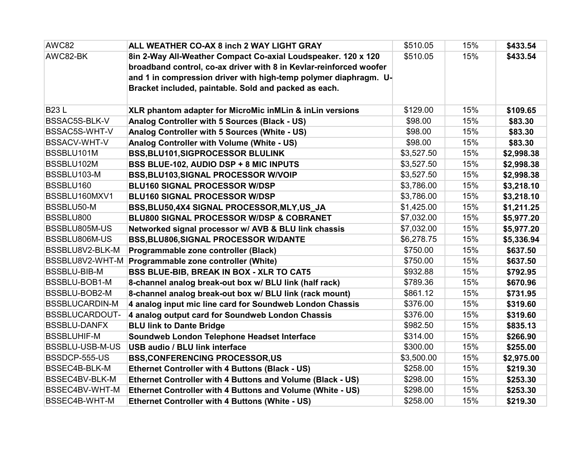| AWC82                 | ALL WEATHER CO-AX 8 inch 2 WAY LIGHT GRAY                          | \$510.05   | 15% | \$433.54   |
|-----------------------|--------------------------------------------------------------------|------------|-----|------------|
| AWC82-BK              | 8in 2-Way All-Weather Compact Co-axial Loudspeaker. 120 x 120      | \$510.05   | 15% | \$433.54   |
|                       | broadband control, co-ax driver with 8 in Kevlar-reinforced woofer |            |     |            |
|                       | and 1 in compression driver with high-temp polymer diaphragm. U-   |            |     |            |
|                       | Bracket included, paintable. Sold and packed as each.              |            |     |            |
|                       |                                                                    |            |     |            |
| <b>B23L</b>           | XLR phantom adapter for MicroMic inMLin & inLin versions           | \$129.00   | 15% | \$109.65   |
| BSSAC5S-BLK-V         | Analog Controller with 5 Sources (Black - US)                      | \$98.00    | 15% | \$83.30    |
| BSSAC5S-WHT-V         | Analog Controller with 5 Sources (White - US)                      | \$98.00    | 15% | \$83.30    |
| BSSACV-WHT-V          | Analog Controller with Volume (White - US)                         | \$98.00    | 15% | \$83.30    |
| BSSBLU101M            | <b>BSS, BLU101, SIGPROCESSOR BLULINK</b>                           | \$3,527.50 | 15% | \$2,998.38 |
| BSSBLU102M            | BSS BLUE-102, AUDIO DSP + 8 MIC INPUTS                             | \$3,527.50 | 15% | \$2,998.38 |
| BSSBLU103-M           | BSS, BLU103, SIGNAL PROCESSOR W/VOIP                               | \$3,527.50 | 15% | \$2,998.38 |
| BSSBLU160             | <b>BLU160 SIGNAL PROCESSOR W/DSP</b>                               | \$3,786.00 | 15% | \$3,218.10 |
| BSSBLU160MXV1         | <b>BLU160 SIGNAL PROCESSOR W/DSP</b>                               | \$3,786.00 | 15% | \$3,218.10 |
| BSSBLU50-M            | BSS, BLU50, 4X4 SIGNAL PROCESSOR, MLY, US_JA                       | \$1,425.00 | 15% | \$1,211.25 |
| BSSBLU800             | BLU800 SIGNAL PROCESSOR W/DSP & COBRANET                           | \$7,032.00 | 15% | \$5,977.20 |
| BSSBLU805M-US         | Networked signal processor w/ AVB & BLU link chassis               | \$7,032.00 | 15% | \$5,977.20 |
| BSSBLU806M-US         | BSS, BLU806, SIGNAL PROCESSOR W/DANTE                              | \$6,278.75 | 15% | \$5,336.94 |
| BSSBLU8V2-BLK-M       | Programmable zone controller (Black)                               | \$750.00   | 15% | \$637.50   |
| BSSBLU8V2-WHT-M       | Programmable zone controller (White)                               | \$750.00   | 15% | \$637.50   |
| <b>BSSBLU-BIB-M</b>   | <b>BSS BLUE-BIB, BREAK IN BOX - XLR TO CAT5</b>                    | \$932.88   | 15% | \$792.95   |
| BSSBLU-BOB1-M         | 8-channel analog break-out box w/ BLU link (half rack)             | \$789.36   | 15% | \$670.96   |
| BSSBLU-BOB2-M         | 8-channel analog break-out box w/ BLU link (rack mount)            | \$861.12   | 15% | \$731.95   |
| <b>BSSBLUCARDIN-M</b> | 4 analog input mic line card for Soundweb London Chassis           | \$376.00   | 15% | \$319.60   |
| <b>BSSBLUCARDOUT-</b> | 4 analog output card for Soundweb London Chassis                   | \$376.00   | 15% | \$319.60   |
| <b>BSSBLU-DANFX</b>   | <b>BLU link to Dante Bridge</b>                                    | \$982.50   | 15% | \$835.13   |
| <b>BSSBLUHIF-M</b>    | Soundweb London Telephone Headset Interface                        | \$314.00   | 15% | \$266.90   |
| BSSBLU-USB-M-US       | <b>USB audio / BLU link interface</b>                              | \$300.00   | 15% | \$255.00   |
| BSSDCP-555-US         | <b>BSS, CONFERENCING PROCESSOR, US</b>                             | \$3,500.00 | 15% | \$2,975.00 |
| BSSEC4B-BLK-M         | Ethernet Controller with 4 Buttons (Black - US)                    | \$258.00   | 15% | \$219.30   |
| BSSEC4BV-BLK-M        | Ethernet Controller with 4 Buttons and Volume (Black - US)         | \$298.00   | 15% | \$253.30   |
| BSSEC4BV-WHT-M        | Ethernet Controller with 4 Buttons and Volume (White - US)         | \$298.00   | 15% | \$253.30   |
| BSSEC4B-WHT-M         | <b>Ethernet Controller with 4 Buttons (White - US)</b>             | \$258.00   | 15% | \$219.30   |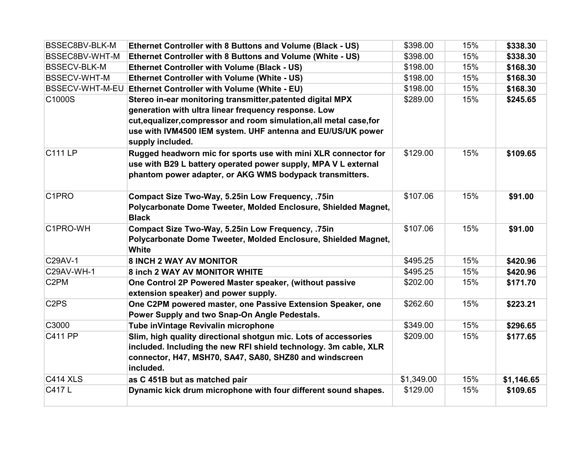| BSSEC8BV-BLK-M                | Ethernet Controller with 8 Buttons and Volume (Black - US)                                                                 | \$398.00   | 15% | \$338.30   |
|-------------------------------|----------------------------------------------------------------------------------------------------------------------------|------------|-----|------------|
| BSSEC8BV-WHT-M                | Ethernet Controller with 8 Buttons and Volume (White - US)                                                                 | \$398.00   | 15% | \$338.30   |
| <b>BSSECV-BLK-M</b>           | <b>Ethernet Controller with Volume (Black - US)</b>                                                                        | \$198.00   | 15% | \$168.30   |
| <b>BSSECV-WHT-M</b>           | <b>Ethernet Controller with Volume (White - US)</b>                                                                        | \$198.00   | 15% | \$168.30   |
| BSSECV-WHT-M-EU               | <b>Ethernet Controller with Volume (White - EU)</b>                                                                        | \$198.00   | 15% | \$168.30   |
| C1000S                        | Stereo in-ear monitoring transmitter, patented digital MPX                                                                 | \$289.00   | 15% | \$245.65   |
|                               | generation with ultra linear frequency response. Low                                                                       |            |     |            |
|                               | cut, equalizer, compressor and room simulation, all metal case, for                                                        |            |     |            |
|                               | use with IVM4500 IEM system. UHF antenna and EU/US/UK power<br>supply included.                                            |            |     |            |
| <b>C111 LP</b>                | Rugged headworn mic for sports use with mini XLR connector for                                                             | \$129.00   | 15% | \$109.65   |
|                               | use with B29 L battery operated power supply, MPA V L external<br>phantom power adapter, or AKG WMS bodypack transmitters. |            |     |            |
| C <sub>1</sub> PRO            | Compact Size Two-Way, 5.25in Low Frequency, .75in                                                                          | \$107.06   | 15% | \$91.00    |
|                               | Polycarbonate Dome Tweeter, Molded Enclosure, Shielded Magnet,<br><b>Black</b>                                             |            |     |            |
| C1PRO-WH                      | Compact Size Two-Way, 5.25in Low Frequency, .75in                                                                          | \$107.06   | 15% | \$91.00    |
|                               | Polycarbonate Dome Tweeter, Molded Enclosure, Shielded Magnet,<br><b>White</b>                                             |            |     |            |
| C29AV-1                       | 8 INCH 2 WAY AV MONITOR                                                                                                    | \$495.25   | 15% | \$420.96   |
| C29AV-WH-1                    | 8 inch 2 WAY AV MONITOR WHITE                                                                                              | \$495.25   | 15% | \$420.96   |
| C <sub>2</sub> PM             | One Control 2P Powered Master speaker, (without passive<br>extension speaker) and power supply.                            | \$202.00   | 15% | \$171.70   |
| C <sub>2</sub> P <sub>S</sub> | One C2PM powered master, one Passive Extension Speaker, one<br>Power Supply and two Snap-On Angle Pedestals.               | \$262.60   | 15% | \$223.21   |
| C3000                         | Tube inVintage Revivalin microphone                                                                                        | \$349.00   | 15% | \$296.65   |
| <b>C411 PP</b>                | Slim, high quality directional shotgun mic. Lots of accessories                                                            | \$209.00   | 15% | \$177.65   |
|                               | included. Including the new RFI shield technology. 3m cable, XLR                                                           |            |     |            |
|                               | connector, H47, MSH70, SA47, SA80, SHZ80 and windscreen<br>included.                                                       |            |     |            |
| <b>C414 XLS</b>               | as C 451B but as matched pair                                                                                              | \$1,349.00 | 15% | \$1,146.65 |
| C417L                         | Dynamic kick drum microphone with four different sound shapes.                                                             | \$129.00   | 15% | \$109.65   |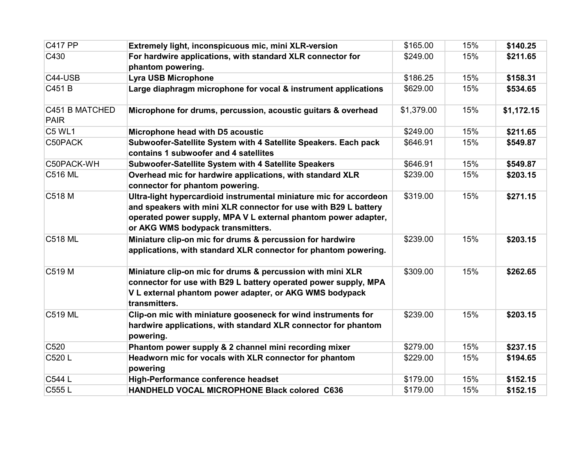| <b>C417 PP</b>                | Extremely light, inconspicuous mic, mini XLR-version                                                                                                                                                                                         | \$165.00   | 15% | \$140.25   |
|-------------------------------|----------------------------------------------------------------------------------------------------------------------------------------------------------------------------------------------------------------------------------------------|------------|-----|------------|
| C430                          | For hardwire applications, with standard XLR connector for<br>phantom powering.                                                                                                                                                              | \$249.00   | 15% | \$211.65   |
| C44-USB                       | <b>Lyra USB Microphone</b>                                                                                                                                                                                                                   | \$186.25   | 15% | \$158.31   |
| C451 B                        | Large diaphragm microphone for vocal & instrument applications                                                                                                                                                                               | \$629.00   | 15% | \$534.65   |
| C451 B MATCHED<br><b>PAIR</b> | Microphone for drums, percussion, acoustic guitars & overhead                                                                                                                                                                                | \$1,379.00 | 15% | \$1,172.15 |
| C5 WL1                        | Microphone head with D5 acoustic                                                                                                                                                                                                             | \$249.00   | 15% | \$211.65   |
| C50PACK                       | Subwoofer-Satellite System with 4 Satellite Speakers. Each pack<br>contains 1 subwoofer and 4 satellites                                                                                                                                     | \$646.91   | 15% | \$549.87   |
| C50PACK-WH                    | Subwoofer-Satellite System with 4 Satellite Speakers                                                                                                                                                                                         | \$646.91   | 15% | \$549.87   |
| <b>C516 ML</b>                | Overhead mic for hardwire applications, with standard XLR<br>connector for phantom powering.                                                                                                                                                 | \$239.00   | 15% | \$203.15   |
| C518 M                        | Ultra-light hypercardioid instrumental miniature mic for accordeon<br>and speakers with mini XLR connector for use with B29 L battery<br>operated power supply, MPA V L external phantom power adapter,<br>or AKG WMS bodypack transmitters. | \$319.00   | 15% | \$271.15   |
| <b>C518 ML</b>                | Miniature clip-on mic for drums & percussion for hardwire<br>applications, with standard XLR connector for phantom powering.                                                                                                                 | \$239.00   | 15% | \$203.15   |
| C519 M                        | Miniature clip-on mic for drums & percussion with mini XLR<br>connector for use with B29 L battery operated power supply, MPA<br>V L external phantom power adapter, or AKG WMS bodypack<br>transmitters.                                    | \$309.00   | 15% | \$262.65   |
| <b>C519 ML</b>                | Clip-on mic with miniature gooseneck for wind instruments for<br>hardwire applications, with standard XLR connector for phantom<br>powering.                                                                                                 | \$239.00   | 15% | \$203.15   |
| C520                          | Phantom power supply & 2 channel mini recording mixer                                                                                                                                                                                        | \$279.00   | 15% | \$237.15   |
| C520 L                        | Headworn mic for vocals with XLR connector for phantom<br>powering                                                                                                                                                                           | \$229.00   | 15% | \$194.65   |
| C544 L                        | High-Performance conference headset                                                                                                                                                                                                          | \$179.00   | 15% | \$152.15   |
| C555L                         | HANDHELD VOCAL MICROPHONE Black colored C636                                                                                                                                                                                                 | \$179.00   | 15% | \$152.15   |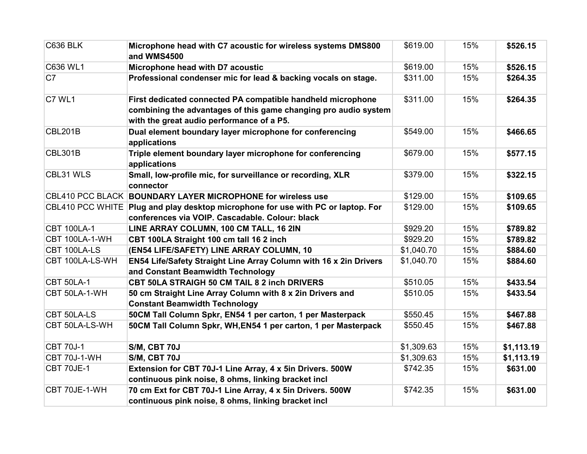| <b>C636 BLK</b>         | Microphone head with C7 acoustic for wireless systems DMS800<br>and WMS4500                                        | \$619.00   | 15% | \$526.15   |
|-------------------------|--------------------------------------------------------------------------------------------------------------------|------------|-----|------------|
| C636 WL1                | Microphone head with D7 acoustic                                                                                   | \$619.00   | 15% | \$526.15   |
| C7                      | Professional condenser mic for lead & backing vocals on stage.                                                     | \$311.00   | 15% | \$264.35   |
| C7 WL1                  | First dedicated connected PA compatible handheld microphone                                                        | \$311.00   | 15% | \$264.35   |
|                         | combining the advantages of this game changing pro audio system<br>with the great audio performance of a P5.       |            |     |            |
| <b>CBL201B</b>          | Dual element boundary layer microphone for conferencing<br>applications                                            | \$549.00   | 15% | \$466.65   |
| <b>CBL301B</b>          | Triple element boundary layer microphone for conferencing<br>applications                                          | \$679.00   | 15% | \$577.15   |
| CBL31 WLS               | Small, low-profile mic, for surveillance or recording, XLR<br>connector                                            | \$379.00   | 15% | \$322.15   |
|                         | CBL410 PCC BLACK BOUNDARY LAYER MICROPHONE for wireless use                                                        | \$129.00   | 15% | \$109.65   |
| <b>CBL410 PCC WHITE</b> | Plug and play desktop microphone for use with PC or laptop. For<br>conferences via VOIP. Cascadable. Colour: black | \$129.00   | 15% | \$109.65   |
| <b>CBT 100LA-1</b>      | LINE ARRAY COLUMN, 100 CM TALL, 16 2IN                                                                             | \$929.20   | 15% | \$789.82   |
| CBT 100LA-1-WH          | CBT 100LA Straight 100 cm tall 16 2 inch                                                                           | \$929.20   | 15% | \$789.82   |
| CBT 100LA-LS            | (EN54 LIFE/SAFETY) LINE ARRAY COLUMN, 10                                                                           | \$1,040.70 | 15% | \$884.60   |
| CBT 100LA-LS-WH         | EN54 Life/Safety Straight Line Array Column with 16 x 2in Drivers<br>and Constant Beamwidth Technology             | \$1,040.70 | 15% | \$884.60   |
| <b>CBT 50LA-1</b>       | CBT 50LA STRAIGH 50 CM TAIL 8 2 inch DRIVERS                                                                       | \$510.05   | 15% | \$433.54   |
| CBT 50LA-1-WH           | 50 cm Straight Line Array Column with 8 x 2in Drivers and<br><b>Constant Beamwidth Technology</b>                  | \$510.05   | 15% | \$433.54   |
| CBT 50LA-LS             | 50CM Tall Column Spkr, EN54 1 per carton, 1 per Masterpack                                                         | \$550.45   | 15% | \$467.88   |
| CBT 50LA-LS-WH          | 50CM Tall Column Spkr, WH, EN54 1 per carton, 1 per Masterpack                                                     | \$550.45   | 15% | \$467.88   |
| <b>CBT 70J-1</b>        | S/M, CBT 70J                                                                                                       | \$1,309.63 | 15% | \$1,113.19 |
| <b>CBT 70J-1-WH</b>     | S/M, CBT 70J                                                                                                       | \$1,309.63 | 15% | \$1,113.19 |
| CBT 70JE-1              | Extension for CBT 70J-1 Line Array, 4 x 5in Drivers. 500W<br>continuous pink noise, 8 ohms, linking bracket incl   | \$742.35   | 15% | \$631.00   |
| CBT 70JE-1-WH           | 70 cm Ext for CBT 70J-1 Line Array, 4 x 5in Drivers. 500W                                                          | \$742.35   | 15% | \$631.00   |
|                         | continuous pink noise, 8 ohms, linking bracket incl                                                                |            |     |            |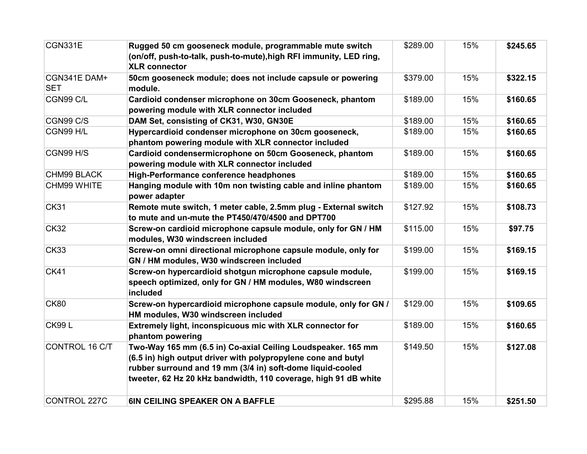| CGN331E                    | Rugged 50 cm gooseneck module, programmable mute switch<br>(on/off, push-to-talk, push-to-mute), high RFI immunity, LED ring,<br><b>XLR</b> connector                                                                                                          | \$289.00 | 15% | \$245.65 |
|----------------------------|----------------------------------------------------------------------------------------------------------------------------------------------------------------------------------------------------------------------------------------------------------------|----------|-----|----------|
| CGN341E DAM+<br><b>SET</b> | 50cm gooseneck module; does not include capsule or powering<br>module.                                                                                                                                                                                         | \$379.00 | 15% | \$322.15 |
| CGN99 C/L                  | Cardioid condenser microphone on 30cm Gooseneck, phantom<br>powering module with XLR connector included                                                                                                                                                        | \$189.00 | 15% | \$160.65 |
| CGN99 C/S                  | DAM Set, consisting of CK31, W30, GN30E                                                                                                                                                                                                                        | \$189.00 | 15% | \$160.65 |
| CGN99 H/L                  | Hypercardioid condenser microphone on 30cm gooseneck,<br>phantom powering module with XLR connector included                                                                                                                                                   | \$189.00 | 15% | \$160.65 |
| CGN99 H/S                  | Cardioid condensermicrophone on 50cm Gooseneck, phantom<br>powering module with XLR connector included                                                                                                                                                         | \$189.00 | 15% | \$160.65 |
| CHM99 BLACK                | <b>High-Performance conference headphones</b>                                                                                                                                                                                                                  | \$189.00 | 15% | \$160.65 |
| CHM99 WHITE                | Hanging module with 10m non twisting cable and inline phantom<br>power adapter                                                                                                                                                                                 | \$189.00 | 15% | \$160.65 |
| <b>CK31</b>                | Remote mute switch, 1 meter cable, 2.5mm plug - External switch<br>to mute and un-mute the PT450/470/4500 and DPT700                                                                                                                                           | \$127.92 | 15% | \$108.73 |
| <b>CK32</b>                | Screw-on cardioid microphone capsule module, only for GN / HM<br>modules, W30 windscreen included                                                                                                                                                              | \$115.00 | 15% | \$97.75  |
| <b>CK33</b>                | Screw-on omni directional microphone capsule module, only for<br>GN / HM modules, W30 windscreen included                                                                                                                                                      | \$199.00 | 15% | \$169.15 |
| <b>CK41</b>                | Screw-on hypercardioid shotgun microphone capsule module,<br>speech optimized, only for GN / HM modules, W80 windscreen<br>included                                                                                                                            | \$199.00 | 15% | \$169.15 |
| <b>CK80</b>                | Screw-on hypercardioid microphone capsule module, only for GN /<br>HM modules, W30 windscreen included                                                                                                                                                         | \$129.00 | 15% | \$109.65 |
| <b>CK99L</b>               | Extremely light, inconspicuous mic with XLR connector for<br>phantom powering                                                                                                                                                                                  | \$189.00 | 15% | \$160.65 |
| CONTROL 16 C/T             | Two-Way 165 mm (6.5 in) Co-axial Ceiling Loudspeaker. 165 mm<br>(6.5 in) high output driver with polypropylene cone and butyl<br>rubber surround and 19 mm (3/4 in) soft-dome liquid-cooled<br>tweeter, 62 Hz 20 kHz bandwidth, 110 coverage, high 91 dB white | \$149.50 | 15% | \$127.08 |
| <b>CONTROL 227C</b>        | <b>6IN CEILING SPEAKER ON A BAFFLE</b>                                                                                                                                                                                                                         | \$295.88 | 15% | \$251.50 |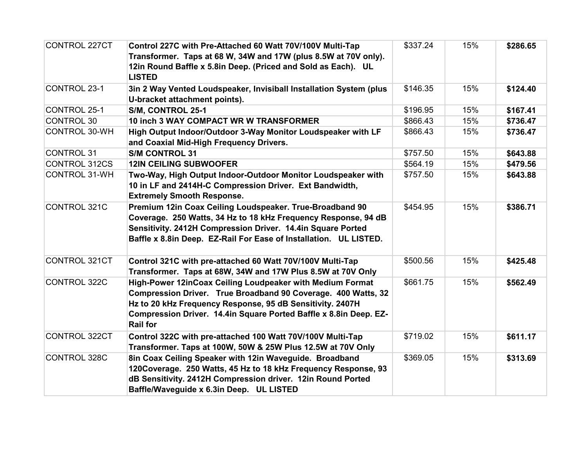| <b>CONTROL 227CT</b> | Control 227C with Pre-Attached 60 Watt 70V/100V Multi-Tap<br>Transformer. Taps at 68 W, 34W and 17W (plus 8.5W at 70V only).<br>12in Round Baffle x 5.8in Deep. (Priced and Sold as Each). UL<br><b>LISTED</b>                                                                  | \$337.24 | 15% | \$286.65 |
|----------------------|---------------------------------------------------------------------------------------------------------------------------------------------------------------------------------------------------------------------------------------------------------------------------------|----------|-----|----------|
| <b>CONTROL 23-1</b>  | 3in 2 Way Vented Loudspeaker, Invisiball Installation System (plus<br>U-bracket attachment points).                                                                                                                                                                             | \$146.35 | 15% | \$124.40 |
| <b>CONTROL 25-1</b>  | S/M, CONTROL 25-1                                                                                                                                                                                                                                                               | \$196.95 | 15% | \$167.41 |
| <b>CONTROL 30</b>    | 10 inch 3 WAY COMPACT WR W TRANSFORMER                                                                                                                                                                                                                                          | \$866.43 | 15% | \$736.47 |
| <b>CONTROL 30-WH</b> | High Output Indoor/Outdoor 3-Way Monitor Loudspeaker with LF<br>and Coaxial Mid-High Frequency Drivers.                                                                                                                                                                         | \$866.43 | 15% | \$736.47 |
| <b>CONTROL 31</b>    | <b>S/M CONTROL 31</b>                                                                                                                                                                                                                                                           | \$757.50 | 15% | \$643.88 |
| <b>CONTROL 312CS</b> | <b>12IN CEILING SUBWOOFER</b>                                                                                                                                                                                                                                                   | \$564.19 | 15% | \$479.56 |
| <b>CONTROL 31-WH</b> | Two-Way, High Output Indoor-Outdoor Monitor Loudspeaker with<br>10 in LF and 2414H-C Compression Driver. Ext Bandwidth,<br><b>Extremely Smooth Response.</b>                                                                                                                    | \$757.50 | 15% | \$643.88 |
| <b>CONTROL 321C</b>  | Premium 12in Coax Ceiling Loudspeaker. True-Broadband 90<br>Coverage. 250 Watts, 34 Hz to 18 kHz Frequency Response, 94 dB<br>Sensitivity. 2412H Compression Driver. 14.4in Square Ported<br>Baffle x 8.8in Deep. EZ-Rail For Ease of Installation. UL LISTED.                  | \$454.95 | 15% | \$386.71 |
| <b>CONTROL 321CT</b> | Control 321C with pre-attached 60 Watt 70V/100V Multi-Tap<br>Transformer. Taps at 68W, 34W and 17W Plus 8.5W at 70V Only                                                                                                                                                        | \$500.56 | 15% | \$425.48 |
| CONTROL 322C         | High-Power 12inCoax Ceiling Loudpeaker with Medium Format<br>Compression Driver. True Broadband 90 Coverage. 400 Watts, 32<br>Hz to 20 kHz Frequency Response, 95 dB Sensitivity. 2407H<br>Compression Driver. 14.4in Square Ported Baffle x 8.8in Deep. EZ-<br><b>Rail for</b> | \$661.75 | 15% | \$562.49 |
| <b>CONTROL 322CT</b> | Control 322C with pre-attached 100 Watt 70V/100V Multi-Tap<br>Transformer. Taps at 100W, 50W & 25W Plus 12.5W at 70V Only                                                                                                                                                       | \$719.02 | 15% | \$611.17 |
| <b>CONTROL 328C</b>  | 8in Coax Ceiling Speaker with 12in Waveguide. Broadband<br>120Coverage. 250 Watts, 45 Hz to 18 kHz Frequency Response, 93<br>dB Sensitivity. 2412H Compression driver. 12in Round Ported<br>Baffle/Waveguide x 6.3in Deep. UL LISTED                                            | \$369.05 | 15% | \$313.69 |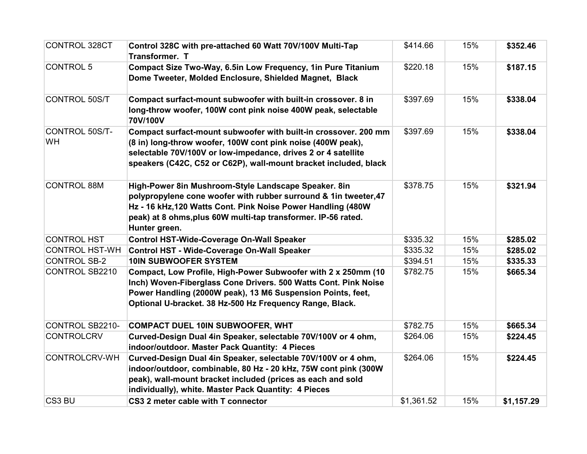| <b>CONTROL 328CT</b>        | Control 328C with pre-attached 60 Watt 70V/100V Multi-Tap<br><b>Transformer. T</b>                                                                                                                                                                                         | \$414.66   | 15% | \$352.46   |
|-----------------------------|----------------------------------------------------------------------------------------------------------------------------------------------------------------------------------------------------------------------------------------------------------------------------|------------|-----|------------|
| <b>CONTROL 5</b>            | Compact Size Two-Way, 6.5in Low Frequency, 1in Pure Titanium<br>Dome Tweeter, Molded Enclosure, Shielded Magnet, Black                                                                                                                                                     | \$220.18   | 15% | \$187.15   |
| <b>CONTROL 50S/T</b>        | Compact surfact-mount subwoofer with built-in crossover. 8 in<br>long-throw woofer, 100W cont pink noise 400W peak, selectable<br>70V/100V                                                                                                                                 | \$397.69   | 15% | \$338.04   |
| CONTROL 50S/T-<br><b>WH</b> | Compact surfact-mount subwoofer with built-in crossover. 200 mm<br>(8 in) long-throw woofer, 100W cont pink noise (400W peak),<br>selectable 70V/100V or low-impedance, drives 2 or 4 satellite<br>speakers (C42C, C52 or C62P), wall-mount bracket included, black        | \$397.69   | 15% | \$338.04   |
| <b>CONTROL 88M</b>          | High-Power 8in Mushroom-Style Landscape Speaker. 8in<br>polypropylene cone woofer with rubber surround & 1in tweeter, 47<br>Hz - 16 kHz, 120 Watts Cont. Pink Noise Power Handling (480W<br>peak) at 8 ohms, plus 60W multi-tap transformer. IP-56 rated.<br>Hunter green. | \$378.75   | 15% | \$321.94   |
| <b>CONTROL HST</b>          | <b>Control HST-Wide-Coverage On-Wall Speaker</b>                                                                                                                                                                                                                           | \$335.32   | 15% | \$285.02   |
| <b>CONTROL HST-WH</b>       | <b>Control HST - Wide-Coverage On-Wall Speaker</b>                                                                                                                                                                                                                         | \$335.32   | 15% | \$285.02   |
| <b>CONTROL SB-2</b>         | <b>10IN SUBWOOFER SYSTEM</b>                                                                                                                                                                                                                                               | \$394.51   | 15% | \$335.33   |
| <b>CONTROL SB2210</b>       | Compact, Low Profile, High-Power Subwoofer with 2 x 250mm (10<br>Inch) Woven-Fiberglass Cone Drivers. 500 Watts Cont. Pink Noise<br>Power Handling (2000W peak), 13 M6 Suspension Points, feet,<br>Optional U-bracket. 38 Hz-500 Hz Frequency Range, Black.                | \$782.75   | 15% | \$665.34   |
| CONTROL SB2210-             | <b>COMPACT DUEL 10IN SUBWOOFER, WHT</b>                                                                                                                                                                                                                                    | \$782.75   | 15% | \$665.34   |
| <b>CONTROLCRV</b>           | Curved-Design Dual 4in Speaker, selectable 70V/100V or 4 ohm,<br>indoor/outdoor. Master Pack Quantity: 4 Pieces                                                                                                                                                            | \$264.06   | 15% | \$224.45   |
| <b>CONTROLCRV-WH</b>        | Curved-Design Dual 4in Speaker, selectable 70V/100V or 4 ohm,<br>indoor/outdoor, combinable, 80 Hz - 20 kHz, 75W cont pink (300W<br>peak), wall-mount bracket included (prices as each and sold<br>individually), white. Master Pack Quantity: 4 Pieces                    | \$264.06   | 15% | \$224.45   |
| CS3 BU                      | CS3 2 meter cable with T connector                                                                                                                                                                                                                                         | \$1,361.52 | 15% | \$1,157.29 |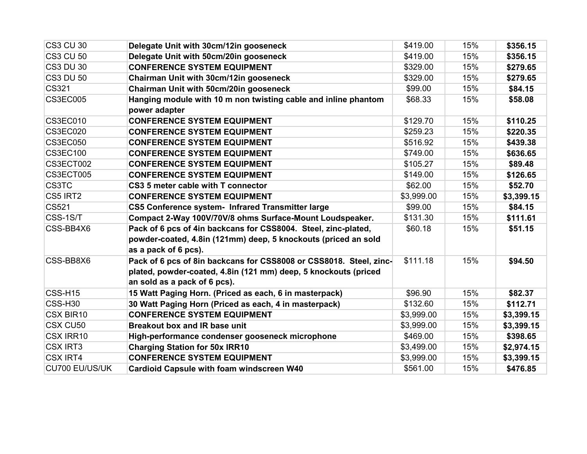| <b>CS3 CU 30</b>    | Delegate Unit with 30cm/12in gooseneck                             | \$419.00   | 15% | \$356.15   |
|---------------------|--------------------------------------------------------------------|------------|-----|------------|
| <b>CS3 CU 50</b>    | Delegate Unit with 50cm/20in gooseneck                             | \$419.00   | 15% | \$356.15   |
| <b>CS3 DU 30</b>    | <b>CONFERENCE SYSTEM EQUIPMENT</b>                                 | \$329.00   | 15% | \$279.65   |
| <b>CS3 DU 50</b>    | Chairman Unit with 30cm/12in gooseneck                             | \$329.00   | 15% | \$279.65   |
| CS321               | Chairman Unit with 50cm/20in gooseneck                             | \$99.00    | 15% | \$84.15    |
| <b>CS3EC005</b>     | Hanging module with 10 m non twisting cable and inline phantom     | \$68.33    | 15% | \$58.08    |
|                     | power adapter                                                      |            |     |            |
| CS3EC010            | <b>CONFERENCE SYSTEM EQUIPMENT</b>                                 | \$129.70   | 15% | \$110.25   |
| CS3EC020            | <b>CONFERENCE SYSTEM EQUIPMENT</b>                                 | \$259.23   | 15% | \$220.35   |
| CS3EC050            | <b>CONFERENCE SYSTEM EQUIPMENT</b>                                 | \$516.92   | 15% | \$439.38   |
| <b>CS3EC100</b>     | <b>CONFERENCE SYSTEM EQUIPMENT</b>                                 | \$749.00   | 15% | \$636.65   |
| CS3ECT002           | <b>CONFERENCE SYSTEM EQUIPMENT</b>                                 | \$105.27   | 15% | \$89.48    |
| CS3ECT005           | <b>CONFERENCE SYSTEM EQUIPMENT</b>                                 | \$149.00   | 15% | \$126.65   |
| CS3TC               | CS3 5 meter cable with T connector                                 | \$62.00    | 15% | \$52.70    |
| CS5 IRT2            | <b>CONFERENCE SYSTEM EQUIPMENT</b>                                 | \$3,999.00 | 15% | \$3,399.15 |
| CS521               | CS5 Conference system- Infrared Transmitter large                  | \$99.00    | 15% | \$84.15    |
| CSS-1S/T            | Compact 2-Way 100V/70V/8 ohms Surface-Mount Loudspeaker.           | \$131.30   | 15% | \$111.61   |
| CSS-BB4X6           | Pack of 6 pcs of 4in backcans for CSS8004. Steel, zinc-plated,     | \$60.18    | 15% | \$51.15    |
|                     | powder-coated, 4.8in (121mm) deep, 5 knockouts (priced an sold     |            |     |            |
|                     | as a pack of 6 pcs).                                               |            |     |            |
| CSS-BB8X6           | Pack of 6 pcs of 8in backcans for CSS8008 or CSS8018. Steel, zinc- | \$111.18   | 15% | \$94.50    |
|                     | plated, powder-coated, 4.8in (121 mm) deep, 5 knockouts (priced    |            |     |            |
|                     | an sold as a pack of 6 pcs).                                       |            |     |            |
| CSS-H15             | 15 Watt Paging Horn. (Priced as each, 6 in masterpack)             | \$96.90    | 15% | \$82.37    |
| CSS-H <sub>30</sub> | 30 Watt Paging Horn (Priced as each, 4 in masterpack)              | \$132.60   | 15% | \$112.71   |
| CSX BIR10           | <b>CONFERENCE SYSTEM EQUIPMENT</b>                                 | \$3,999.00 | 15% | \$3,399.15 |
| CSX CU50            | Breakout box and IR base unit                                      | \$3,999.00 | 15% | \$3,399.15 |
| CSX IRR10           | High-performance condenser gooseneck microphone                    | \$469.00   | 15% | \$398.65   |
| <b>CSX IRT3</b>     | <b>Charging Station for 50x IRR10</b>                              | \$3,499.00 | 15% | \$2,974.15 |
| <b>CSX IRT4</b>     | <b>CONFERENCE SYSTEM EQUIPMENT</b>                                 | \$3,999.00 | 15% | \$3,399.15 |
| CU700 EU/US/UK      | <b>Cardioid Capsule with foam windscreen W40</b>                   | \$561.00   | 15% | \$476.85   |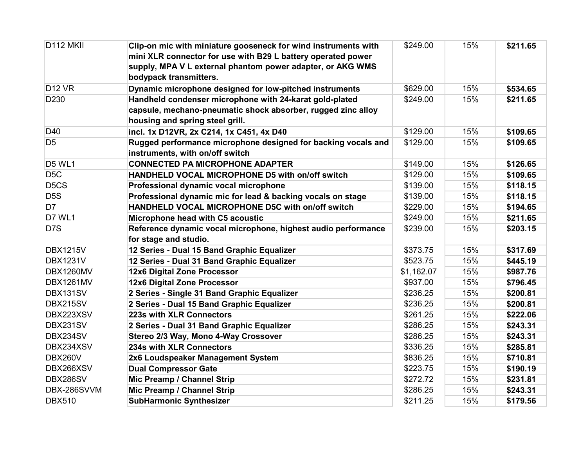| D112 MKII                     | Clip-on mic with miniature gooseneck for wind instruments with | \$249.00   | 15% | \$211.65 |
|-------------------------------|----------------------------------------------------------------|------------|-----|----------|
|                               | mini XLR connector for use with B29 L battery operated power   |            |     |          |
|                               | supply, MPA V L external phantom power adapter, or AKG WMS     |            |     |          |
|                               | bodypack transmitters.                                         |            |     |          |
| <b>D12 VR</b>                 | Dynamic microphone designed for low-pitched instruments        | \$629.00   | 15% | \$534.65 |
| D <sub>230</sub>              | Handheld condenser microphone with 24-karat gold-plated        | \$249.00   | 15% | \$211.65 |
|                               | capsule, mechano-pneumatic shock absorber, rugged zinc alloy   |            |     |          |
|                               | housing and spring steel grill.                                |            |     |          |
| D40                           | incl. 1x D12VR, 2x C214, 1x C451, 4x D40                       | \$129.00   | 15% | \$109.65 |
| D <sub>5</sub>                | Rugged performance microphone designed for backing vocals and  | \$129.00   | 15% | \$109.65 |
|                               | instruments, with on/off switch                                |            |     |          |
| <b>D5 WL1</b>                 | <b>CONNECTED PA MICROPHONE ADAPTER</b>                         | \$149.00   | 15% | \$126.65 |
| D <sub>5</sub> C              | HANDHELD VOCAL MICROPHONE D5 with on/off switch                | \$129.00   | 15% | \$109.65 |
| D <sub>5</sub> C <sub>S</sub> | Professional dynamic vocal microphone                          | \$139.00   | 15% | \$118.15 |
| D <sub>5</sub> S              | Professional dynamic mic for lead & backing vocals on stage    | \$139.00   | 15% | \$118.15 |
| D7                            | HANDHELD VOCAL MICROPHONE D5C with on/off switch               | \$229.00   | 15% | \$194.65 |
| D7 WL1                        | Microphone head with C5 acoustic                               | \$249.00   | 15% | \$211.65 |
| D <sub>7</sub> S              | Reference dynamic vocal microphone, highest audio performance  | \$239.00   | 15% | \$203.15 |
|                               | for stage and studio.                                          |            |     |          |
| <b>DBX1215V</b>               | 12 Series - Dual 15 Band Graphic Equalizer                     | \$373.75   | 15% | \$317.69 |
| <b>DBX1231V</b>               | 12 Series - Dual 31 Band Graphic Equalizer                     | \$523.75   | 15% | \$445.19 |
| DBX1260MV                     | 12x6 Digital Zone Processor                                    | \$1,162.07 | 15% | \$987.76 |
| DBX1261MV                     | 12x6 Digital Zone Processor                                    | \$937.00   | 15% | \$796.45 |
| DBX131SV                      | 2 Series - Single 31 Band Graphic Equalizer                    | \$236.25   | 15% | \$200.81 |
| DBX215SV                      | 2 Series - Dual 15 Band Graphic Equalizer                      | \$236.25   | 15% | \$200.81 |
| DBX223XSV                     | 223s with XLR Connectors                                       | \$261.25   | 15% | \$222.06 |
| DBX231SV                      | 2 Series - Dual 31 Band Graphic Equalizer                      | \$286.25   | 15% | \$243.31 |
| DBX234SV                      | Stereo 2/3 Way, Mono 4-Way Crossover                           | \$286.25   | 15% | \$243.31 |
| DBX234XSV                     | 234s with XLR Connectors                                       | \$336.25   | 15% | \$285.81 |
| DBX260V                       | 2x6 Loudspeaker Management System                              | \$836.25   | 15% | \$710.81 |
| DBX266XSV                     | <b>Dual Compressor Gate</b>                                    | \$223.75   | 15% | \$190.19 |
| DBX286SV                      | Mic Preamp / Channel Strip                                     | \$272.72   | 15% | \$231.81 |
| DBX-286SVVM                   | Mic Preamp / Channel Strip                                     | \$286.25   | 15% | \$243.31 |
| <b>DBX510</b>                 | <b>SubHarmonic Synthesizer</b>                                 | \$211.25   | 15% | \$179.56 |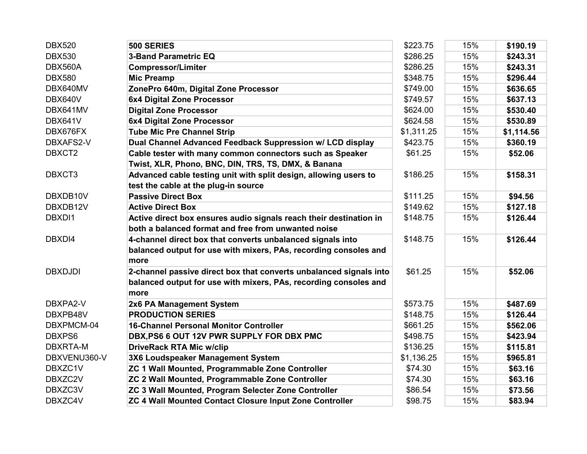| <b>DBX520</b>  | 500 SERIES                                                         | \$223.75   | 15% | \$190.19   |
|----------------|--------------------------------------------------------------------|------------|-----|------------|
| <b>DBX530</b>  | <b>3-Band Parametric EQ</b>                                        | \$286.25   | 15% | \$243.31   |
| DBX560A        | <b>Compressor/Limiter</b>                                          | \$286.25   | 15% | \$243.31   |
| <b>DBX580</b>  | <b>Mic Preamp</b>                                                  | \$348.75   | 15% | \$296.44   |
| DBX640MV       | ZonePro 640m, Digital Zone Processor                               | \$749.00   | 15% | \$636.65   |
| DBX640V        | 6x4 Digital Zone Processor                                         | \$749.57   | 15% | \$637.13   |
| DBX641MV       | <b>Digital Zone Processor</b>                                      | \$624.00   | 15% | \$530.40   |
| DBX641V        | 6x4 Digital Zone Processor                                         | \$624.58   | 15% | \$530.89   |
| DBX676FX       | <b>Tube Mic Pre Channel Strip</b>                                  | \$1,311.25 | 15% | \$1,114.56 |
| DBXAFS2-V      | Dual Channel Advanced Feedback Suppression w/ LCD display          | \$423.75   | 15% | \$360.19   |
| DBXCT2         | Cable tester with many common connectors such as Speaker           | \$61.25    | 15% | \$52.06    |
|                | Twist, XLR, Phono, BNC, DIN, TRS, TS, DMX, & Banana                |            |     |            |
| DBXCT3         | Advanced cable testing unit with split design, allowing users to   | \$186.25   | 15% | \$158.31   |
|                | test the cable at the plug-in source                               |            |     |            |
| DBXDB10V       | <b>Passive Direct Box</b>                                          | \$111.25   | 15% | \$94.56    |
| DBXDB12V       | <b>Active Direct Box</b>                                           | \$149.62   | 15% | \$127.18   |
| DBXDI1         | Active direct box ensures audio signals reach their destination in | \$148.75   | 15% | \$126.44   |
|                | both a balanced format and free from unwanted noise                |            |     |            |
| DBXDI4         | 4-channel direct box that converts unbalanced signals into         | \$148.75   | 15% | \$126.44   |
|                | balanced output for use with mixers, PAs, recording consoles and   |            |     |            |
|                | more                                                               |            |     |            |
| <b>DBXDJDI</b> | 2-channel passive direct box that converts unbalanced signals into | \$61.25    | 15% | \$52.06    |
|                | balanced output for use with mixers, PAs, recording consoles and   |            |     |            |
|                | more                                                               |            |     |            |
| DBXPA2-V       | 2x6 PA Management System                                           | \$573.75   | 15% | \$487.69   |
| DBXPB48V       | <b>PRODUCTION SERIES</b>                                           | \$148.75   | 15% | \$126.44   |
| DBXPMCM-04     | <b>16-Channel Personal Monitor Controller</b>                      | \$661.25   | 15% | \$562.06   |
| DBXPS6         | DBX, PS6 6 OUT 12V PWR SUPPLY FOR DBX PMC                          | \$498.75   | 15% | \$423.94   |
| DBXRTA-M       | <b>DriveRack RTA Mic w/clip</b>                                    | \$136.25   | 15% | \$115.81   |
| DBXVENU360-V   | 3X6 Loudspeaker Management System                                  | \$1,136.25 | 15% | \$965.81   |
| DBXZC1V        | ZC 1 Wall Mounted, Programmable Zone Controller                    | \$74.30    | 15% | \$63.16    |
| DBXZC2V        | ZC 2 Wall Mounted, Programmable Zone Controller                    | \$74.30    | 15% | \$63.16    |
| DBXZC3V        | ZC 3 Wall Mounted, Program Selecter Zone Controller                | \$86.54    | 15% | \$73.56    |
| DBXZC4V        | ZC 4 Wall Mounted Contact Closure Input Zone Controller            | \$98.75    | 15% | \$83.94    |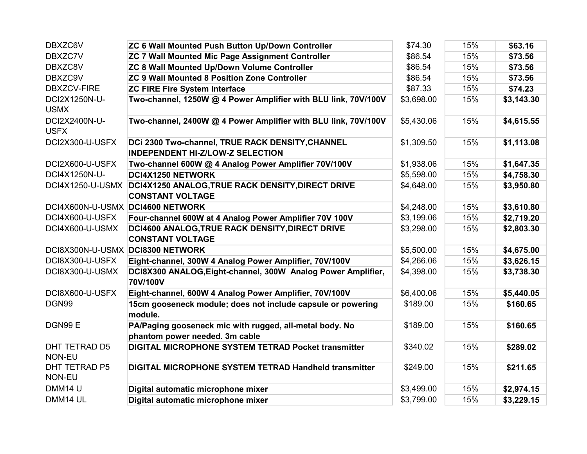| DBXZC6V                          | ZC 6 Wall Mounted Push Button Up/Down Controller                                            | \$74.30    | 15% | \$63.16    |
|----------------------------------|---------------------------------------------------------------------------------------------|------------|-----|------------|
| DBXZC7V                          | ZC 7 Wall Mounted Mic Page Assignment Controller                                            | \$86.54    | 15% | \$73.56    |
| DBXZC8V                          | ZC 8 Wall Mounted Up/Down Volume Controller                                                 | \$86.54    | 15% | \$73.56    |
| DBXZC9V                          | <b>ZC 9 Wall Mounted 8 Position Zone Controller</b>                                         | \$86.54    | 15% | \$73.56    |
| <b>DBXZCV-FIRE</b>               | <b>ZC FIRE Fire System Interface</b>                                                        | \$87.33    | 15% | \$74.23    |
| DCI2X1250N-U-<br><b>USMX</b>     | Two-channel, 1250W @ 4 Power Amplifier with BLU link, 70V/100V                              | \$3,698.00 | 15% | \$3,143.30 |
| DCI2X2400N-U-<br><b>USFX</b>     | Two-channel, 2400W @ 4 Power Amplifier with BLU link, 70V/100V                              | \$5,430.06 | 15% | \$4,615.55 |
| DCI2X300-U-USFX                  | DCi 2300 Two-channel, TRUE RACK DENSITY, CHANNEL<br><b>INDEPENDENT HI-Z/LOW-Z SELECTION</b> | \$1,309.50 | 15% | \$1,113.08 |
| DCI2X600-U-USFX                  | Two-channel 600W @ 4 Analog Power Amplifier 70V/100V                                        | \$1,938.06 | 15% | \$1,647.35 |
| DCI4X1250N-U-                    | DCI4X1250 NETWORK                                                                           | \$5,598.00 | 15% | \$4,758.30 |
| DCI4X1250-U-USMX                 | DCI4X1250 ANALOG, TRUE RACK DENSITY, DIRECT DRIVE<br><b>CONSTANT VOLTAGE</b>                | \$4,648.00 | 15% | \$3,950.80 |
| DCI4X600N-U-USMX                 | <b>DCI4600 NETWORK</b>                                                                      | \$4,248.00 | 15% | \$3,610.80 |
| DCI4X600-U-USFX                  | Four-channel 600W at 4 Analog Power Amplifier 70V 100V                                      | \$3,199.06 | 15% | \$2,719.20 |
| DCI4X600-U-USMX                  | DCI4600 ANALOG, TRUE RACK DENSITY, DIRECT DRIVE<br><b>CONSTANT VOLTAGE</b>                  | \$3,298.00 | 15% | \$2,803.30 |
| DCI8X300N-U-USMX DCI8300 NETWORK |                                                                                             | \$5,500.00 | 15% | \$4,675.00 |
| DCI8X300-U-USFX                  | Eight-channel, 300W 4 Analog Power Amplifier, 70V/100V                                      | \$4,266.06 | 15% | \$3,626.15 |
| DCI8X300-U-USMX                  | DCI8X300 ANALOG, Eight-channel, 300W Analog Power Amplifier,<br>70V/100V                    | \$4,398.00 | 15% | \$3,738.30 |
| DCI8X600-U-USFX                  | Eight-channel, 600W 4 Analog Power Amplifier, 70V/100V                                      | \$6,400.06 | 15% | \$5,440.05 |
| DGN99                            | 15cm gooseneck module; does not include capsule or powering<br>module.                      | \$189.00   | 15% | \$160.65   |
| DGN99 E                          | PA/Paging gooseneck mic with rugged, all-metal body. No<br>phantom power needed. 3m cable   | \$189.00   | 15% | \$160.65   |
| DHT TETRAD D5<br>NON-EU          | <b>DIGITAL MICROPHONE SYSTEM TETRAD Pocket transmitter</b>                                  | \$340.02   | 15% | \$289.02   |
| DHT TETRAD P5<br>NON-EU          | <b>DIGITAL MICROPHONE SYSTEM TETRAD Handheld transmitter</b>                                | \$249.00   | 15% | \$211.65   |
| DMM14 U                          | Digital automatic microphone mixer                                                          | \$3,499.00 | 15% | \$2,974.15 |
| DMM14 UL                         | Digital automatic microphone mixer                                                          | \$3,799.00 | 15% | \$3,229.15 |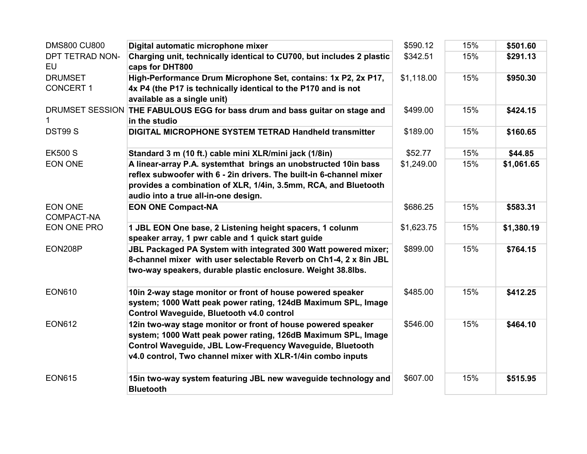| <b>DMS800 CU800</b>                | Digital automatic microphone mixer                                                                                                                                                                                                                        | \$590.12   | 15% | \$501.60   |
|------------------------------------|-----------------------------------------------------------------------------------------------------------------------------------------------------------------------------------------------------------------------------------------------------------|------------|-----|------------|
| DPT TETRAD NON-<br>EU              | Charging unit, technically identical to CU700, but includes 2 plastic<br>caps for DHT800                                                                                                                                                                  | \$342.51   | 15% | \$291.13   |
| <b>DRUMSET</b><br><b>CONCERT 1</b> | High-Performance Drum Microphone Set, contains: 1x P2, 2x P17,<br>4x P4 (the P17 is technically identical to the P170 and is not<br>available as a single unit)                                                                                           | \$1,118.00 | 15% | \$950.30   |
| DRUMSET SESSION                    | THE FABULOUS EGG for bass drum and bass guitar on stage and<br>in the studio                                                                                                                                                                              | \$499.00   | 15% | \$424.15   |
| DST99 <sub>S</sub>                 | <b>DIGITAL MICROPHONE SYSTEM TETRAD Handheld transmitter</b>                                                                                                                                                                                              | \$189.00   | 15% | \$160.65   |
| <b>EK500 S</b>                     | Standard 3 m (10 ft.) cable mini XLR/mini jack (1/8in)                                                                                                                                                                                                    | \$52.77    | 15% | \$44.85    |
| <b>EON ONE</b>                     | A linear-array P.A. systemthat brings an unobstructed 10in bass<br>reflex subwoofer with 6 - 2in drivers. The built-in 6-channel mixer<br>provides a combination of XLR, 1/4in, 3.5mm, RCA, and Bluetooth<br>audio into a true all-in-one design.         | \$1,249.00 | 15% | \$1,061.65 |
| <b>EON ONE</b><br>COMPACT-NA       | <b>EON ONE Compact-NA</b>                                                                                                                                                                                                                                 | \$686.25   | 15% | \$583.31   |
| <b>EON ONE PRO</b>                 | 1 JBL EON One base, 2 Listening height spacers, 1 colunm<br>speaker array, 1 pwr cable and 1 quick start guide                                                                                                                                            | \$1,623.75 | 15% | \$1,380.19 |
| EON208P                            | <b>JBL Packaged PA System with integrated 300 Watt powered mixer;</b><br>8-channel mixer with user selectable Reverb on Ch1-4, 2 x 8in JBL<br>two-way speakers, durable plastic enclosure. Weight 38.8lbs.                                                | \$899.00   | 15% | \$764.15   |
| <b>EON610</b>                      | 10in 2-way stage monitor or front of house powered speaker<br>system; 1000 Watt peak power rating, 124dB Maximum SPL, Image<br>Control Waveguide, Bluetooth v4.0 control                                                                                  | \$485.00   | 15% | \$412.25   |
| <b>EON612</b>                      | 12in two-way stage monitor or front of house powered speaker<br>system; 1000 Watt peak power rating, 126dB Maximum SPL, Image<br>Control Waveguide, JBL Low-Frequency Waveguide, Bluetooth<br>v4.0 control, Two channel mixer with XLR-1/4in combo inputs | \$546.00   | 15% | \$464.10   |
| <b>EON615</b>                      | 15in two-way system featuring JBL new waveguide technology and<br><b>Bluetooth</b>                                                                                                                                                                        | \$607.00   | 15% | \$515.95   |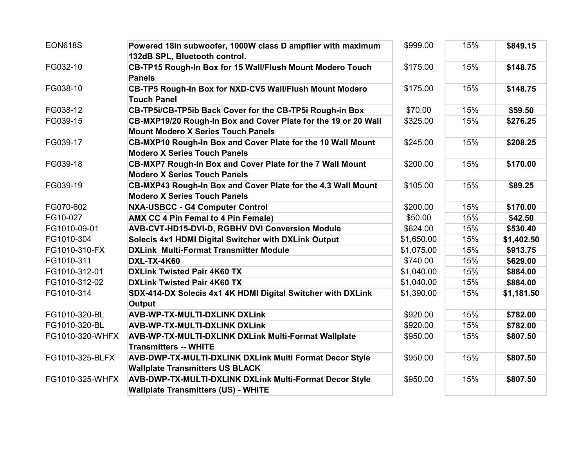| <b>EON618S</b>  | Powered 18in subwoofer, 1000W class D ampflier with maximum    | \$999.00   | 15% | \$849.15   |
|-----------------|----------------------------------------------------------------|------------|-----|------------|
|                 | 132dB SPL, Bluetooth control.                                  |            |     |            |
| FG032-10        | CB-TP15 Rough-In Box for 15 Wall/Flush Mount Modero Touch      | \$175.00   | 15% | \$148.75   |
|                 | <b>Panels</b>                                                  |            |     |            |
| FG038-10        | CB-TP5 Rough-In Box for NXD-CV5 Wall/Flush Mount Modero        | \$175.00   | 15% | \$148.75   |
|                 | <b>Touch Panel</b>                                             |            |     |            |
| FG038-12        | CB-TP5i/CB-TP5ib Back Cover for the CB-TP5i Rough-in Box       | \$70.00    | 15% | \$59.50    |
| FG039-15        | CB-MXP19/20 Rough-In Box and Cover Plate for the 19 or 20 Wall | \$325.00   | 15% | \$276.25   |
|                 | <b>Mount Modero X Series Touch Panels</b>                      |            |     |            |
| FG039-17        | CB-MXP10 Rough-In Box and Cover Plate for the 10 Wall Mount    | \$245.00   | 15% | \$208.25   |
|                 | <b>Modero X Series Touch Panels</b>                            |            |     |            |
| FG039-18        | CB-MXP7 Rough-In Box and Cover Plate for the 7 Wall Mount      | \$200.00   | 15% | \$170.00   |
|                 | <b>Modero X Series Touch Panels</b>                            |            |     |            |
| FG039-19        | CB-MXP43 Rough-In Box and Cover Plate for the 4.3 Wall Mount   | \$105.00   | 15% | \$89.25    |
|                 | <b>Modero X Series Touch Panels</b>                            |            |     |            |
| FG070-602       | <b>NXA-USBCC - G4 Computer Control</b>                         | \$200.00   | 15% | \$170.00   |
| FG10-027        | AMX CC 4 Pin Femal to 4 Pin Female)                            | \$50.00    | 15% | \$42.50    |
| FG1010-09-01    | AVB-CVT-HD15-DVI-D, RGBHV DVI Conversion Module                | \$624.00   | 15% | \$530.40   |
| FG1010-304      | Solecis 4x1 HDMI Digital Switcher with DXLink Output           | \$1,650.00 | 15% | \$1,402.50 |
| FG1010-310-FX   | <b>DXLink Multi-Format Transmitter Module</b>                  | \$1,075.00 | 15% | \$913.75   |
| FG1010-311      | <b>DXL-TX-4K60</b>                                             | \$740.00   | 15% | \$629.00   |
| FG1010-312-01   | <b>DXLink Twisted Pair 4K60 TX</b>                             | \$1,040.00 | 15% | \$884.00   |
| FG1010-312-02   | <b>DXLink Twisted Pair 4K60 TX</b>                             | \$1,040.00 | 15% | \$884.00   |
| FG1010-314      | SDX-414-DX Solecis 4x1 4K HDMI Digital Switcher with DXLink    | \$1,390.00 | 15% | \$1,181.50 |
|                 | Output                                                         |            |     |            |
| FG1010-320-BL   | <b>AVB-WP-TX-MULTI-DXLINK DXLink</b>                           | \$920.00   | 15% | \$782.00   |
| FG1010-320-BL   | <b>AVB-WP-TX-MULTI-DXLINK DXLink</b>                           | \$920.00   | 15% | \$782.00   |
| FG1010-320-WHFX | AVB-WP-TX-MULTI-DXLINK DXLink Multi-Format Wallplate           | \$950.00   | 15% | \$807.50   |
|                 | <b>Transmitters -- WHITE</b>                                   |            |     |            |
| FG1010-325-BLFX | AVB-DWP-TX-MULTI-DXLINK DXLink Multi Format Decor Style        | \$950.00   | 15% | \$807.50   |
|                 | <b>Wallplate Transmitters US BLACK</b>                         |            |     |            |
| FG1010-325-WHFX | AVB-DWP-TX-MULTI-DXLINK DXLink Multi-Format Decor Style        | \$950.00   | 15% | \$807.50   |
|                 | <b>Wallplate Transmitters (US) - WHITE</b>                     |            |     |            |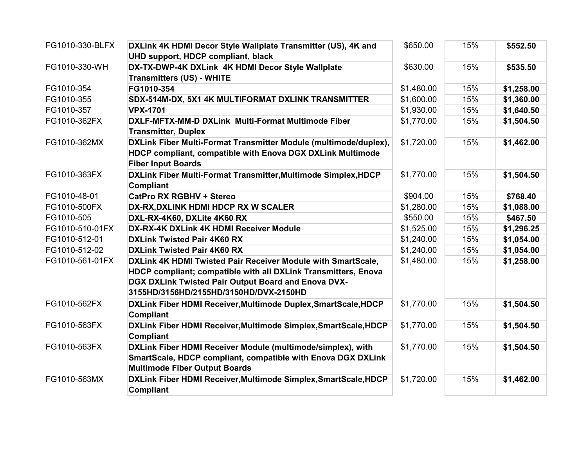| FG1010-330-BLFX | DXLink 4K HDMI Decor Style Wallplate Transmitter (US), 4K and    | \$650.00   | 15% | \$552.50   |
|-----------------|------------------------------------------------------------------|------------|-----|------------|
|                 | UHD support, HDCP compliant, black                               |            |     |            |
| FG1010-330-WH   | DX-TX-DWP-4K DXLink 4K HDMI Decor Style Wallplate                | \$630.00   | 15% | \$535.50   |
|                 | <b>Transmitters (US) - WHITE</b>                                 |            |     |            |
| FG1010-354      | FG1010-354                                                       | \$1,480.00 | 15% | \$1,258.00 |
| FG1010-355      | SDX-514M-DX, 5X1 4K MULTIFORMAT DXLINK TRANSMITTER               | \$1,600.00 | 15% | \$1,360.00 |
| FG1010-357      | <b>VPX-1701</b>                                                  | \$1,930.00 | 15% | \$1,640.50 |
| FG1010-362FX    | DXLF-MFTX-MM-D DXLink Multi-Format Multimode Fiber               | \$1,770.00 | 15% | \$1,504.50 |
|                 | <b>Transmitter, Duplex</b>                                       |            |     |            |
| FG1010-362MX    | DXLink Fiber Multi-Format Transmitter Module (multimode/duplex), | \$1,720.00 | 15% | \$1,462.00 |
|                 | HDCP compliant, compatible with Enova DGX DXLink Multimode       |            |     |            |
|                 | <b>Fiber Input Boards</b>                                        |            |     |            |
| FG1010-363FX    | DXLink Fiber Multi-Format Transmitter, Multimode Simplex, HDCP   | \$1,770.00 | 15% | \$1,504.50 |
|                 | Compliant                                                        |            |     |            |
| FG1010-48-01    | <b>CatPro RX RGBHV + Stereo</b>                                  | \$904.00   | 15% | \$768.40   |
| FG1010-500FX    | DX-RX, DXLINK HDMI HDCP RX W SCALER                              | \$1,280.00 | 15% | \$1,088.00 |
| FG1010-505      | DXL-RX-4K60, DXLite 4K60 RX                                      | \$550.00   | 15% | \$467.50   |
| FG1010-510-01FX | DX-RX-4K DXLink 4K HDMI Receiver Module                          | \$1,525.00 | 15% | \$1,296.25 |
| FG1010-512-01   | <b>DXLink Twisted Pair 4K60 RX</b>                               | \$1,240.00 | 15% | \$1,054.00 |
| FG1010-512-02   | <b>DXLink Twisted Pair 4K60 RX</b>                               | \$1,240.00 | 15% | \$1,054.00 |
| FG1010-561-01FX | DXLink 4K HDMI Twisted Pair Receiver Module with SmartScale,     | \$1,480.00 | 15% | \$1,258.00 |
|                 | HDCP compliant; compatible with all DXLink Transmitters, Enova   |            |     |            |
|                 | DGX DXLink Twisted Pair Output Board and Enova DVX-              |            |     |            |
|                 | 3155HD/3156HD/2155HD/3150HD/DVX-2150HD                           |            |     |            |
| FG1010-562FX    | DXLink Fiber HDMI Receiver, Multimode Duplex, SmartScale, HDCP   | \$1,770.00 | 15% | \$1,504.50 |
|                 | <b>Compliant</b>                                                 |            |     |            |
| FG1010-563FX    | DXLink Fiber HDMI Receiver, Multimode Simplex, SmartScale, HDCP  | \$1,770.00 | 15% | \$1,504.50 |
|                 | <b>Compliant</b>                                                 |            |     |            |
| FG1010-563FX    | DXLink Fiber HDMI Receiver Module (multimode/simplex), with      | \$1,770.00 | 15% | \$1,504.50 |
|                 | SmartScale, HDCP compliant, compatible with Enova DGX DXLink     |            |     |            |
|                 | <b>Multimode Fiber Output Boards</b>                             |            |     |            |
| FG1010-563MX    | DXLink Fiber HDMI Receiver, Multimode Simplex, SmartScale, HDCP  | \$1,720.00 | 15% | \$1,462.00 |
|                 | <b>Compliant</b>                                                 |            |     |            |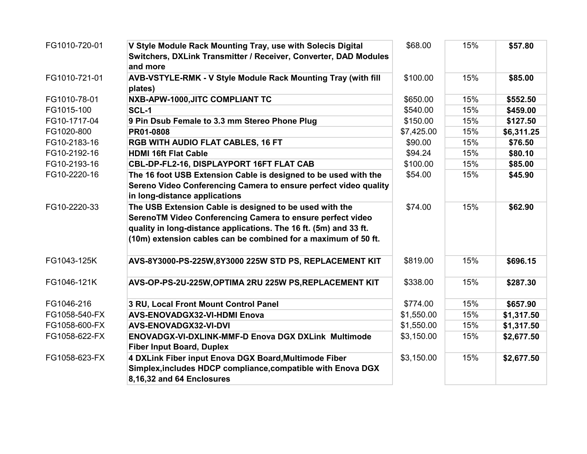| FG1010-720-01 | V Style Module Rack Mounting Tray, use with Solecis Digital                                                                                                                                                                                                  | \$68.00    | 15% | \$57.80    |
|---------------|--------------------------------------------------------------------------------------------------------------------------------------------------------------------------------------------------------------------------------------------------------------|------------|-----|------------|
|               | Switchers, DXLink Transmitter / Receiver, Converter, DAD Modules<br>and more                                                                                                                                                                                 |            |     |            |
| FG1010-721-01 | AVB-VSTYLE-RMK - V Style Module Rack Mounting Tray (with fill<br>plates)                                                                                                                                                                                     | \$100.00   | 15% | \$85.00    |
| FG1010-78-01  | NXB-APW-1000, JITC COMPLIANT TC                                                                                                                                                                                                                              | \$650.00   | 15% | \$552.50   |
| FG1015-100    | SCL-1                                                                                                                                                                                                                                                        | \$540.00   | 15% | \$459.00   |
| FG10-1717-04  | 9 Pin Dsub Female to 3.3 mm Stereo Phone Plug                                                                                                                                                                                                                | \$150.00   | 15% | \$127.50   |
| FG1020-800    | PR01-0808                                                                                                                                                                                                                                                    | \$7,425.00 | 15% | \$6,311.25 |
| FG10-2183-16  | RGB WITH AUDIO FLAT CABLES, 16 FT                                                                                                                                                                                                                            | \$90.00    | 15% | \$76.50    |
| FG10-2192-16  | <b>HDMI 16ft Flat Cable</b>                                                                                                                                                                                                                                  | \$94.24    | 15% | \$80.10    |
| FG10-2193-16  | CBL-DP-FL2-16, DISPLAYPORT 16FT FLAT CAB                                                                                                                                                                                                                     | \$100.00   | 15% | \$85.00    |
| FG10-2220-16  | The 16 foot USB Extension Cable is designed to be used with the                                                                                                                                                                                              | \$54.00    | 15% | \$45.90    |
|               | Sereno Video Conferencing Camera to ensure perfect video quality<br>in long-distance applications                                                                                                                                                            |            |     |            |
| FG10-2220-33  | The USB Extension Cable is designed to be used with the<br>SerenoTM Video Conferencing Camera to ensure perfect video<br>quality in long-distance applications. The 16 ft. (5m) and 33 ft.<br>(10m) extension cables can be combined for a maximum of 50 ft. | \$74.00    | 15% | \$62.90    |
| FG1043-125K   | AVS-8Y3000-PS-225W,8Y3000 225W STD PS, REPLACEMENT KIT                                                                                                                                                                                                       | \$819.00   | 15% | \$696.15   |
| FG1046-121K   | AVS-OP-PS-2U-225W, OPTIMA 2RU 225W PS, REPLACEMENT KIT                                                                                                                                                                                                       | \$338.00   | 15% | \$287.30   |
| FG1046-216    | 3 RU, Local Front Mount Control Panel                                                                                                                                                                                                                        | \$774.00   | 15% | \$657.90   |
| FG1058-540-FX | AVS-ENOVADGX32-VI-HDMI Enova                                                                                                                                                                                                                                 | \$1,550.00 | 15% | \$1,317.50 |
| FG1058-600-FX | AVS-ENOVADGX32-VI-DVI                                                                                                                                                                                                                                        | \$1,550.00 | 15% | \$1,317.50 |
| FG1058-622-FX | <b>ENOVADGX-VI-DXLINK-MMF-D Enova DGX DXLink Multimode</b><br><b>Fiber Input Board, Duplex</b>                                                                                                                                                               | \$3,150.00 | 15% | \$2,677.50 |
| FG1058-623-FX | 4 DXLink Fiber input Enova DGX Board, Multimode Fiber                                                                                                                                                                                                        | \$3,150.00 | 15% | \$2,677.50 |
|               | Simplex, includes HDCP compliance, compatible with Enova DGX<br>8,16,32 and 64 Enclosures                                                                                                                                                                    |            |     |            |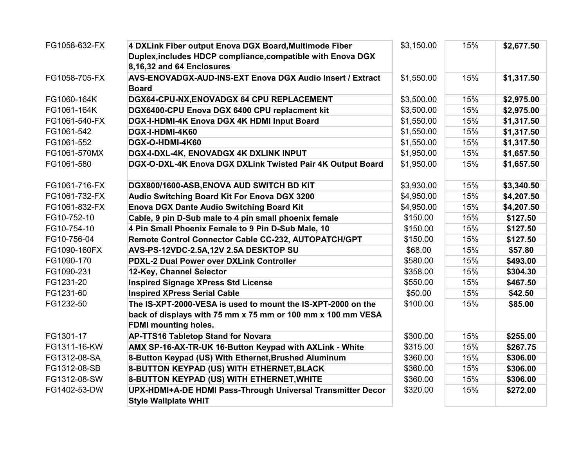| FG1058-632-FX | 4 DXLink Fiber output Enova DGX Board, Multimode Fiber       | \$3,150.00 | 15% | \$2,677.50 |
|---------------|--------------------------------------------------------------|------------|-----|------------|
|               | Duplex, includes HDCP compliance, compatible with Enova DGX  |            |     |            |
|               | 8,16,32 and 64 Enclosures                                    |            |     |            |
| FG1058-705-FX | AVS-ENOVADGX-AUD-INS-EXT Enova DGX Audio Insert / Extract    | \$1,550.00 | 15% | \$1,317.50 |
|               | <b>Board</b>                                                 |            |     |            |
| FG1060-164K   | DGX64-CPU-NX, ENOVADGX 64 CPU REPLACEMENT                    | \$3,500.00 | 15% | \$2,975.00 |
| FG1061-164K   | DGX6400-CPU Enova DGX 6400 CPU replacment kit                | \$3,500.00 | 15% | \$2,975.00 |
| FG1061-540-FX | DGX-I-HDMI-4K Enova DGX 4K HDMI Input Board                  | \$1,550.00 | 15% | \$1,317.50 |
| FG1061-542    | DGX-I-HDMI-4K60                                              | \$1,550.00 | 15% | \$1,317.50 |
| FG1061-552    | DGX-O-HDMI-4K60                                              | \$1,550.00 | 15% | \$1,317.50 |
| FG1061-570MX  | DGX-I-DXL-4K, ENOVADGX 4K DXLINK INPUT                       | \$1,950.00 | 15% | \$1,657.50 |
| FG1061-580    | DGX-O-DXL-4K Enova DGX DXLink Twisted Pair 4K Output Board   | \$1,950.00 | 15% | \$1,657.50 |
|               |                                                              |            |     |            |
| FG1061-716-FX | DGX800/1600-ASB, ENOVA AUD SWITCH BD KIT                     | \$3,930.00 | 15% | \$3,340.50 |
| FG1061-732-FX | Audio Switching Board Kit For Enova DGX 3200                 | \$4,950.00 | 15% | \$4,207.50 |
| FG1061-832-FX | <b>Enova DGX Dante Audio Switching Board Kit</b>             | \$4,950.00 | 15% | \$4,207.50 |
| FG10-752-10   | Cable, 9 pin D-Sub male to 4 pin small phoenix female        | \$150.00   | 15% | \$127.50   |
| FG10-754-10   | 4 Pin Small Phoenix Female to 9 Pin D-Sub Male, 10           | \$150.00   | 15% | \$127.50   |
| FG10-756-04   | Remote Control Connector Cable CC-232, AUTOPATCH/GPT         | \$150.00   | 15% | \$127.50   |
| FG1090-160FX  | AVS-PS-12VDC-2.5A,12V 2.5A DESKTOP SU                        | \$68.00    | 15% | \$57.80    |
| FG1090-170    | <b>PDXL-2 Dual Power over DXLink Controller</b>              | \$580.00   | 15% | \$493.00   |
| FG1090-231    | 12-Key, Channel Selector                                     | \$358.00   | 15% | \$304.30   |
| FG1231-20     | <b>Inspired Signage XPress Std License</b>                   | \$550.00   | 15% | \$467.50   |
| FG1231-60     | <b>Inspired XPress Serial Cable</b>                          | \$50.00    | 15% | \$42.50    |
| FG1232-50     | The IS-XPT-2000-VESA is used to mount the IS-XPT-2000 on the | \$100.00   | 15% | \$85.00    |
|               | back of displays with 75 mm x 75 mm or 100 mm x 100 mm VESA  |            |     |            |
|               | <b>FDMI mounting holes.</b>                                  |            |     |            |
| FG1301-17     | <b>AP-TTS16 Tabletop Stand for Novara</b>                    | \$300.00   | 15% | \$255.00   |
| FG1311-16-KW  | AMX SP-16-AX-TR-UK 16-Button Keypad with AXLink - White      | \$315.00   | 15% | \$267.75   |
| FG1312-08-SA  | 8-Button Keypad (US) With Ethernet, Brushed Aluminum         | \$360.00   | 15% | \$306.00   |
| FG1312-08-SB  | 8-BUTTON KEYPAD (US) WITH ETHERNET, BLACK                    | \$360.00   | 15% | \$306.00   |
| FG1312-08-SW  | 8-BUTTON KEYPAD (US) WITH ETHERNET, WHITE                    | \$360.00   | 15% | \$306.00   |
| FG1402-53-DW  | UPX-HDMI+A-DE HDMI Pass-Through Universal Transmitter Decor  | \$320.00   | 15% | \$272.00   |
|               | <b>Style Wallplate WHIT</b>                                  |            |     |            |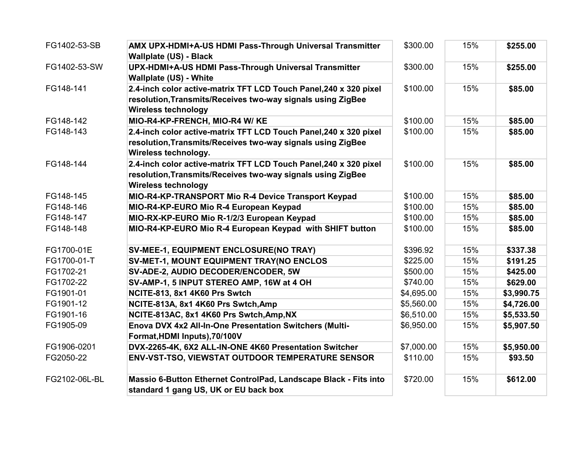| FG1402-53-SB  | AMX UPX-HDMI+A-US HDMI Pass-Through Universal Transmitter<br><b>Wallplate (US) - Black</b>                                                                     | \$300.00   | 15% | \$255.00   |
|---------------|----------------------------------------------------------------------------------------------------------------------------------------------------------------|------------|-----|------------|
| FG1402-53-SW  | UPX-HDMI+A-US HDMI Pass-Through Universal Transmitter<br><b>Wallplate (US) - White</b>                                                                         | \$300.00   | 15% | \$255.00   |
| FG148-141     | 2.4-inch color active-matrix TFT LCD Touch Panel, 240 x 320 pixel<br>resolution, Transmits/Receives two-way signals using ZigBee<br><b>Wireless technology</b> | \$100.00   | 15% | \$85.00    |
| FG148-142     | MIO-R4-KP-FRENCH, MIO-R4 W/KE                                                                                                                                  | \$100.00   | 15% | \$85.00    |
| FG148-143     | 2.4-inch color active-matrix TFT LCD Touch Panel, 240 x 320 pixel                                                                                              | \$100.00   | 15% | \$85.00    |
|               | resolution, Transmits/Receives two-way signals using ZigBee<br>Wireless technology.                                                                            |            |     |            |
| FG148-144     | 2.4-inch color active-matrix TFT LCD Touch Panel, 240 x 320 pixel<br>resolution, Transmits/Receives two-way signals using ZigBee<br><b>Wireless technology</b> | \$100.00   | 15% | \$85.00    |
| FG148-145     | MIO-R4-KP-TRANSPORT Mio R-4 Device Transport Keypad                                                                                                            | \$100.00   | 15% | \$85.00    |
| FG148-146     | MIO-R4-KP-EURO Mio R-4 European Keypad                                                                                                                         | \$100.00   | 15% | \$85.00    |
| FG148-147     | MIO-RX-KP-EURO Mio R-1/2/3 European Keypad                                                                                                                     | \$100.00   | 15% | \$85.00    |
| FG148-148     | MIO-R4-KP-EURO Mio R-4 European Keypad with SHIFT button                                                                                                       | \$100.00   | 15% | \$85.00    |
| FG1700-01E    | SV-MEE-1, EQUIPMENT ENCLOSURE(NO TRAY)                                                                                                                         | \$396.92   | 15% | \$337.38   |
| FG1700-01-T   | <b>SV-MET-1, MOUNT EQUIPMENT TRAY(NO ENCLOS</b>                                                                                                                | \$225.00   | 15% | \$191.25   |
| FG1702-21     | SV-ADE-2, AUDIO DECODER/ENCODER, 5W                                                                                                                            | \$500.00   | 15% | \$425.00   |
| FG1702-22     | SV-AMP-1, 5 INPUT STEREO AMP, 16W at 4 OH                                                                                                                      | \$740.00   | 15% | \$629.00   |
| FG1901-01     | NCITE-813, 8x1 4K60 Prs Swtch                                                                                                                                  | \$4,695.00 | 15% | \$3,990.75 |
| FG1901-12     | NCITE-813A, 8x1 4K60 Prs Swtch, Amp                                                                                                                            | \$5,560.00 | 15% | \$4,726.00 |
| FG1901-16     | NCITE-813AC, 8x1 4K60 Prs Swtch, Amp, NX                                                                                                                       | \$6,510.00 | 15% | \$5,533.50 |
| FG1905-09     | Enova DVX 4x2 All-In-One Presentation Switchers (Multi-<br>Format, HDMI Inputs), 70/100V                                                                       | \$6,950.00 | 15% | \$5,907.50 |
| FG1906-0201   | DVX-2265-4K, 6X2 ALL-IN-ONE 4K60 Presentation Switcher                                                                                                         | \$7,000.00 | 15% | \$5,950.00 |
| FG2050-22     | <b>ENV-VST-TSO, VIEWSTAT OUTDOOR TEMPERATURE SENSOR</b>                                                                                                        | \$110.00   | 15% | \$93.50    |
| FG2102-06L-BL | Massio 6-Button Ethernet ControlPad, Landscape Black - Fits into<br>standard 1 gang US, UK or EU back box                                                      | \$720.00   | 15% | \$612.00   |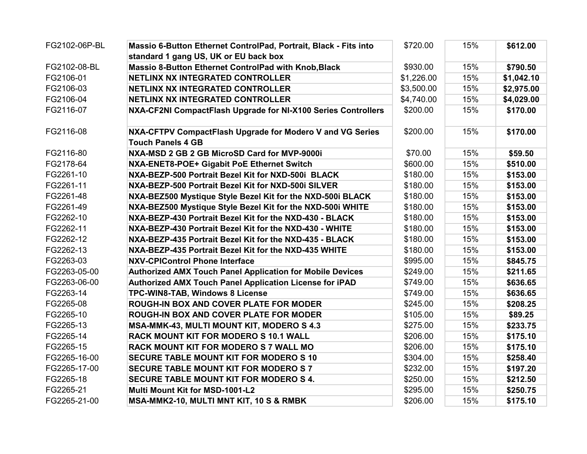| FG2102-06P-BL | Massio 6-Button Ethernet ControlPad, Portrait, Black - Fits into | \$720.00   | 15% | \$612.00   |
|---------------|------------------------------------------------------------------|------------|-----|------------|
|               | standard 1 gang US, UK or EU back box                            |            |     |            |
| FG2102-08-BL  | Massio 8-Button Ethernet ControlPad with Knob, Black             | \$930.00   | 15% | \$790.50   |
| FG2106-01     | NETLINX NX INTEGRATED CONTROLLER                                 | \$1,226.00 | 15% | \$1,042.10 |
| FG2106-03     | <b>NETLINX NX INTEGRATED CONTROLLER</b>                          | \$3,500.00 | 15% | \$2,975.00 |
| FG2106-04     | NETLINX NX INTEGRATED CONTROLLER                                 | \$4,740.00 | 15% | \$4,029.00 |
| FG2116-07     | NXA-CF2NI CompactFlash Upgrade for NI-X100 Series Controllers    | \$200.00   | 15% | \$170.00   |
| FG2116-08     | NXA-CFTPV CompactFlash Upgrade for Modero V and VG Series        | \$200.00   | 15% | \$170.00   |
|               | <b>Touch Panels 4 GB</b>                                         |            |     |            |
| FG2116-80     | NXA-MSD 2 GB 2 GB MicroSD Card for MVP-9000i                     | \$70.00    | 15% | \$59.50    |
| FG2178-64     | NXA-ENET8-POE+ Gigabit PoE Ethernet Switch                       | \$600.00   | 15% | \$510.00   |
| FG2261-10     | NXA-BEZP-500 Portrait Bezel Kit for NXD-500i BLACK               | \$180.00   | 15% | \$153.00   |
| FG2261-11     | NXA-BEZP-500 Portrait Bezel Kit for NXD-500i SILVER              | \$180.00   | 15% | \$153.00   |
| FG2261-48     | NXA-BEZ500 Mystique Style Bezel Kit for the NXD-500i BLACK       | \$180.00   | 15% | \$153.00   |
| FG2261-49     | NXA-BEZ500 Mystique Style Bezel Kit for the NXD-500i WHITE       | \$180.00   | 15% | \$153.00   |
| FG2262-10     | NXA-BEZP-430 Portrait Bezel Kit for the NXD-430 - BLACK          | \$180.00   | 15% | \$153.00   |
| FG2262-11     | NXA-BEZP-430 Portrait Bezel Kit for the NXD-430 - WHITE          | \$180.00   | 15% | \$153.00   |
| FG2262-12     | NXA-BEZP-435 Portrait Bezel Kit for the NXD-435 - BLACK          | \$180.00   | 15% | \$153.00   |
| FG2262-13     | NXA-BEZP-435 Portrait Bezel Kit for the NXD-435 WHITE            | \$180.00   | 15% | \$153.00   |
| FG2263-03     | <b>NXV-CPIControl Phone Interface</b>                            | \$995.00   | 15% | \$845.75   |
| FG2263-05-00  | <b>Authorized AMX Touch Panel Application for Mobile Devices</b> | \$249.00   | 15% | \$211.65   |
| FG2263-06-00  | Authorized AMX Touch Panel Application License for iPAD          | \$749.00   | 15% | \$636.65   |
| FG2263-14     | TPC-WIN8-TAB, Windows 8 License                                  | \$749.00   | 15% | \$636.65   |
| FG2265-08     | <b>ROUGH-IN BOX AND COVER PLATE FOR MODER</b>                    | \$245.00   | 15% | \$208.25   |
| FG2265-10     | <b>ROUGH-IN BOX AND COVER PLATE FOR MODER</b>                    | \$105.00   | 15% | \$89.25    |
| FG2265-13     | <b>MSA-MMK-43, MULTI MOUNT KIT, MODERO S 4.3</b>                 | \$275.00   | 15% | \$233.75   |
| FG2265-14     | <b>RACK MOUNT KIT FOR MODERO S 10.1 WALL</b>                     | \$206.00   | 15% | \$175.10   |
| FG2265-15     | <b>RACK MOUNT KIT FOR MODERO S 7 WALL MO</b>                     | \$206.00   | 15% | \$175.10   |
| FG2265-16-00  | <b>SECURE TABLE MOUNT KIT FOR MODERO S 10</b>                    | \$304.00   | 15% | \$258.40   |
| FG2265-17-00  | <b>SECURE TABLE MOUNT KIT FOR MODERO S 7</b>                     | \$232.00   | 15% | \$197.20   |
| FG2265-18     | <b>SECURE TABLE MOUNT KIT FOR MODERO S 4.</b>                    | \$250.00   | 15% | \$212.50   |
| FG2265-21     | Multi Mount Kit for MSD-1001-L2                                  | \$295.00   | 15% | \$250.75   |
| FG2265-21-00  | MSA-MMK2-10, MULTI MNT KIT, 10 S & RMBK                          | \$206.00   | 15% | \$175.10   |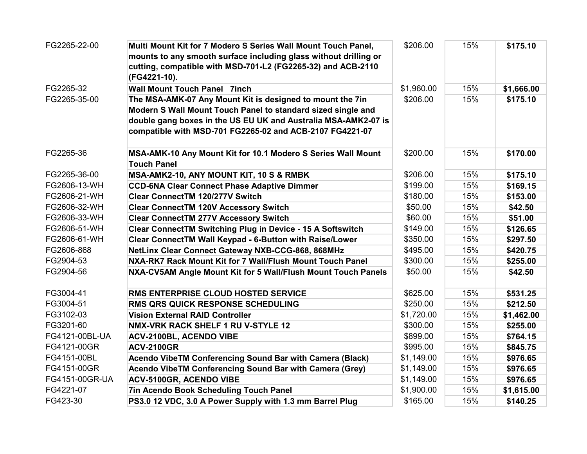| FG2265-22-00   | Multi Mount Kit for 7 Modero S Series Wall Mount Touch Panel,     | \$206.00   | 15% | \$175.10   |
|----------------|-------------------------------------------------------------------|------------|-----|------------|
|                | mounts to any smooth surface including glass without drilling or  |            |     |            |
|                | cutting, compatible with MSD-701-L2 (FG2265-32) and ACB-2110      |            |     |            |
|                | (FG4221-10).                                                      |            |     |            |
| FG2265-32      | <b>Wall Mount Touch Panel 7inch</b>                               | \$1,960.00 | 15% | \$1,666.00 |
| FG2265-35-00   | The MSA-AMK-07 Any Mount Kit is designed to mount the 7in         | \$206.00   | 15% | \$175.10   |
|                | Modern S Wall Mount Touch Panel to standard sized single and      |            |     |            |
|                | double gang boxes in the US EU UK and Australia MSA-AMK2-07 is    |            |     |            |
|                | compatible with MSD-701 FG2265-02 and ACB-2107 FG4221-07          |            |     |            |
| FG2265-36      | MSA-AMK-10 Any Mount Kit for 10.1 Modero S Series Wall Mount      | \$200.00   | 15% | \$170.00   |
|                | <b>Touch Panel</b>                                                |            |     |            |
| FG2265-36-00   | MSA-AMK2-10, ANY MOUNT KIT, 10 S & RMBK                           | \$206.00   | 15% | \$175.10   |
| FG2606-13-WH   | <b>CCD-6NA Clear Connect Phase Adaptive Dimmer</b>                | \$199.00   | 15% | \$169.15   |
| FG2606-21-WH   | <b>Clear ConnectTM 120/277V Switch</b>                            | \$180.00   | 15% | \$153.00   |
| FG2606-32-WH   | <b>Clear ConnectTM 120V Accessory Switch</b>                      | \$50.00    | 15% | \$42.50    |
| FG2606-33-WH   | <b>Clear ConnectTM 277V Accessory Switch</b>                      | \$60.00    | 15% | \$51.00    |
| FG2606-51-WH   | <b>Clear ConnectTM Switching Plug in Device - 15 A Softswitch</b> | \$149.00   | 15% | \$126.65   |
| FG2606-61-WH   | Clear ConnectTM Wall Keypad - 6-Button with Raise/Lower           | \$350.00   | 15% | \$297.50   |
| FG2606-868     | NetLinx Clear Connect Gateway NXB-CCG-868, 868MHz                 | \$495.00   | 15% | \$420.75   |
| FG2904-53      | NXA-RK7 Rack Mount Kit for 7 Wall/Flush Mount Touch Panel         | \$300.00   | 15% | \$255.00   |
| FG2904-56      | NXA-CV5AM Angle Mount Kit for 5 Wall/Flush Mount Touch Panels     | \$50.00    | 15% | \$42.50    |
| FG3004-41      | RMS ENTERPRISE CLOUD HOSTED SERVICE                               | \$625.00   | 15% | \$531.25   |
| FG3004-51      | <b>RMS QRS QUICK RESPONSE SCHEDULING</b>                          | \$250.00   | 15% | \$212.50   |
| FG3102-03      | <b>Vision External RAID Controller</b>                            | \$1,720.00 | 15% | \$1,462.00 |
| FG3201-60      | NMX-VRK RACK SHELF 1 RU V-STYLE 12                                | \$300.00   | 15% | \$255.00   |
| FG4121-00BL-UA | ACV-2100BL, ACENDO VIBE                                           | \$899.00   | 15% | \$764.15   |
| FG4121-00GR    | <b>ACV-2100GR</b>                                                 | \$995.00   | 15% | \$845.75   |
| FG4151-00BL    | Acendo VibeTM Conferencing Sound Bar with Camera (Black)          | \$1,149.00 | 15% | \$976.65   |
| FG4151-00GR    | Acendo VibeTM Conferencing Sound Bar with Camera (Grey)           | \$1,149.00 | 15% | \$976.65   |
| FG4151-00GR-UA | ACV-5100GR, ACENDO VIBE                                           | \$1,149.00 | 15% | \$976.65   |
| FG4221-07      | 7in Acendo Book Scheduling Touch Panel                            | \$1,900.00 | 15% | \$1,615.00 |
| FG423-30       | PS3.0 12 VDC, 3.0 A Power Supply with 1.3 mm Barrel Plug          | \$165.00   | 15% | \$140.25   |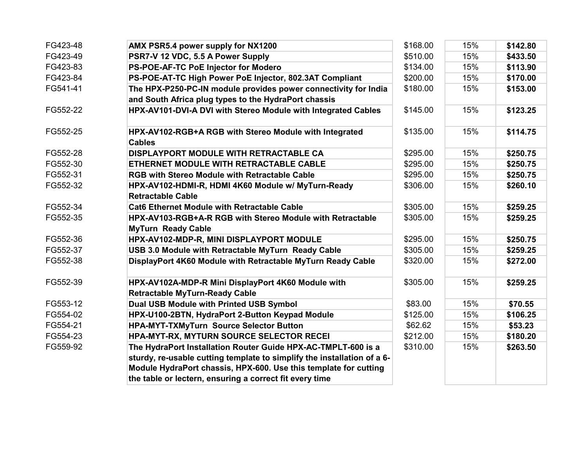| FG423-48 | AMX PSR5.4 power supply for NX1200                                                          | \$168.00 | 15% | \$142.80 |
|----------|---------------------------------------------------------------------------------------------|----------|-----|----------|
| FG423-49 | PSR7-V 12 VDC, 5.5 A Power Supply                                                           | \$510.00 | 15% | \$433.50 |
| FG423-83 | PS-POE-AF-TC PoE Injector for Modero                                                        | \$134.00 | 15% | \$113.90 |
| FG423-84 | PS-POE-AT-TC High Power PoE Injector, 802.3AT Compliant                                     | \$200.00 | 15% | \$170.00 |
| FG541-41 | The HPX-P250-PC-IN module provides power connectivity for India                             | \$180.00 | 15% | \$153.00 |
|          | and South Africa plug types to the HydraPort chassis                                        |          |     |          |
| FG552-22 | HPX-AV101-DVI-A DVI with Stereo Module with Integrated Cables                               | \$145.00 | 15% | \$123.25 |
| FG552-25 | HPX-AV102-RGB+A RGB with Stereo Module with Integrated<br><b>Cables</b>                     | \$135.00 | 15% | \$114.75 |
| FG552-28 | DISPLAYPORT MODULE WITH RETRACTABLE CA                                                      | \$295.00 | 15% | \$250.75 |
| FG552-30 | ETHERNET MODULE WITH RETRACTABLE CABLE                                                      | \$295.00 | 15% | \$250.75 |
| FG552-31 | <b>RGB with Stereo Module with Retractable Cable</b>                                        | \$295.00 | 15% | \$250.75 |
| FG552-32 | HPX-AV102-HDMI-R, HDMI 4K60 Module w/ MyTurn-Ready<br><b>Retractable Cable</b>              | \$306.00 | 15% | \$260.10 |
| FG552-34 | <b>Cat6 Ethernet Module with Retractable Cable</b>                                          | \$305.00 | 15% | \$259.25 |
| FG552-35 | HPX-AV103-RGB+A-R RGB with Stereo Module with Retractable<br><b>MyTurn Ready Cable</b>      | \$305.00 | 15% | \$259.25 |
| FG552-36 | HPX-AV102-MDP-R, MINI DISPLAYPORT MODULE                                                    | \$295.00 | 15% | \$250.75 |
| FG552-37 | USB 3.0 Module with Retractable MyTurn Ready Cable                                          | \$305.00 | 15% | \$259.25 |
| FG552-38 | DisplayPort 4K60 Module with Retractable MyTurn Ready Cable                                 | \$320.00 | 15% | \$272.00 |
| FG552-39 | HPX-AV102A-MDP-R Mini DisplayPort 4K60 Module with<br><b>Retractable MyTurn-Ready Cable</b> | \$305.00 | 15% | \$259.25 |
| FG553-12 | Dual USB Module with Printed USB Symbol                                                     | \$83.00  | 15% | \$70.55  |
| FG554-02 | HPX-U100-2BTN, HydraPort 2-Button Keypad Module                                             | \$125.00 | 15% | \$106.25 |
| FG554-21 | <b>HPA-MYT-TXMyTurn Source Selector Button</b>                                              | \$62.62  | 15% | \$53.23  |
| FG554-23 | HPA-MYT-RX, MYTURN SOURCE SELECTOR RECEI                                                    | \$212.00 | 15% | \$180.20 |
| FG559-92 | The HydraPort Installation Router Guide HPX-AC-TMPLT-600 is a                               | \$310.00 | 15% | \$263.50 |
|          | sturdy, re-usable cutting template to simplify the installation of a 6-                     |          |     |          |
|          | Module HydraPort chassis, HPX-600. Use this template for cutting                            |          |     |          |
|          | the table or lectern, ensuring a correct fit every time                                     |          |     |          |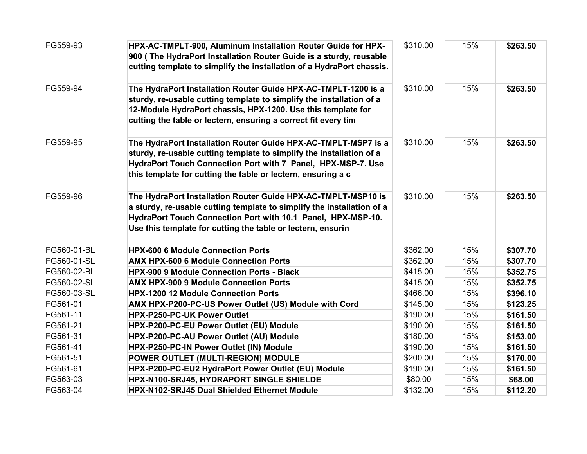| FG559-93    | HPX-AC-TMPLT-900, Aluminum Installation Router Guide for HPX-<br>900 (The HydraPort Installation Router Guide is a sturdy, reusable<br>cutting template to simplify the installation of a HydraPort chassis.                                                             | \$310.00 | 15% | \$263.50 |
|-------------|--------------------------------------------------------------------------------------------------------------------------------------------------------------------------------------------------------------------------------------------------------------------------|----------|-----|----------|
| FG559-94    | The HydraPort Installation Router Guide HPX-AC-TMPLT-1200 is a<br>sturdy, re-usable cutting template to simplify the installation of a<br>12-Module HydraPort chassis, HPX-1200. Use this template for<br>cutting the table or lectern, ensuring a correct fit every tim | \$310.00 | 15% | \$263.50 |
| FG559-95    | The HydraPort Installation Router Guide HPX-AC-TMPLT-MSP7 is a<br>sturdy, re-usable cutting template to simplify the installation of a<br>HydraPort Touch Connection Port with 7 Panel, HPX-MSP-7. Use<br>this template for cutting the table or lectern, ensuring a c   | \$310.00 | 15% | \$263.50 |
| FG559-96    | The HydraPort Installation Router Guide HPX-AC-TMPLT-MSP10 is<br>a sturdy, re-usable cutting template to simplify the installation of a<br>HydraPort Touch Connection Port with 10.1 Panel, HPX-MSP-10.<br>Use this template for cutting the table or lectern, ensurin   | \$310.00 | 15% | \$263.50 |
| FG560-01-BL | <b>HPX-600 6 Module Connection Ports</b>                                                                                                                                                                                                                                 | \$362.00 | 15% | \$307.70 |
| FG560-01-SL | <b>AMX HPX-600 6 Module Connection Ports</b>                                                                                                                                                                                                                             | \$362.00 | 15% | \$307.70 |
| FG560-02-BL | <b>HPX-900 9 Module Connection Ports - Black</b>                                                                                                                                                                                                                         | \$415.00 | 15% | \$352.75 |
| FG560-02-SL | <b>AMX HPX-900 9 Module Connection Ports</b>                                                                                                                                                                                                                             | \$415.00 | 15% | \$352.75 |
| FG560-03-SL | <b>HPX-1200 12 Module Connection Ports</b>                                                                                                                                                                                                                               | \$466.00 | 15% | \$396.10 |
| FG561-01    | AMX HPX-P200-PC-US Power Outlet (US) Module with Cord                                                                                                                                                                                                                    | \$145.00 | 15% | \$123.25 |
| FG561-11    | HPX-P250-PC-UK Power Outlet                                                                                                                                                                                                                                              | \$190.00 | 15% | \$161.50 |
| FG561-21    | HPX-P200-PC-EU Power Outlet (EU) Module                                                                                                                                                                                                                                  | \$190.00 | 15% | \$161.50 |
| FG561-31    | HPX-P200-PC-AU Power Outlet (AU) Module                                                                                                                                                                                                                                  | \$180.00 | 15% | \$153.00 |
| FG561-41    | HPX-P250-PC-IN Power Outlet (IN) Module                                                                                                                                                                                                                                  | \$190.00 | 15% | \$161.50 |
| FG561-51    | POWER OUTLET (MULTI-REGION) MODULE                                                                                                                                                                                                                                       | \$200.00 | 15% | \$170.00 |
| FG561-61    | HPX-P200-PC-EU2 HydraPort Power Outlet (EU) Module                                                                                                                                                                                                                       | \$190.00 | 15% | \$161.50 |
| FG563-03    | HPX-N100-SRJ45, HYDRAPORT SINGLE SHIELDE                                                                                                                                                                                                                                 | \$80.00  | 15% | \$68.00  |
| FG563-04    | HPX-N102-SRJ45 Dual Shielded Ethernet Module                                                                                                                                                                                                                             | \$132.00 | 15% | \$112.20 |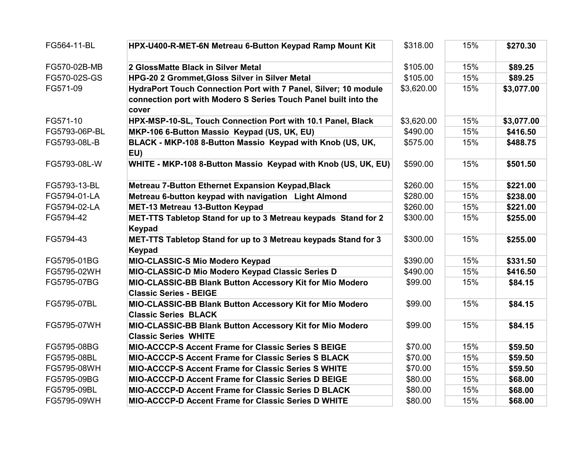| FG564-11-BL   | HPX-U400-R-MET-6N Metreau 6-Button Keypad Ramp Mount Kit                                  | \$318.00   | 15% | \$270.30   |
|---------------|-------------------------------------------------------------------------------------------|------------|-----|------------|
| FG570-02B-MB  | 2 GlossMatte Black in Silver Metal                                                        | \$105.00   | 15% | \$89.25    |
| FG570-02S-GS  | HPG-20 2 Grommet, Gloss Silver in Silver Metal                                            | \$105.00   | 15% | \$89.25    |
| FG571-09      | HydraPort Touch Connection Port with 7 Panel, Silver; 10 module                           | \$3,620.00 | 15% | \$3,077.00 |
|               | connection port with Modero S Series Touch Panel built into the                           |            |     |            |
|               | cover                                                                                     |            |     |            |
| FG571-10      | HPX-MSP-10-SL, Touch Connection Port with 10.1 Panel, Black                               | \$3,620.00 | 15% | \$3,077.00 |
| FG5793-06P-BL | MKP-106 6-Button Massio Keypad (US, UK, EU)                                               | \$490.00   | 15% | \$416.50   |
| FG5793-08L-B  | BLACK - MKP-108 8-Button Massio Keypad with Knob (US, UK,<br>EU)                          | \$575.00   | 15% | \$488.75   |
| FG5793-08L-W  | WHITE - MKP-108 8-Button Massio Keypad with Knob (US, UK, EU)                             | \$590.00   | 15% | \$501.50   |
| FG5793-13-BL  | Metreau 7-Button Ethernet Expansion Keypad, Black                                         | \$260.00   | 15% | \$221.00   |
| FG5794-01-LA  | Metreau 6-button keypad with navigation Light Almond                                      | \$280.00   | 15% | \$238.00   |
| FG5794-02-LA  | MET-13 Metreau 13-Button Keypad                                                           | \$260.00   | 15% | \$221.00   |
| FG5794-42     | MET-TTS Tabletop Stand for up to 3 Metreau keypads Stand for 2                            | \$300.00   | 15% | \$255.00   |
|               | <b>Keypad</b>                                                                             |            |     |            |
| FG5794-43     | MET-TTS Tabletop Stand for up to 3 Metreau keypads Stand for 3<br><b>Keypad</b>           | \$300.00   | 15% | \$255.00   |
| FG5795-01BG   | MIO-CLASSIC-S Mio Modero Keypad                                                           | \$390.00   | 15% | \$331.50   |
| FG5795-02WH   | MIO-CLASSIC-D Mio Modero Keypad Classic Series D                                          | \$490.00   | 15% | \$416.50   |
| FG5795-07BG   | MIO-CLASSIC-BB Blank Button Accessory Kit for Mio Modero<br><b>Classic Series - BEIGE</b> | \$99.00    | 15% | \$84.15    |
| FG5795-07BL   | MIO-CLASSIC-BB Blank Button Accessory Kit for Mio Modero<br><b>Classic Series BLACK</b>   | \$99.00    | 15% | \$84.15    |
| FG5795-07WH   | MIO-CLASSIC-BB Blank Button Accessory Kit for Mio Modero<br><b>Classic Series WHITE</b>   | \$99.00    | 15% | \$84.15    |
| FG5795-08BG   | <b>MIO-ACCCP-S Accent Frame for Classic Series S BEIGE</b>                                | \$70.00    | 15% | \$59.50    |
| FG5795-08BL   | <b>MIO-ACCCP-S Accent Frame for Classic Series S BLACK</b>                                | \$70.00    | 15% | \$59.50    |
| FG5795-08WH   | MIO-ACCCP-S Accent Frame for Classic Series S WHITE                                       | \$70.00    | 15% | \$59.50    |
| FG5795-09BG   | MIO-ACCCP-D Accent Frame for Classic Series D BEIGE                                       | \$80.00    | 15% | \$68.00    |
| FG5795-09BL   | <b>MIO-ACCCP-D Accent Frame for Classic Series D BLACK</b>                                | \$80.00    | 15% | \$68.00    |
| FG5795-09WH   | <b>MIO-ACCCP-D Accent Frame for Classic Series D WHITE</b>                                | \$80.00    | 15% | \$68.00    |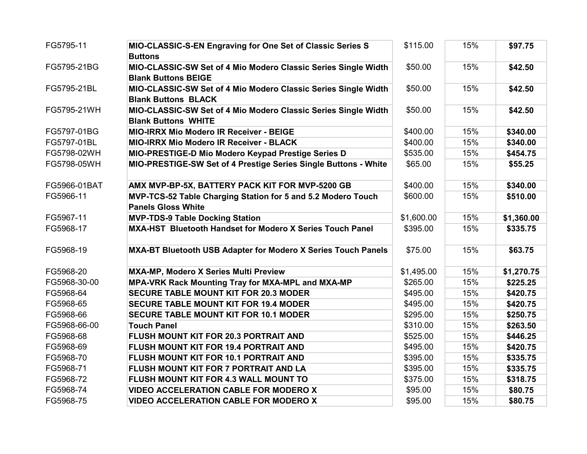| FG5795-11    | MIO-CLASSIC-S-EN Engraving for One Set of Classic Series S<br><b>Buttons</b>                 | \$115.00   | 15% | \$97.75    |
|--------------|----------------------------------------------------------------------------------------------|------------|-----|------------|
| FG5795-21BG  | MIO-CLASSIC-SW Set of 4 Mio Modero Classic Series Single Width<br><b>Blank Buttons BEIGE</b> | \$50.00    | 15% | \$42.50    |
| FG5795-21BL  | MIO-CLASSIC-SW Set of 4 Mio Modero Classic Series Single Width<br><b>Blank Buttons BLACK</b> | \$50.00    | 15% | \$42.50    |
| FG5795-21WH  | MIO-CLASSIC-SW Set of 4 Mio Modero Classic Series Single Width<br><b>Blank Buttons WHITE</b> | \$50.00    | 15% | \$42.50    |
| FG5797-01BG  | <b>MIO-IRRX Mio Modero IR Receiver - BEIGE</b>                                               | \$400.00   | 15% | \$340.00   |
| FG5797-01BL  | <b>MIO-IRRX Mio Modero IR Receiver - BLACK</b>                                               | \$400.00   | 15% | \$340.00   |
| FG5798-02WH  | MIO-PRESTIGE-D Mio Modero Keypad Prestige Series D                                           | \$535.00   | 15% | \$454.75   |
| FG5798-05WH  | MIO-PRESTIGE-SW Set of 4 Prestige Series Single Buttons - White                              | \$65.00    | 15% | \$55.25    |
| FG5966-01BAT | AMX MVP-BP-5X, BATTERY PACK KIT FOR MVP-5200 GB                                              | \$400.00   | 15% | \$340.00   |
| FG5966-11    | MVP-TCS-52 Table Charging Station for 5 and 5.2 Modero Touch<br><b>Panels Gloss White</b>    | \$600.00   | 15% | \$510.00   |
| FG5967-11    | <b>MVP-TDS-9 Table Docking Station</b>                                                       | \$1,600.00 | 15% | \$1,360.00 |
| FG5968-17    | MXA-HST Bluetooth Handset for Modero X Series Touch Panel                                    | \$395.00   | 15% | \$335.75   |
| FG5968-19    | MXA-BT Bluetooth USB Adapter for Modero X Series Touch Panels                                | \$75.00    | 15% | \$63.75    |
| FG5968-20    | MXA-MP, Modero X Series Multi Preview                                                        | \$1,495.00 | 15% | \$1,270.75 |
| FG5968-30-00 | MPA-VRK Rack Mounting Tray for MXA-MPL and MXA-MP                                            | \$265.00   | 15% | \$225.25   |
| FG5968-64    | <b>SECURE TABLE MOUNT KIT FOR 20.3 MODER</b>                                                 | \$495.00   | 15% | \$420.75   |
| FG5968-65    | <b>SECURE TABLE MOUNT KIT FOR 19.4 MODER</b>                                                 | \$495.00   | 15% | \$420.75   |
| FG5968-66    | <b>SECURE TABLE MOUNT KIT FOR 10.1 MODER</b>                                                 | \$295.00   | 15% | \$250.75   |
| FG5968-66-00 | <b>Touch Panel</b>                                                                           | \$310.00   | 15% | \$263.50   |
| FG5968-68    | FLUSH MOUNT KIT FOR 20.3 PORTRAIT AND                                                        | \$525.00   | 15% | \$446.25   |
| FG5968-69    | FLUSH MOUNT KIT FOR 19.4 PORTRAIT AND                                                        | \$495.00   | 15% | \$420.75   |
| FG5968-70    | FLUSH MOUNT KIT FOR 10.1 PORTRAIT AND                                                        | \$395.00   | 15% | \$335.75   |
| FG5968-71    | FLUSH MOUNT KIT FOR 7 PORTRAIT AND LA                                                        | \$395.00   | 15% | \$335.75   |
| FG5968-72    | FLUSH MOUNT KIT FOR 4.3 WALL MOUNT TO                                                        | \$375.00   | 15% | \$318.75   |
| FG5968-74    | <b>VIDEO ACCELERATION CABLE FOR MODERO X</b>                                                 | \$95.00    | 15% | \$80.75    |
| FG5968-75    | <b>VIDEO ACCELERATION CABLE FOR MODERO X</b>                                                 | \$95.00    | 15% | \$80.75    |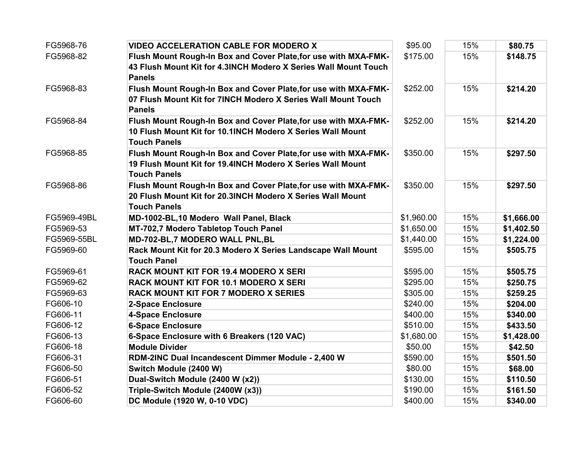| FG5968-76   | <b>VIDEO ACCELERATION CABLE FOR MODERO X</b>                                                                                                         | \$95.00    | 15% | \$80.75    |
|-------------|------------------------------------------------------------------------------------------------------------------------------------------------------|------------|-----|------------|
| FG5968-82   | Flush Mount Rough-In Box and Cover Plate, for use with MXA-FMK-<br>43 Flush Mount Kit for 4.3INCH Modero X Series Wall Mount Touch<br><b>Panels</b>  | \$175.00   | 15% | \$148.75   |
| FG5968-83   | Flush Mount Rough-In Box and Cover Plate, for use with MXA-FMK-<br>07 Flush Mount Kit for 7INCH Modero X Series Wall Mount Touch<br><b>Panels</b>    | \$252.00   | 15% | \$214.20   |
| FG5968-84   | Flush Mount Rough-In Box and Cover Plate, for use with MXA-FMK-<br>10 Flush Mount Kit for 10.1INCH Modero X Series Wall Mount<br><b>Touch Panels</b> | \$252.00   | 15% | \$214.20   |
| FG5968-85   | Flush Mount Rough-In Box and Cover Plate, for use with MXA-FMK-<br>19 Flush Mount Kit for 19.4INCH Modero X Series Wall Mount<br><b>Touch Panels</b> | \$350.00   | 15% | \$297.50   |
| FG5968-86   | Flush Mount Rough-In Box and Cover Plate, for use with MXA-FMK-<br>20 Flush Mount Kit for 20.3INCH Modero X Series Wall Mount<br><b>Touch Panels</b> | \$350.00   | 15% | \$297.50   |
| FG5969-49BL | MD-1002-BL,10 Modero Wall Panel, Black                                                                                                               | \$1,960.00 | 15% | \$1,666.00 |
| FG5969-53   | MT-702,7 Modero Tabletop Touch Panel                                                                                                                 | \$1,650.00 | 15% | \$1,402.50 |
| FG5969-55BL | MD-702-BL,7 MODERO WALL PNL, BL                                                                                                                      | \$1,440.00 | 15% | \$1,224.00 |
| FG5969-60   | Rack Mount Kit for 20.3 Modero X Series Landscape Wall Mount<br><b>Touch Panel</b>                                                                   | \$595.00   | 15% | \$505.75   |
| FG5969-61   | <b>RACK MOUNT KIT FOR 19.4 MODERO X SERI</b>                                                                                                         | \$595.00   | 15% | \$505.75   |
| FG5969-62   | <b>RACK MOUNT KIT FOR 10.1 MODERO X SERI</b>                                                                                                         | \$295.00   | 15% | \$250.75   |
| FG5969-63   | RACK MOUNT KIT FOR 7 MODERO X SERIES                                                                                                                 | \$305.00   | 15% | \$259.25   |
| FG606-10    | <b>2-Space Enclosure</b>                                                                                                                             | \$240.00   | 15% | \$204.00   |
| FG606-11    | <b>4-Space Enclosure</b>                                                                                                                             | \$400.00   | 15% | \$340.00   |
| FG606-12    | <b>6-Space Enclosure</b>                                                                                                                             | \$510.00   | 15% | \$433.50   |
| FG606-13    | 6-Space Enclosure with 6 Breakers (120 VAC)                                                                                                          | \$1,680.00 | 15% | \$1,428.00 |
| FG606-18    | <b>Module Divider</b>                                                                                                                                | \$50.00    | 15% | \$42.50    |
| FG606-31    | RDM-2INC Dual Incandescent Dimmer Module - 2,400 W                                                                                                   | \$590.00   | 15% | \$501.50   |
| FG606-50    | Switch Module (2400 W)                                                                                                                               | \$80.00    | 15% | \$68.00    |
| FG606-51    | Dual-Switch Module (2400 W (x2))                                                                                                                     | \$130.00   | 15% | \$110.50   |
| FG606-52    | Triple-Switch Module (2400W (x3))                                                                                                                    | \$190.00   | 15% | \$161.50   |
| FG606-60    | DC Module (1920 W, 0-10 VDC)                                                                                                                         | \$400.00   | 15% | \$340.00   |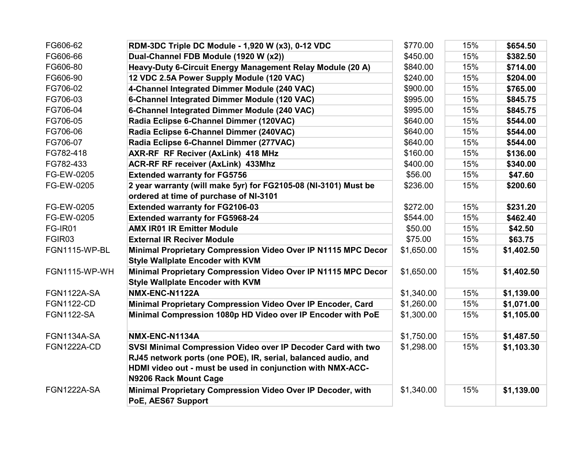| FG606-62           | RDM-3DC Triple DC Module - 1,920 W (x3), 0-12 VDC               | \$770.00   | 15% | \$654.50   |
|--------------------|-----------------------------------------------------------------|------------|-----|------------|
| FG606-66           | Dual-Channel FDB Module (1920 W (x2))                           | \$450.00   | 15% | \$382.50   |
| FG606-80           | Heavy-Duty 6-Circuit Energy Management Relay Module (20 A)      | \$840.00   | 15% | \$714.00   |
| FG606-90           | 12 VDC 2.5A Power Supply Module (120 VAC)                       | \$240.00   | 15% | \$204.00   |
| FG706-02           | 4-Channel Integrated Dimmer Module (240 VAC)                    | \$900.00   | 15% | \$765.00   |
| FG706-03           | 6-Channel Integrated Dimmer Module (120 VAC)                    | \$995.00   | 15% | \$845.75   |
| FG706-04           | 6-Channel Integrated Dimmer Module (240 VAC)                    | \$995.00   | 15% | \$845.75   |
| FG706-05           | Radia Eclipse 6-Channel Dimmer (120VAC)                         | \$640.00   | 15% | \$544.00   |
| FG706-06           | Radia Eclipse 6-Channel Dimmer (240VAC)                         | \$640.00   | 15% | \$544.00   |
| FG706-07           | Radia Eclipse 6-Channel Dimmer (277VAC)                         | \$640.00   | 15% | \$544.00   |
| FG782-418          | AXR-RF RF Reciver (AxLink) 418 MHz                              | \$160.00   | 15% | \$136.00   |
| FG782-433          | <b>ACR-RF RF receiver (AxLink) 433Mhz</b>                       | \$400.00   | 15% | \$340.00   |
| FG-EW-0205         | <b>Extended warranty for FG5756</b>                             | \$56.00    | 15% | \$47.60    |
| FG-EW-0205         | 2 year warranty (will make 5yr) for FG2105-08 (NI-3101) Must be | \$236.00   | 15% | \$200.60   |
|                    | ordered at time of purchase of NI-3101                          |            |     |            |
| FG-EW-0205         | <b>Extended warranty for FG2106-03</b>                          | \$272.00   | 15% | \$231.20   |
| FG-EW-0205         | <b>Extended warranty for FG5968-24</b>                          | \$544.00   | 15% | \$462.40   |
| FG-IR01            | <b>AMX IR01 IR Emitter Module</b>                               | \$50.00    | 15% | \$42.50    |
| FGIR03             | <b>External IR Reciver Module</b>                               | \$75.00    | 15% | \$63.75    |
| FGN1115-WP-BL      | Minimal Proprietary Compression Video Over IP N1115 MPC Decor   | \$1,650.00 | 15% | \$1,402.50 |
|                    | <b>Style Wallplate Encoder with KVM</b>                         |            |     |            |
| FGN1115-WP-WH      | Minimal Proprietary Compression Video Over IP N1115 MPC Decor   | \$1,650.00 | 15% | \$1,402.50 |
|                    | <b>Style Wallplate Encoder with KVM</b>                         |            |     |            |
| FGN1122A-SA        | NMX-ENC-N1122A                                                  | \$1,340.00 | 15% | \$1,139.00 |
| <b>FGN1122-CD</b>  | Minimal Proprietary Compression Video Over IP Encoder, Card     | \$1,260.00 | 15% | \$1,071.00 |
| <b>FGN1122-SA</b>  | Minimal Compression 1080p HD Video over IP Encoder with PoE     | \$1,300.00 | 15% | \$1,105.00 |
|                    |                                                                 |            |     |            |
| <b>FGN1134A-SA</b> | NMX-ENC-N1134A                                                  | \$1,750.00 | 15% | \$1,487.50 |
| <b>FGN1222A-CD</b> | SVSI Minimal Compression Video over IP Decoder Card with two    | \$1,298.00 | 15% | \$1,103.30 |
|                    | RJ45 network ports (one POE), IR, serial, balanced audio, and   |            |     |            |
|                    | HDMI video out - must be used in conjunction with NMX-ACC-      |            |     |            |
|                    | <b>N9206 Rack Mount Cage</b>                                    |            |     |            |
| FGN1222A-SA        | Minimal Proprietary Compression Video Over IP Decoder, with     | \$1,340.00 | 15% | \$1,139.00 |
|                    | PoE, AES67 Support                                              |            |     |            |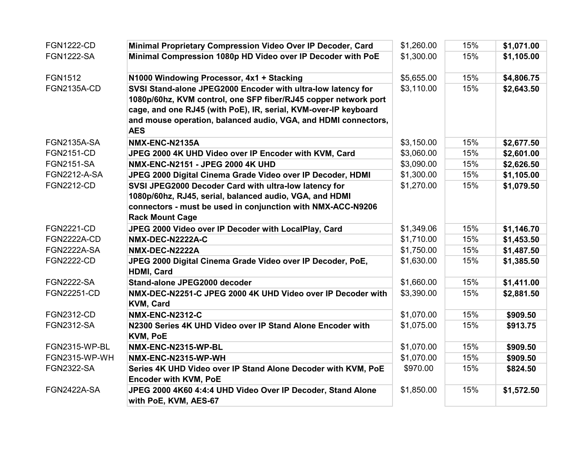| <b>FGN1222-CD</b>    | Minimal Proprietary Compression Video Over IP Decoder, Card                     | \$1,260.00 | 15% | \$1,071.00 |
|----------------------|---------------------------------------------------------------------------------|------------|-----|------------|
| <b>FGN1222-SA</b>    | Minimal Compression 1080p HD Video over IP Decoder with PoE                     | \$1,300.00 | 15% | \$1,105.00 |
| <b>FGN1512</b>       | N1000 Windowing Processor, 4x1 + Stacking                                       | \$5,655.00 | 15% | \$4,806.75 |
| <b>FGN2135A-CD</b>   | SVSI Stand-alone JPEG2000 Encoder with ultra-low latency for                    | \$3,110.00 | 15% | \$2,643.50 |
|                      | 1080p/60hz, KVM control, one SFP fiber/RJ45 copper network port                 |            |     |            |
|                      | cage, and one RJ45 (with PoE), IR, serial, KVM-over-IP keyboard                 |            |     |            |
|                      | and mouse operation, balanced audio, VGA, and HDMI connectors,<br><b>AES</b>    |            |     |            |
| <b>FGN2135A-SA</b>   | NMX-ENC-N2135A                                                                  | \$3,150.00 | 15% | \$2,677.50 |
| <b>FGN2151-CD</b>    | JPEG 2000 4K UHD Video over IP Encoder with KVM, Card                           | \$3,060.00 | 15% | \$2,601.00 |
| <b>FGN2151-SA</b>    | NMX-ENC-N2151 - JPEG 2000 4K UHD                                                | \$3,090.00 | 15% | \$2,626.50 |
| <b>FGN2212-A-SA</b>  | JPEG 2000 Digital Cinema Grade Video over IP Decoder, HDMI                      | \$1,300.00 | 15% | \$1,105.00 |
| <b>FGN2212-CD</b>    | SVSI JPEG2000 Decoder Card with ultra-low latency for                           | \$1,270.00 | 15% | \$1,079.50 |
|                      | 1080p/60hz, RJ45, serial, balanced audio, VGA, and HDMI                         |            |     |            |
|                      | connectors - must be used in conjunction with NMX-ACC-N9206                     |            |     |            |
|                      | <b>Rack Mount Cage</b>                                                          |            |     |            |
| <b>FGN2221-CD</b>    | JPEG 2000 Video over IP Decoder with LocalPlay, Card                            | \$1,349.06 | 15% | \$1,146.70 |
| <b>FGN2222A-CD</b>   | NMX-DEC-N2222A-C                                                                | \$1,710.00 | 15% | \$1,453.50 |
| <b>FGN2222A-SA</b>   | NMX-DEC-N2222A                                                                  | \$1,750.00 | 15% | \$1,487.50 |
| <b>FGN2222-CD</b>    | JPEG 2000 Digital Cinema Grade Video over IP Decoder, PoE,<br>HDMI, Card        | \$1,630.00 | 15% | \$1,385.50 |
| <b>FGN2222-SA</b>    | Stand-alone JPEG2000 decoder                                                    | \$1,660.00 | 15% | \$1,411.00 |
| FGN22251-CD          | NMX-DEC-N2251-C JPEG 2000 4K UHD Video over IP Decoder with<br><b>KVM, Card</b> | \$3,390.00 | 15% | \$2,881.50 |
| <b>FGN2312-CD</b>    | <b>NMX-ENC-N2312-C</b>                                                          | \$1,070.00 | 15% | \$909.50   |
| <b>FGN2312-SA</b>    | N2300 Series 4K UHD Video over IP Stand Alone Encoder with                      | \$1,075.00 | 15% | \$913.75   |
|                      | <b>KVM, PoE</b>                                                                 |            |     |            |
| FGN2315-WP-BL        | NMX-ENC-N2315-WP-BL                                                             | \$1,070.00 | 15% | \$909.50   |
| <b>FGN2315-WP-WH</b> | NMX-ENC-N2315-WP-WH                                                             | \$1,070.00 | 15% | \$909.50   |
| <b>FGN2322-SA</b>    | Series 4K UHD Video over IP Stand Alone Decoder with KVM, PoE                   | \$970.00   | 15% | \$824.50   |
|                      | <b>Encoder with KVM, PoE</b>                                                    |            |     |            |
| <b>FGN2422A-SA</b>   | JPEG 2000 4K60 4:4:4 UHD Video Over IP Decoder, Stand Alone                     | \$1,850.00 | 15% | \$1,572.50 |
|                      | with PoE, KVM, AES-67                                                           |            |     |            |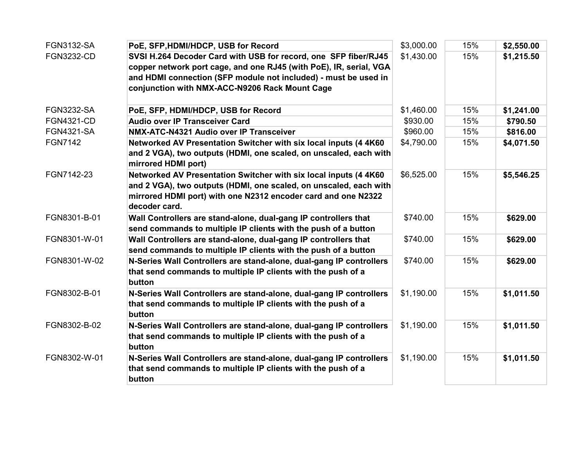| <b>FGN3132-SA</b> | PoE, SFP, HDMI/HDCP, USB for Record                                                      | \$3,000.00 | 15% | \$2,550.00 |
|-------------------|------------------------------------------------------------------------------------------|------------|-----|------------|
| <b>FGN3232-CD</b> | SVSI H.264 Decoder Card with USB for record, one SFP fiber/RJ45                          | \$1,430.00 | 15% | \$1,215.50 |
|                   | copper network port cage, and one RJ45 (with PoE), IR, serial, VGA                       |            |     |            |
|                   | and HDMI connection (SFP module not included) - must be used in                          |            |     |            |
|                   | conjunction with NMX-ACC-N9206 Rack Mount Cage                                           |            |     |            |
|                   |                                                                                          |            |     |            |
| <b>FGN3232-SA</b> | PoE, SFP, HDMI/HDCP, USB for Record                                                      | \$1,460.00 | 15% | \$1,241.00 |
| <b>FGN4321-CD</b> | <b>Audio over IP Transceiver Card</b>                                                    | \$930.00   | 15% | \$790.50   |
| <b>FGN4321-SA</b> | NMX-ATC-N4321 Audio over IP Transceiver                                                  | \$960.00   | 15% | \$816.00   |
| <b>FGN7142</b>    | Networked AV Presentation Switcher with six local inputs (4 4K60                         | \$4,790.00 | 15% | \$4,071.50 |
|                   | and 2 VGA), two outputs (HDMI, one scaled, on unscaled, each with<br>mirrored HDMI port) |            |     |            |
| FGN7142-23        | Networked AV Presentation Switcher with six local inputs (4 4K60                         | \$6,525.00 | 15% | \$5,546.25 |
|                   | and 2 VGA), two outputs (HDMI, one scaled, on unscaled, each with                        |            |     |            |
|                   | mirrored HDMI port) with one N2312 encoder card and one N2322                            |            |     |            |
|                   | decoder card.                                                                            |            |     |            |
| FGN8301-B-01      | Wall Controllers are stand-alone, dual-gang IP controllers that                          | \$740.00   | 15% | \$629.00   |
|                   | send commands to multiple IP clients with the push of a button                           |            |     |            |
| FGN8301-W-01      | Wall Controllers are stand-alone, dual-gang IP controllers that                          | \$740.00   | 15% | \$629.00   |
|                   | send commands to multiple IP clients with the push of a button                           |            |     |            |
| FGN8301-W-02      | N-Series Wall Controllers are stand-alone, dual-gang IP controllers                      | \$740.00   | 15% | \$629.00   |
|                   | that send commands to multiple IP clients with the push of a                             |            |     |            |
|                   | button                                                                                   |            |     |            |
| FGN8302-B-01      | N-Series Wall Controllers are stand-alone, dual-gang IP controllers                      | \$1,190.00 | 15% | \$1,011.50 |
|                   | that send commands to multiple IP clients with the push of a                             |            |     |            |
|                   | button                                                                                   |            |     |            |
| FGN8302-B-02      | N-Series Wall Controllers are stand-alone, dual-gang IP controllers                      | \$1,190.00 | 15% | \$1,011.50 |
|                   | that send commands to multiple IP clients with the push of a                             |            |     |            |
|                   | button                                                                                   |            |     |            |
| FGN8302-W-01      | N-Series Wall Controllers are stand-alone, dual-gang IP controllers                      | \$1,190.00 | 15% | \$1,011.50 |
|                   | that send commands to multiple IP clients with the push of a                             |            |     |            |
|                   | button                                                                                   |            |     |            |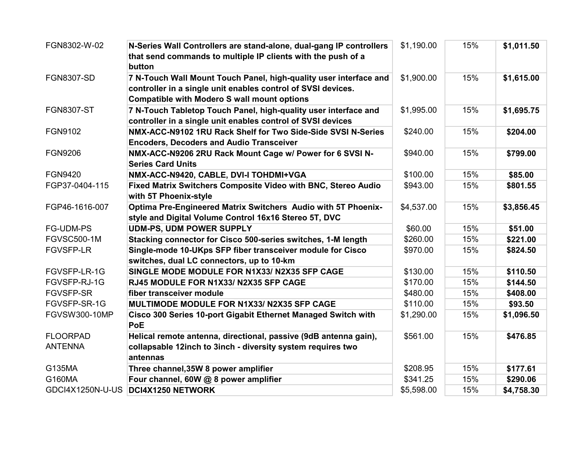| FGN8302-W-02         | N-Series Wall Controllers are stand-alone, dual-gang IP controllers<br>that send commands to multiple IP clients with the push of a<br>button                                           | \$1,190.00 | 15% | \$1,011.50 |
|----------------------|-----------------------------------------------------------------------------------------------------------------------------------------------------------------------------------------|------------|-----|------------|
| <b>FGN8307-SD</b>    | 7 N-Touch Wall Mount Touch Panel, high-quality user interface and<br>controller in a single unit enables control of SVSI devices.<br><b>Compatible with Modero S wall mount options</b> | \$1,900.00 | 15% | \$1,615.00 |
| <b>FGN8307-ST</b>    | 7 N-Touch Tabletop Touch Panel, high-quality user interface and<br>controller in a single unit enables control of SVSI devices                                                          | \$1,995.00 | 15% | \$1,695.75 |
| FGN9102              | NMX-ACC-N9102 1RU Rack Shelf for Two Side-Side SVSI N-Series<br><b>Encoders, Decoders and Audio Transceiver</b>                                                                         | \$240.00   | 15% | \$204.00   |
| <b>FGN9206</b>       | NMX-ACC-N9206 2RU Rack Mount Cage w/ Power for 6 SVSI N-<br><b>Series Card Units</b>                                                                                                    | \$940.00   | 15% | \$799.00   |
| <b>FGN9420</b>       | NMX-ACC-N9420, CABLE, DVI-I TOHDMI+VGA                                                                                                                                                  | \$100.00   | 15% | \$85.00    |
| FGP37-0404-115       | Fixed Matrix Switchers Composite Video with BNC, Stereo Audio<br>with 5T Phoenix-style                                                                                                  | \$943.00   | 15% | \$801.55   |
| FGP46-1616-007       | Optima Pre-Engineered Matrix Switchers Audio with 5T Phoenix-<br>style and Digital Volume Control 16x16 Stereo 5T, DVC                                                                  | \$4,537.00 | 15% | \$3,856.45 |
| FG-UDM-PS            | <b>UDM-PS, UDM POWER SUPPLY</b>                                                                                                                                                         | \$60.00    | 15% | \$51.00    |
| <b>FGVSC500-1M</b>   | Stacking connector for Cisco 500-series switches, 1-M length                                                                                                                            | \$260.00   | 15% | \$221.00   |
| <b>FGVSFP-LR</b>     | Single-mode 10-UKps SFP fiber transceiver module for Cisco<br>switches, dual LC connectors, up to 10-km                                                                                 | \$970.00   | 15% | \$824.50   |
| FGVSFP-LR-1G         | SINGLE MODE MODULE FOR N1X33/ N2X35 SFP CAGE                                                                                                                                            | \$130.00   | 15% | \$110.50   |
| FGVSFP-RJ-1G         | RJ45 MODULE FOR N1X33/ N2X35 SFP CAGE                                                                                                                                                   | \$170.00   | 15% | \$144.50   |
| <b>FGVSFP-SR</b>     | fiber transceiver module                                                                                                                                                                | \$480.00   | 15% | \$408.00   |
| FGVSFP-SR-1G         | MULTIMODE MODULE FOR N1X33/ N2X35 SFP CAGE                                                                                                                                              | \$110.00   | 15% | \$93.50    |
| <b>FGVSW300-10MP</b> | Cisco 300 Series 10-port Gigabit Ethernet Managed Switch with<br><b>PoE</b>                                                                                                             | \$1,290.00 | 15% | \$1,096.50 |
| <b>FLOORPAD</b>      | Helical remote antenna, directional, passive (9dB antenna gain),                                                                                                                        | \$561.00   | 15% | \$476.85   |
| <b>ANTENNA</b>       | collapsable 12inch to 3inch - diversity system requires two<br>antennas                                                                                                                 |            |     |            |
| G135MA               | Three channel, 35W 8 power amplifier                                                                                                                                                    | \$208.95   | 15% | \$177.61   |
| G160MA               | Four channel, 60W @ 8 power amplifier                                                                                                                                                   | \$341.25   | 15% | \$290.06   |
| GDCI4X1250N-U-US     | DCI4X1250 NETWORK                                                                                                                                                                       | \$5,598.00 | 15% | \$4,758.30 |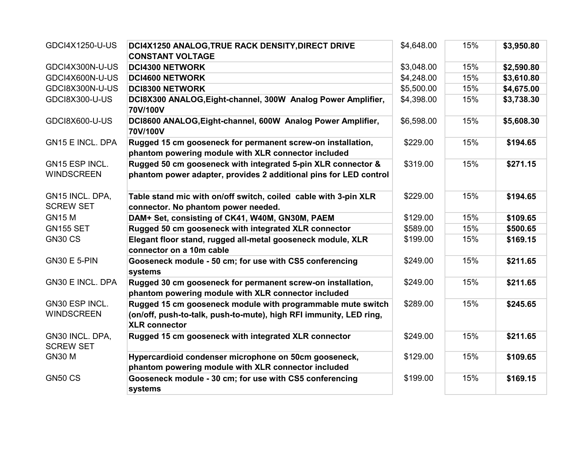| GDCI4X1250-U-US                     | DCI4X1250 ANALOG, TRUE RACK DENSITY, DIRECT DRIVE                                                                                                         | \$4,648.00 | 15% | \$3,950.80 |
|-------------------------------------|-----------------------------------------------------------------------------------------------------------------------------------------------------------|------------|-----|------------|
|                                     | <b>CONSTANT VOLTAGE</b>                                                                                                                                   |            |     |            |
| GDCI4X300N-U-US                     | <b>DCI4300 NETWORK</b>                                                                                                                                    | \$3,048.00 | 15% | \$2,590.80 |
| GDCI4X600N-U-US                     | <b>DCI4600 NETWORK</b>                                                                                                                                    | \$4,248.00 | 15% | \$3,610.80 |
| GDCI8X300N-U-US                     | <b>DCI8300 NETWORK</b>                                                                                                                                    | \$5,500.00 | 15% | \$4,675.00 |
| GDCI8X300-U-US                      | DCI8X300 ANALOG, Eight-channel, 300W Analog Power Amplifier,<br>70V/100V                                                                                  | \$4,398.00 | 15% | \$3,738.30 |
| GDCI8X600-U-US                      | DCI8600 ANALOG, Eight-channel, 600W Analog Power Amplifier,<br>70V/100V                                                                                   | \$6,598.00 | 15% | \$5,608.30 |
| <b>GN15 E INCL. DPA</b>             | Rugged 15 cm gooseneck for permanent screw-on installation,                                                                                               | \$229.00   | 15% | \$194.65   |
|                                     | phantom powering module with XLR connector included                                                                                                       |            |     |            |
| GN15 ESP INCL.                      | Rugged 50 cm gooseneck with integrated 5-pin XLR connector &                                                                                              | \$319.00   | 15% | \$271.15   |
| <b>WINDSCREEN</b>                   | phantom power adapter, provides 2 additional pins for LED control                                                                                         |            |     |            |
| GN15 INCL. DPA,<br><b>SCREW SET</b> | Table stand mic with on/off switch, coiled cable with 3-pin XLR<br>connector. No phantom power needed.                                                    | \$229.00   | 15% | \$194.65   |
| <b>GN15 M</b>                       | DAM+ Set, consisting of CK41, W40M, GN30M, PAEM                                                                                                           | \$129.00   | 15% | \$109.65   |
| <b>GN155 SET</b>                    | Rugged 50 cm gooseneck with integrated XLR connector                                                                                                      | \$589.00   | 15% | \$500.65   |
| <b>GN30 CS</b>                      | Elegant floor stand, rugged all-metal gooseneck module, XLR<br>connector on a 10m cable                                                                   | \$199.00   | 15% | \$169.15   |
| <b>GN30 E 5-PIN</b>                 | Gooseneck module - 50 cm; for use with CS5 conferencing<br>systems                                                                                        | \$249.00   | 15% | \$211.65   |
| <b>GN30 E INCL. DPA</b>             | Rugged 30 cm gooseneck for permanent screw-on installation,<br>phantom powering module with XLR connector included                                        | \$249.00   | 15% | \$211.65   |
| GN30 ESP INCL.<br><b>WINDSCREEN</b> | Rugged 15 cm gooseneck module with programmable mute switch<br>(on/off, push-to-talk, push-to-mute), high RFI immunity, LED ring,<br><b>XLR connector</b> | \$289.00   | 15% | \$245.65   |
| GN30 INCL. DPA,<br><b>SCREW SET</b> | Rugged 15 cm gooseneck with integrated XLR connector                                                                                                      | \$249.00   | 15% | \$211.65   |
| <b>GN30 M</b>                       | Hypercardioid condenser microphone on 50cm gooseneck,                                                                                                     | \$129.00   | 15% | \$109.65   |
|                                     | phantom powering module with XLR connector included                                                                                                       |            |     |            |
| <b>GN50 CS</b>                      | Gooseneck module - 30 cm; for use with CS5 conferencing                                                                                                   | \$199.00   | 15% | \$169.15   |
|                                     | systems                                                                                                                                                   |            |     |            |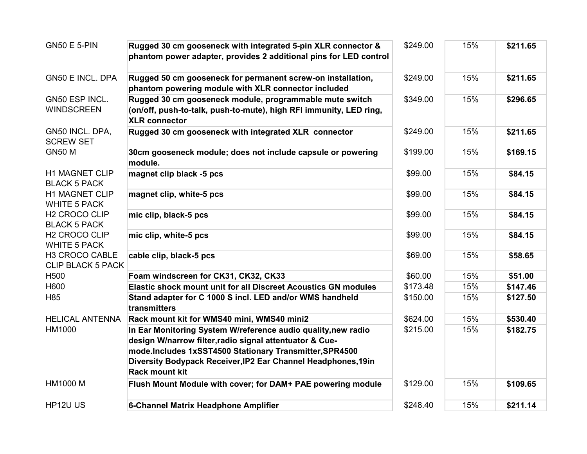| <b>GN50 E 5-PIN</b>                              | Rugged 30 cm gooseneck with integrated 5-pin XLR connector &<br>phantom power adapter, provides 2 additional pins for LED control                                                   | \$249.00 | 15% | \$211.65 |
|--------------------------------------------------|-------------------------------------------------------------------------------------------------------------------------------------------------------------------------------------|----------|-----|----------|
| <b>GN50 E INCL. DPA</b>                          | Rugged 50 cm gooseneck for permanent screw-on installation,<br>phantom powering module with XLR connector included                                                                  | \$249.00 | 15% | \$211.65 |
| GN50 ESP INCL.<br><b>WINDSCREEN</b>              | Rugged 30 cm gooseneck module, programmable mute switch<br>(on/off, push-to-talk, push-to-mute), high RFI immunity, LED ring,<br><b>XLR connector</b>                               | \$349.00 | 15% | \$296.65 |
| GN50 INCL. DPA,<br><b>SCREW SET</b>              | Rugged 30 cm gooseneck with integrated XLR connector                                                                                                                                | \$249.00 | 15% | \$211.65 |
| <b>GN50 M</b>                                    | 30cm gooseneck module; does not include capsule or powering<br>module.                                                                                                              | \$199.00 | 15% | \$169.15 |
| <b>H1 MAGNET CLIP</b><br><b>BLACK 5 PACK</b>     | magnet clip black -5 pcs                                                                                                                                                            | \$99.00  | 15% | \$84.15  |
| <b>H1 MAGNET CLIP</b><br><b>WHITE 5 PACK</b>     | magnet clip, white-5 pcs                                                                                                                                                            | \$99.00  | 15% | \$84.15  |
| H <sub>2</sub> CROCO CLIP<br><b>BLACK 5 PACK</b> | mic clip, black-5 pcs                                                                                                                                                               | \$99.00  | 15% | \$84.15  |
| H <sub>2</sub> CROCO CLIP<br><b>WHITE 5 PACK</b> | mic clip, white-5 pcs                                                                                                                                                               | \$99.00  | 15% | \$84.15  |
| H3 CROCO CABLE<br><b>CLIP BLACK 5 PACK</b>       | cable clip, black-5 pcs                                                                                                                                                             | \$69.00  | 15% | \$58.65  |
| H <sub>500</sub>                                 | Foam windscreen for CK31, CK32, CK33                                                                                                                                                | \$60.00  | 15% | \$51.00  |
| H600                                             | <b>Elastic shock mount unit for all Discreet Acoustics GN modules</b>                                                                                                               | \$173.48 | 15% | \$147.46 |
| H85                                              | Stand adapter for C 1000 S incl. LED and/or WMS handheld<br>transmitters                                                                                                            | \$150.00 | 15% | \$127.50 |
| <b>HELICAL ANTENNA</b>                           | Rack mount kit for WMS40 mini, WMS40 mini2                                                                                                                                          | \$624.00 | 15% | \$530.40 |
| HM1000                                           | In Ear Monitoring System W/reference audio quality, new radio<br>design W/narrow filter, radio signal attentuator & Cue-<br>mode.Includes 1xSST4500 Stationary Transmitter, SPR4500 | \$215.00 | 15% | \$182.75 |
|                                                  | Diversity Bodypack Receiver, IP2 Ear Channel Headphones, 19in<br><b>Rack mount kit</b>                                                                                              |          |     |          |
| <b>HM1000 M</b>                                  | Flush Mount Module with cover; for DAM+ PAE powering module                                                                                                                         | \$129.00 | 15% | \$109.65 |
| HP12U US                                         | 6-Channel Matrix Headphone Amplifier                                                                                                                                                | \$248.40 | 15% | \$211.14 |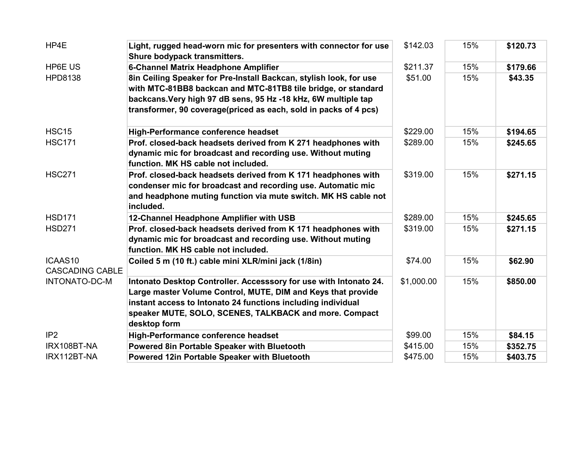| HP4E                                           | Light, rugged head-worn mic for presenters with connector for use<br>Shure bodypack transmitters.                                 | \$142.03   | 15% | \$120.73 |
|------------------------------------------------|-----------------------------------------------------------------------------------------------------------------------------------|------------|-----|----------|
| <b>HP6E US</b>                                 | <b>6-Channel Matrix Headphone Amplifier</b>                                                                                       | \$211.37   | 15% | \$179.66 |
| <b>HPD8138</b>                                 | 8in Ceiling Speaker for Pre-Install Backcan, stylish look, for use                                                                | \$51.00    | 15% | \$43.35  |
|                                                | with MTC-81BB8 backcan and MTC-81TB8 tile bridge, or standard                                                                     |            |     |          |
|                                                | backcans. Very high 97 dB sens, 95 Hz -18 kHz, 6W multiple tap                                                                    |            |     |          |
|                                                | transformer, 90 coverage(priced as each, sold in packs of 4 pcs)                                                                  |            |     |          |
| <b>HSC15</b>                                   | High-Performance conference headset                                                                                               | \$229.00   | 15% | \$194.65 |
| <b>HSC171</b>                                  | Prof. closed-back headsets derived from K 271 headphones with                                                                     | \$289.00   | 15% | \$245.65 |
|                                                | dynamic mic for broadcast and recording use. Without muting<br>function. MK HS cable not included.                                |            |     |          |
| <b>HSC271</b>                                  | Prof. closed-back headsets derived from K 171 headphones with                                                                     | \$319.00   | 15% | \$271.15 |
|                                                | condenser mic for broadcast and recording use. Automatic mic                                                                      |            |     |          |
|                                                | and headphone muting function via mute switch. MK HS cable not<br>included.                                                       |            |     |          |
| <b>HSD171</b>                                  | 12-Channel Headphone Amplifier with USB                                                                                           | \$289.00   | 15% | \$245.65 |
| <b>HSD271</b>                                  | Prof. closed-back headsets derived from K 171 headphones with                                                                     | \$319.00   | 15% | \$271.15 |
|                                                | dynamic mic for broadcast and recording use. Without muting<br>function. MK HS cable not included.                                |            |     |          |
| ICAAS10                                        | Coiled 5 m (10 ft.) cable mini XLR/mini jack (1/8in)                                                                              | \$74.00    | 15% | \$62.90  |
| <b>CASCADING CABLE</b><br><b>INTONATO-DC-M</b> |                                                                                                                                   |            | 15% |          |
|                                                | Intonato Desktop Controller. Accesssory for use with Intonato 24.<br>Large master Volume Control, MUTE, DIM and Keys that provide | \$1,000.00 |     | \$850.00 |
|                                                | instant access to Intonato 24 functions including individual                                                                      |            |     |          |
|                                                | speaker MUTE, SOLO, SCENES, TALKBACK and more. Compact                                                                            |            |     |          |
|                                                | desktop form                                                                                                                      |            |     |          |
| IP <sub>2</sub>                                | High-Performance conference headset                                                                                               | \$99.00    | 15% | \$84.15  |
| IRX108BT-NA                                    | Powered 8in Portable Speaker with Bluetooth                                                                                       | \$415.00   | 15% | \$352.75 |
| IRX112BT-NA                                    | Powered 12in Portable Speaker with Bluetooth                                                                                      | \$475.00   | 15% | \$403.75 |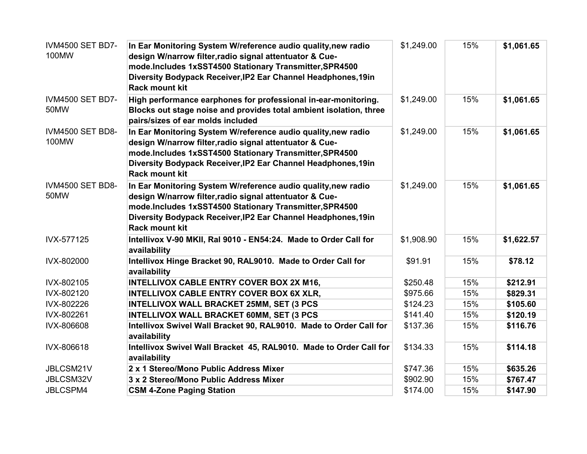| <b>IVM4500 SET BD7-</b><br>100MW | In Ear Monitoring System W/reference audio quality, new radio<br>design W/narrow filter, radio signal attentuator & Cue-<br>mode.Includes 1xSST4500 Stationary Transmitter, SPR4500<br>Diversity Bodypack Receiver, IP2 Ear Channel Headphones, 19in<br><b>Rack mount kit</b> | \$1,249.00 | 15% | \$1,061.65 |
|----------------------------------|-------------------------------------------------------------------------------------------------------------------------------------------------------------------------------------------------------------------------------------------------------------------------------|------------|-----|------------|
| <b>IVM4500 SET BD7-</b><br>50MW  | High performance earphones for professional in-ear-monitoring.<br>Blocks out stage noise and provides total ambient isolation, three<br>pairs/sizes of ear molds included                                                                                                     | \$1,249.00 | 15% | \$1,061.65 |
| <b>IVM4500 SET BD8-</b><br>100MW | In Ear Monitoring System W/reference audio quality, new radio<br>design W/narrow filter, radio signal attentuator & Cue-<br>mode.Includes 1xSST4500 Stationary Transmitter, SPR4500<br>Diversity Bodypack Receiver, IP2 Ear Channel Headphones, 19in<br><b>Rack mount kit</b> | \$1,249.00 | 15% | \$1,061.65 |
| <b>IVM4500 SET BD8-</b><br>50MW  | In Ear Monitoring System W/reference audio quality, new radio<br>design W/narrow filter, radio signal attentuator & Cue-<br>mode.Includes 1xSST4500 Stationary Transmitter, SPR4500<br>Diversity Bodypack Receiver, IP2 Ear Channel Headphones, 19in<br><b>Rack mount kit</b> | \$1,249.00 | 15% | \$1,061.65 |
| IVX-577125                       | Intellivox V-90 MKII, Ral 9010 - EN54:24. Made to Order Call for<br>availability                                                                                                                                                                                              | \$1,908.90 | 15% | \$1,622.57 |
| IVX-802000                       | Intellivox Hinge Bracket 90, RAL9010. Made to Order Call for<br>availability                                                                                                                                                                                                  | \$91.91    | 15% | \$78.12    |
| IVX-802105                       | <b>INTELLIVOX CABLE ENTRY COVER BOX 2X M16,</b>                                                                                                                                                                                                                               | \$250.48   | 15% | \$212.91   |
| IVX-802120                       | INTELLIVOX CABLE ENTRY COVER BOX 6X XLR,                                                                                                                                                                                                                                      | \$975.66   | 15% | \$829.31   |
| IVX-802226                       | <b>INTELLIVOX WALL BRACKET 25MM, SET (3 PCS</b>                                                                                                                                                                                                                               | \$124.23   | 15% | \$105.60   |
| IVX-802261                       | <b>INTELLIVOX WALL BRACKET 60MM, SET (3 PCS</b>                                                                                                                                                                                                                               | \$141.40   | 15% | \$120.19   |
| IVX-806608                       | Intellivox Swivel Wall Bracket 90, RAL9010. Made to Order Call for<br>availability                                                                                                                                                                                            | \$137.36   | 15% | \$116.76   |
| IVX-806618                       | Intellivox Swivel Wall Bracket 45, RAL9010. Made to Order Call for<br>availability                                                                                                                                                                                            | \$134.33   | 15% | \$114.18   |
| JBLCSM21V                        | 2 x 1 Stereo/Mono Public Address Mixer                                                                                                                                                                                                                                        | \$747.36   | 15% | \$635.26   |
| JBLCSM32V                        | 3 x 2 Stereo/Mono Public Address Mixer                                                                                                                                                                                                                                        | \$902.90   | 15% | \$767.47   |
| <b>JBLCSPM4</b>                  | <b>CSM 4-Zone Paging Station</b>                                                                                                                                                                                                                                              | \$174.00   | 15% | \$147.90   |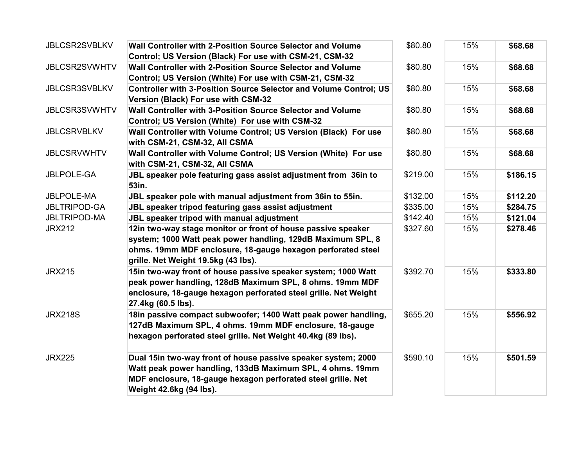| <b>JBLCSR2SVBLKV</b> | Wall Controller with 2-Position Source Selector and Volume<br>Control; US Version (Black) For use with CSM-21, CSM-32                                                                                                 | \$80.80  | 15% | \$68.68  |
|----------------------|-----------------------------------------------------------------------------------------------------------------------------------------------------------------------------------------------------------------------|----------|-----|----------|
| JBLCSR2SVWHTV        | Wall Controller with 2-Position Source Selector and Volume<br>Control; US Version (White) For use with CSM-21, CSM-32                                                                                                 | \$80.80  | 15% | \$68.68  |
| <b>JBLCSR3SVBLKV</b> | <b>Controller with 3-Position Source Selector and Volume Control; US</b><br>Version (Black) For use with CSM-32                                                                                                       | \$80.80  | 15% | \$68.68  |
| <b>JBLCSR3SVWHTV</b> | Wall Controller with 3-Position Source Selector and Volume<br>Control; US Version (White) For use with CSM-32                                                                                                         | \$80.80  | 15% | \$68.68  |
| <b>JBLCSRVBLKV</b>   | Wall Controller with Volume Control; US Version (Black) For use<br>with CSM-21, CSM-32, All CSMA                                                                                                                      | \$80.80  | 15% | \$68.68  |
| <b>JBLCSRVWHTV</b>   | Wall Controller with Volume Control; US Version (White) For use<br>with CSM-21, CSM-32, All CSMA                                                                                                                      | \$80.80  | 15% | \$68.68  |
| <b>JBLPOLE-GA</b>    | JBL speaker pole featuring gass assist adjustment from 36in to<br>53in.                                                                                                                                               | \$219.00 | 15% | \$186.15 |
| <b>JBLPOLE-MA</b>    | JBL speaker pole with manual adjustment from 36in to 55in.                                                                                                                                                            | \$132.00 | 15% | \$112.20 |
| <b>JBLTRIPOD-GA</b>  | JBL speaker tripod featuring gass assist adjustment                                                                                                                                                                   | \$335.00 | 15% | \$284.75 |
| <b>JBLTRIPOD-MA</b>  | <b>JBL speaker tripod with manual adjustment</b>                                                                                                                                                                      | \$142.40 | 15% | \$121.04 |
| <b>JRX212</b>        | 12in two-way stage monitor or front of house passive speaker                                                                                                                                                          | \$327.60 | 15% | \$278.46 |
|                      | system; 1000 Watt peak power handling, 129dB Maximum SPL, 8                                                                                                                                                           |          |     |          |
|                      | ohms. 19mm MDF enclosure, 18-gauge hexagon perforated steel<br>grille. Net Weight 19.5kg (43 lbs).                                                                                                                    |          |     |          |
| <b>JRX215</b>        | 15in two-way front of house passive speaker system; 1000 Watt<br>peak power handling, 128dB Maximum SPL, 8 ohms. 19mm MDF<br>enclosure, 18-gauge hexagon perforated steel grille. Net Weight<br>27.4kg (60.5 lbs).    | \$392.70 | 15% | \$333.80 |
| <b>JRX218S</b>       | 18in passive compact subwoofer; 1400 Watt peak power handling,<br>127dB Maximum SPL, 4 ohms. 19mm MDF enclosure, 18-gauge<br>hexagon perforated steel grille. Net Weight 40.4kg (89 lbs).                             | \$655.20 | 15% | \$556.92 |
| <b>JRX225</b>        | Dual 15in two-way front of house passive speaker system; 2000<br>Watt peak power handling, 133dB Maximum SPL, 4 ohms. 19mm<br>MDF enclosure, 18-gauge hexagon perforated steel grille. Net<br>Weight 42.6kg (94 lbs). | \$590.10 | 15% | \$501.59 |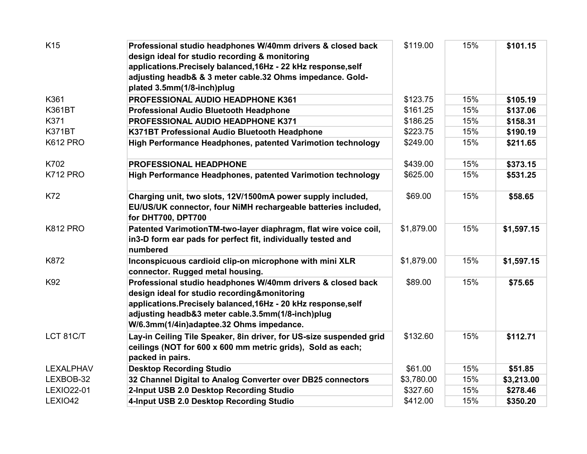| K15              | Professional studio headphones W/40mm drivers & closed back<br>design ideal for studio recording & monitoring<br>applications. Precisely balanced, 16Hz - 22 kHz response, self<br>adjusting headb& & 3 meter cable.32 Ohms impedance. Gold-<br>plated 3.5mm(1/8-inch)plug     | \$119.00   | 15% | \$101.15   |
|------------------|--------------------------------------------------------------------------------------------------------------------------------------------------------------------------------------------------------------------------------------------------------------------------------|------------|-----|------------|
| K361             | PROFESSIONAL AUDIO HEADPHONE K361                                                                                                                                                                                                                                              | \$123.75   | 15% | \$105.19   |
| <b>K361BT</b>    | Professional Audio Bluetooth Headphone                                                                                                                                                                                                                                         | \$161.25   | 15% | \$137.06   |
| K371             | PROFESSIONAL AUDIO HEADPHONE K371                                                                                                                                                                                                                                              | \$186.25   | 15% | \$158.31   |
| <b>K371BT</b>    | K371BT Professional Audio Bluetooth Headphone                                                                                                                                                                                                                                  | \$223.75   | 15% | \$190.19   |
| <b>K612 PRO</b>  | High Performance Headphones, patented Varimotion technology                                                                                                                                                                                                                    | \$249.00   | 15% | \$211.65   |
| K702             | <b>PROFESSIONAL HEADPHONE</b>                                                                                                                                                                                                                                                  | \$439.00   | 15% | \$373.15   |
| <b>K712 PRO</b>  | High Performance Headphones, patented Varimotion technology                                                                                                                                                                                                                    | \$625.00   | 15% | \$531.25   |
| K72              | Charging unit, two slots, 12V/1500mA power supply included,<br>EU/US/UK connector, four NiMH rechargeable batteries included,<br>for DHT700, DPT700                                                                                                                            | \$69.00    | 15% | \$58.65    |
| <b>K812 PRO</b>  | Patented VarimotionTM-two-layer diaphragm, flat wire voice coil,<br>in3-D form ear pads for perfect fit, individually tested and<br>numbered                                                                                                                                   | \$1,879.00 | 15% | \$1,597.15 |
| K872             | Inconspicuous cardioid clip-on microphone with mini XLR<br>connector. Rugged metal housing.                                                                                                                                                                                    | \$1,879.00 | 15% | \$1,597.15 |
| K92              | Professional studio headphones W/40mm drivers & closed back<br>design ideal for studio recording&monitoring<br>applications. Precisely balanced, 16Hz - 20 kHz response, self<br>adjusting headb&3 meter cable.3.5mm(1/8-inch)plug<br>W/6.3mm(1/4in)adaptee.32 Ohms impedance. | \$89.00    | 15% | \$75.65    |
| LCT 81C/T        | Lay-in Ceiling Tile Speaker, 8in driver, for US-size suspended grid<br>ceilings (NOT for 600 x 600 mm metric grids), Sold as each;<br>packed in pairs.                                                                                                                         | \$132.60   | 15% | \$112.71   |
| <b>LEXALPHAV</b> | <b>Desktop Recording Studio</b>                                                                                                                                                                                                                                                | \$61.00    | 15% | \$51.85    |
| LEXBOB-32        | 32 Channel Digital to Analog Converter over DB25 connectors                                                                                                                                                                                                                    | \$3,780.00 | 15% | \$3,213.00 |
| LEXIO22-01       | 2-Input USB 2.0 Desktop Recording Studio                                                                                                                                                                                                                                       | \$327.60   | 15% | \$278.46   |
| LEXIO42          | 4-Input USB 2.0 Desktop Recording Studio                                                                                                                                                                                                                                       | \$412.00   | 15% | \$350.20   |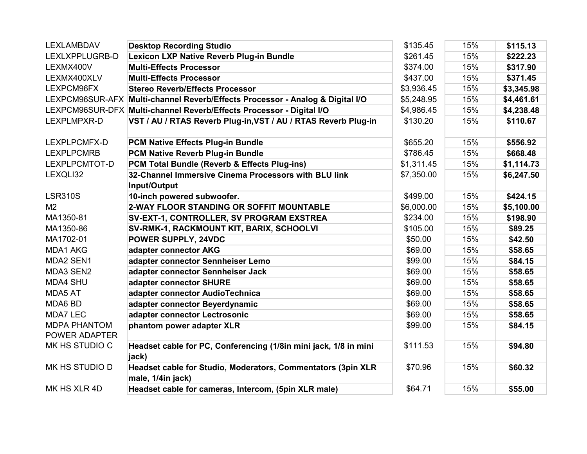| <b>LEXLAMBDAV</b>                    | <b>Desktop Recording Studio</b>                                                   | \$135.45   | 15% | \$115.13   |
|--------------------------------------|-----------------------------------------------------------------------------------|------------|-----|------------|
| LEXLXPPLUGRB-D                       | <b>Lexicon LXP Native Reverb Plug-in Bundle</b>                                   | \$261.45   | 15% | \$222.23   |
| LEXMX400V                            | <b>Multi-Effects Processor</b>                                                    | \$374.00   | 15% | \$317.90   |
| LEXMX400XLV                          | <b>Multi-Effects Processor</b>                                                    | \$437.00   | 15% | \$371.45   |
| LEXPCM96FX                           | <b>Stereo Reverb/Effects Processor</b>                                            | \$3,936.45 | 15% | \$3,345.98 |
|                                      | LEXPCM96SUR-AFX Multi-channel Reverb/Effects Processor - Analog & Digital I/O     | \$5,248.95 | 15% | \$4,461.61 |
|                                      | LEXPCM96SUR-DFX Multi-channel Reverb/Effects Processor - Digital I/O              | \$4,986.45 | 15% | \$4,238.48 |
| LEXPLMPXR-D                          | VST / AU / RTAS Reverb Plug-in, VST / AU / RTAS Reverb Plug-in                    | \$130.20   | 15% | \$110.67   |
| LEXPLPCMFX-D                         | PCM Native Effects Plug-in Bundle                                                 | \$655.20   | 15% | \$556.92   |
| <b>LEXPLPCMRB</b>                    | PCM Native Reverb Plug-in Bundle                                                  | \$786.45   | 15% | \$668.48   |
| LEXPLPCMTOT-D                        | PCM Total Bundle (Reverb & Effects Plug-ins)                                      | \$1,311.45 | 15% | \$1,114.73 |
| LEXQLI32                             | 32-Channel Immersive Cinema Processors with BLU link                              | \$7,350.00 | 15% | \$6,247.50 |
|                                      | Input/Output                                                                      |            |     |            |
| <b>LSR310S</b>                       | 10-inch powered subwoofer.                                                        | \$499.00   | 15% | \$424.15   |
| M <sub>2</sub>                       | 2-WAY FLOOR STANDING OR SOFFIT MOUNTABLE                                          | \$6,000.00 | 15% | \$5,100.00 |
| MA1350-81                            | SV-EXT-1, CONTROLLER, SV PROGRAM EXSTREA                                          | \$234.00   | 15% | \$198.90   |
| MA1350-86                            | SV-RMK-1, RACKMOUNT KIT, BARIX, SCHOOLVI                                          | \$105.00   | 15% | \$89.25    |
| MA1702-01                            | POWER SUPPLY, 24VDC                                                               | \$50.00    | 15% | \$42.50    |
| MDA1 AKG                             | adapter connector AKG                                                             | \$69.00    | 15% | \$58.65    |
| MDA2 SEN1                            | adapter connector Sennheiser Lemo                                                 | \$99.00    | 15% | \$84.15    |
| MDA3 SEN2                            | adapter connector Sennheiser Jack                                                 | \$69.00    | 15% | \$58.65    |
| <b>MDA4 SHU</b>                      | adapter connector SHURE                                                           | \$69.00    | 15% | \$58.65    |
| MDA5 AT                              | adapter connector AudioTechnica                                                   | \$69.00    | 15% | \$58.65    |
| MDA6 BD                              | adapter connector Beyerdynamic                                                    | \$69.00    | 15% | \$58.65    |
| <b>MDA7 LEC</b>                      | adapter connector Lectrosonic                                                     | \$69.00    | 15% | \$58.65    |
| <b>MDPA PHANTOM</b><br>POWER ADAPTER | phantom power adapter XLR                                                         | \$99.00    | 15% | \$84.15    |
| MK HS STUDIO C                       | Headset cable for PC, Conferencing (1/8in mini jack, 1/8 in mini<br>jack)         | \$111.53   | 15% | \$94.80    |
| MK HS STUDIO D                       | Headset cable for Studio, Moderators, Commentators (3pin XLR<br>male, 1/4in jack) | \$70.96    | 15% | \$60.32    |
| MK HS XLR 4D                         | Headset cable for cameras, Intercom, (5pin XLR male)                              | \$64.71    | 15% | \$55.00    |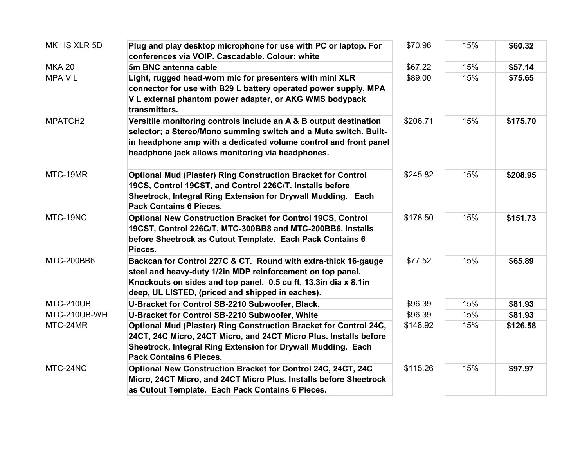| MK HS XLR 5D        | Plug and play desktop microphone for use with PC or laptop. For<br>conferences via VOIP. Cascadable. Colour: white                                                                                                                                            | \$70.96  | 15% | \$60.32  |
|---------------------|---------------------------------------------------------------------------------------------------------------------------------------------------------------------------------------------------------------------------------------------------------------|----------|-----|----------|
| <b>MKA 20</b>       | 5m BNC antenna cable                                                                                                                                                                                                                                          | \$67.22  | 15% | \$57.14  |
| MPA V L             | Light, rugged head-worn mic for presenters with mini XLR<br>connector for use with B29 L battery operated power supply, MPA<br>V L external phantom power adapter, or AKG WMS bodypack<br>transmitters.                                                       | \$89.00  | 15% | \$75.65  |
| MPATCH <sub>2</sub> | Versitile monitoring controls include an A & B output destination<br>selector; a Stereo/Mono summing switch and a Mute switch. Built-<br>in headphone amp with a dedicated volume control and front panel<br>headphone jack allows monitoring via headphones. | \$206.71 | 15% | \$175.70 |
| MTC-19MR            | <b>Optional Mud (Plaster) Ring Construction Bracket for Control</b><br>19CS, Control 19CST, and Control 226C/T. Installs before<br>Sheetrock, Integral Ring Extension for Drywall Mudding. Each<br><b>Pack Contains 6 Pieces.</b>                             | \$245.82 | 15% | \$208.95 |
| MTC-19NC            | <b>Optional New Construction Bracket for Control 19CS, Control</b><br>19CST, Control 226C/T, MTC-300BB8 and MTC-200BB6. Installs<br>before Sheetrock as Cutout Template. Each Pack Contains 6<br>Pieces.                                                      | \$178.50 | 15% | \$151.73 |
| <b>MTC-200BB6</b>   | Backcan for Control 227C & CT. Round with extra-thick 16-gauge<br>steel and heavy-duty 1/2in MDP reinforcement on top panel.<br>Knockouts on sides and top panel. 0.5 cu ft, 13.3in dia x 8.1in<br>deep, UL LISTED, (priced and shipped in eaches).           | \$77.52  | 15% | \$65.89  |
| MTC-210UB           | U-Bracket for Control SB-2210 Subwoofer, Black.                                                                                                                                                                                                               | \$96.39  | 15% | \$81.93  |
| MTC-210UB-WH        | U-Bracket for Control SB-2210 Subwoofer, White                                                                                                                                                                                                                | \$96.39  | 15% | \$81.93  |
| MTC-24MR            | Optional Mud (Plaster) Ring Construction Bracket for Control 24C,<br>24CT, 24C Micro, 24CT Micro, and 24CT Micro Plus. Installs before<br>Sheetrock, Integral Ring Extension for Drywall Mudding. Each<br><b>Pack Contains 6 Pieces.</b>                      | \$148.92 | 15% | \$126.58 |
| MTC-24NC            | Optional New Construction Bracket for Control 24C, 24CT, 24C<br>Micro, 24CT Micro, and 24CT Micro Plus. Installs before Sheetrock<br>as Cutout Template. Each Pack Contains 6 Pieces.                                                                         | \$115.26 | 15% | \$97.97  |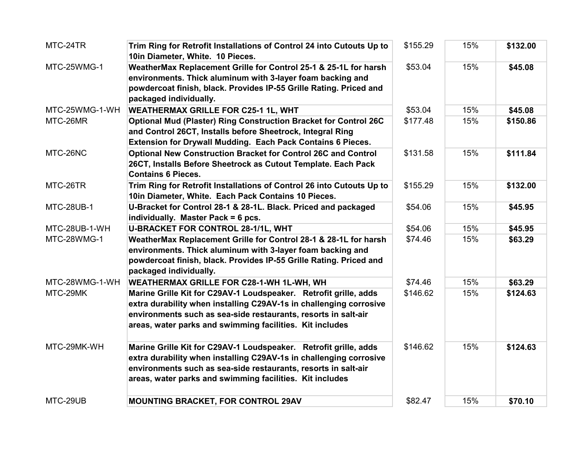| MTC-24TR          | Trim Ring for Retrofit Installations of Control 24 into Cutouts Up to<br>10in Diameter, White. 10 Pieces.                                                                                                                                                            | \$155.29 | 15% | \$132.00 |
|-------------------|----------------------------------------------------------------------------------------------------------------------------------------------------------------------------------------------------------------------------------------------------------------------|----------|-----|----------|
| MTC-25WMG-1       | WeatherMax Replacement Grille for Control 25-1 & 25-1L for harsh<br>environments. Thick aluminum with 3-layer foam backing and<br>powdercoat finish, black. Provides IP-55 Grille Rating. Priced and<br>packaged individually.                                       | \$53.04  | 15% | \$45.08  |
| MTC-25WMG-1-WH    | <b>WEATHERMAX GRILLE FOR C25-1 1L, WHT</b>                                                                                                                                                                                                                           | \$53.04  | 15% | \$45.08  |
| MTC-26MR          | <b>Optional Mud (Plaster) Ring Construction Bracket for Control 26C</b><br>and Control 26CT, Installs before Sheetrock, Integral Ring<br>Extension for Drywall Mudding. Each Pack Contains 6 Pieces.                                                                 | \$177.48 | 15% | \$150.86 |
| MTC-26NC          | <b>Optional New Construction Bracket for Control 26C and Control</b><br>26CT, Installs Before Sheetrock as Cutout Template. Each Pack<br><b>Contains 6 Pieces.</b>                                                                                                   | \$131.58 | 15% | \$111.84 |
| MTC-26TR          | Trim Ring for Retrofit Installations of Control 26 into Cutouts Up to<br>10in Diameter, White. Each Pack Contains 10 Pieces.                                                                                                                                         | \$155.29 | 15% | \$132.00 |
| <b>MTC-28UB-1</b> | U-Bracket for Control 28-1 & 28-1L. Black. Priced and packaged<br>individually. Master Pack = 6 pcs.                                                                                                                                                                 | \$54.06  | 15% | \$45.95  |
| MTC-28UB-1-WH     | U-BRACKET FOR CONTROL 28-1/1L, WHT                                                                                                                                                                                                                                   | \$54.06  | 15% | \$45.95  |
| MTC-28WMG-1       | WeatherMax Replacement Grille for Control 28-1 & 28-1L for harsh<br>environments. Thick aluminum with 3-layer foam backing and<br>powdercoat finish, black. Provides IP-55 Grille Rating. Priced and<br>packaged individually.                                       | \$74.46  | 15% | \$63.29  |
| MTC-28WMG-1-WH    | WEATHERMAX GRILLE FOR C28-1-WH 1L-WH, WH                                                                                                                                                                                                                             | \$74.46  | 15% | \$63.29  |
| MTC-29MK          | Marine Grille Kit for C29AV-1 Loudspeaker. Retrofit grille, adds<br>extra durability when installing C29AV-1s in challenging corrosive<br>environments such as sea-side restaurants, resorts in salt-air<br>areas, water parks and swimming facilities. Kit includes | \$146.62 | 15% | \$124.63 |
| MTC-29MK-WH       | Marine Grille Kit for C29AV-1 Loudspeaker. Retrofit grille, adds<br>extra durability when installing C29AV-1s in challenging corrosive<br>environments such as sea-side restaurants, resorts in salt-air<br>areas, water parks and swimming facilities. Kit includes | \$146.62 | 15% | \$124.63 |
| MTC-29UB          | <b>MOUNTING BRACKET, FOR CONTROL 29AV</b>                                                                                                                                                                                                                            | \$82.47  | 15% | \$70.10  |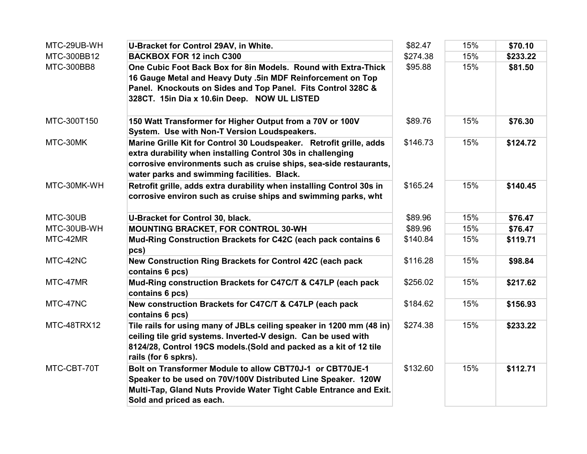| MTC-29UB-WH | U-Bracket for Control 29AV, in White.                                                                                                                                                                                                                   | \$82.47  | 15% | \$70.10  |
|-------------|---------------------------------------------------------------------------------------------------------------------------------------------------------------------------------------------------------------------------------------------------------|----------|-----|----------|
| MTC-300BB12 | <b>BACKBOX FOR 12 inch C300</b>                                                                                                                                                                                                                         | \$274.38 | 15% | \$233.22 |
| MTC-300BB8  | One Cubic Foot Back Box for 8in Models. Round with Extra-Thick<br>16 Gauge Metal and Heavy Duty .5in MDF Reinforcement on Top<br>Panel. Knockouts on Sides and Top Panel. Fits Control 328C &<br>328CT. 15in Dia x 10.6in Deep. NOW UL LISTED           | \$95.88  | 15% | \$81.50  |
| MTC-300T150 | 150 Watt Transformer for Higher Output from a 70V or 100V<br>System. Use with Non-T Version Loudspeakers.                                                                                                                                               | \$89.76  | 15% | \$76.30  |
| MTC-30MK    | Marine Grille Kit for Control 30 Loudspeaker. Retrofit grille, adds<br>extra durability when installing Control 30s in challenging<br>corrosive environments such as cruise ships, sea-side restaurants,<br>water parks and swimming facilities. Black. | \$146.73 | 15% | \$124.72 |
| MTC-30MK-WH | Retrofit grille, adds extra durability when installing Control 30s in<br>corrosive environ such as cruise ships and swimming parks, wht                                                                                                                 | \$165.24 | 15% | \$140.45 |
| MTC-30UB    | U-Bracket for Control 30, black.                                                                                                                                                                                                                        | \$89.96  | 15% | \$76.47  |
| MTC-30UB-WH | <b>MOUNTING BRACKET, FOR CONTROL 30-WH</b>                                                                                                                                                                                                              | \$89.96  | 15% | \$76.47  |
| MTC-42MR    | Mud-Ring Construction Brackets for C42C (each pack contains 6<br>pcs)                                                                                                                                                                                   | \$140.84 | 15% | \$119.71 |
| MTC-42NC    | New Construction Ring Brackets for Control 42C (each pack<br>contains 6 pcs)                                                                                                                                                                            | \$116.28 | 15% | \$98.84  |
| MTC-47MR    | Mud-Ring construction Brackets for C47C/T & C47LP (each pack<br>contains 6 pcs)                                                                                                                                                                         | \$256.02 | 15% | \$217.62 |
| MTC-47NC    | New construction Brackets for C47C/T & C47LP (each pack<br>contains 6 pcs)                                                                                                                                                                              | \$184.62 | 15% | \$156.93 |
| MTC-48TRX12 | Tile rails for using many of JBLs ceiling speaker in 1200 mm (48 in)<br>ceiling tile grid systems. Inverted-V design. Can be used with<br>8124/28, Control 19CS models. (Sold and packed as a kit of 12 tile<br>rails (for 6 spkrs).                    | \$274.38 | 15% | \$233.22 |
| MTC-CBT-70T | Bolt on Transformer Module to allow CBT70J-1 or CBT70JE-1<br>Speaker to be used on 70V/100V Distributed Line Speaker. 120W<br>Multi-Tap, Gland Nuts Provide Water Tight Cable Entrance and Exit.<br>Sold and priced as each.                            | \$132.60 | 15% | \$112.71 |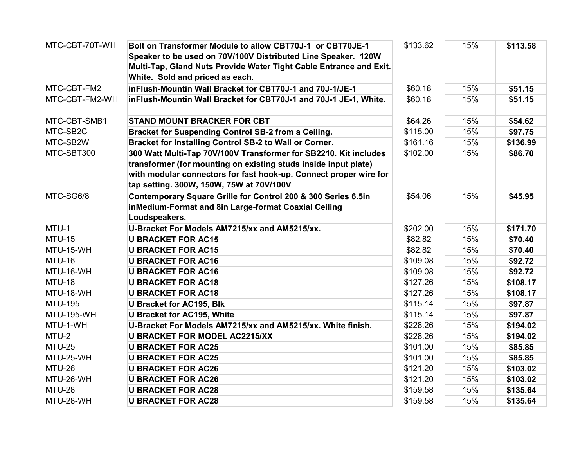| MTC-CBT-70T-WH    | Bolt on Transformer Module to allow CBT70J-1 or CBT70JE-1          | \$133.62 | 15% | \$113.58 |
|-------------------|--------------------------------------------------------------------|----------|-----|----------|
|                   | Speaker to be used on 70V/100V Distributed Line Speaker. 120W      |          |     |          |
|                   | Multi-Tap, Gland Nuts Provide Water Tight Cable Entrance and Exit. |          |     |          |
|                   | White. Sold and priced as each.                                    |          |     |          |
| MTC-CBT-FM2       | inFlush-Mountin Wall Bracket for CBT70J-1 and 70J-1/JE-1           | \$60.18  | 15% | \$51.15  |
| MTC-CBT-FM2-WH    | inFlush-Mountin Wall Bracket for CBT70J-1 and 70J-1 JE-1, White.   | \$60.18  | 15% | \$51.15  |
| MTC-CBT-SMB1      | <b>STAND MOUNT BRACKER FOR CBT</b>                                 | \$64.26  | 15% | \$54.62  |
| MTC-SB2C          | Bracket for Suspending Control SB-2 from a Ceiling.                | \$115.00 | 15% | \$97.75  |
| MTC-SB2W          | Bracket for Installing Control SB-2 to Wall or Corner.             | \$161.16 | 15% | \$136.99 |
| MTC-SBT300        | 300 Watt Multi-Tap 70V/100V Transformer for SB2210. Kit includes   | \$102.00 | 15% | \$86.70  |
|                   | transformer (for mounting on existing studs inside input plate)    |          |     |          |
|                   | with modular connectors for fast hook-up. Connect proper wire for  |          |     |          |
|                   | tap setting. 300W, 150W, 75W at 70V/100V                           |          |     |          |
| MTC-SG6/8         | Contemporary Square Grille for Control 200 & 300 Series 6.5in      | \$54.06  | 15% | \$45.95  |
|                   | inMedium-Format and 8in Large-format Coaxial Ceiling               |          |     |          |
|                   | Loudspeakers.                                                      |          |     |          |
| MTU-1             | U-Bracket For Models AM7215/xx and AM5215/xx.                      | \$202.00 | 15% | \$171.70 |
| <b>MTU-15</b>     | <b>U BRACKET FOR AC15</b>                                          | \$82.82  | 15% | \$70.40  |
| MTU-15-WH         | <b>U BRACKET FOR AC15</b>                                          | \$82.82  | 15% | \$70.40  |
| <b>MTU-16</b>     | <b>U BRACKET FOR AC16</b>                                          | \$109.08 | 15% | \$92.72  |
| MTU-16-WH         | <b>U BRACKET FOR AC16</b>                                          | \$109.08 | 15% | \$92.72  |
| <b>MTU-18</b>     | <b>U BRACKET FOR AC18</b>                                          | \$127.26 | 15% | \$108.17 |
| MTU-18-WH         | <b>U BRACKET FOR AC18</b>                                          | \$127.26 | 15% | \$108.17 |
| <b>MTU-195</b>    | <b>U Bracket for AC195, Blk</b>                                    | \$115.14 | 15% | \$97.87  |
| <b>MTU-195-WH</b> | <b>U Bracket for AC195, White</b>                                  | \$115.14 | 15% | \$97.87  |
| MTU-1-WH          | U-Bracket For Models AM7215/xx and AM5215/xx. White finish.        | \$228.26 | 15% | \$194.02 |
| MTU-2             | <b>U BRACKET FOR MODEL AC2215/XX</b>                               | \$228.26 | 15% | \$194.02 |
| <b>MTU-25</b>     | <b>U BRACKET FOR AC25</b>                                          | \$101.00 | 15% | \$85.85  |
| MTU-25-WH         | <b>U BRACKET FOR AC25</b>                                          | \$101.00 | 15% | \$85.85  |
| <b>MTU-26</b>     | <b>U BRACKET FOR AC26</b>                                          | \$121.20 | 15% | \$103.02 |
| MTU-26-WH         | <b>U BRACKET FOR AC26</b>                                          | \$121.20 | 15% | \$103.02 |
| <b>MTU-28</b>     | <b>U BRACKET FOR AC28</b>                                          | \$159.58 | 15% | \$135.64 |
| MTU-28-WH         | <b>U BRACKET FOR AC28</b>                                          | \$159.58 | 15% | \$135.64 |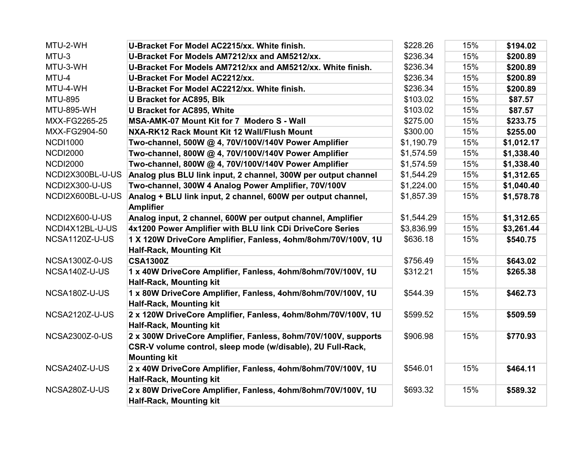| MTU-2-WH              | U-Bracket For Model AC2215/xx. White finish.                                                                                                         | \$228.26   | 15% | \$194.02   |
|-----------------------|------------------------------------------------------------------------------------------------------------------------------------------------------|------------|-----|------------|
| MTU-3                 | U-Bracket For Models AM7212/xx and AM5212/xx.                                                                                                        | \$236.34   | 15% | \$200.89   |
| MTU-3-WH              | U-Bracket For Models AM7212/xx and AM5212/xx. White finish.                                                                                          | \$236.34   | 15% | \$200.89   |
| MTU-4                 | <b>U-Bracket For Model AC2212/xx.</b>                                                                                                                | \$236.34   | 15% | \$200.89   |
| MTU-4-WH              | U-Bracket For Model AC2212/xx. White finish.                                                                                                         | \$236.34   | 15% | \$200.89   |
| <b>MTU-895</b>        | <b>U Bracket for AC895, Blk</b>                                                                                                                      | \$103.02   | 15% | \$87.57    |
| <b>MTU-895-WH</b>     | <b>U Bracket for AC895, White</b>                                                                                                                    | \$103.02   | 15% | \$87.57    |
| MXX-FG2265-25         | MSA-AMK-07 Mount Kit for 7 Modero S - Wall                                                                                                           | \$275.00   | 15% | \$233.75   |
| MXX-FG2904-50         | NXA-RK12 Rack Mount Kit 12 Wall/Flush Mount                                                                                                          | \$300.00   | 15% | \$255.00   |
| <b>NCDI1000</b>       | Two-channel, 500W @ 4, 70V/100V/140V Power Amplifier                                                                                                 | \$1,190.79 | 15% | \$1,012.17 |
| <b>NCDI2000</b>       | Two-channel, 800W @ 4, 70V/100V/140V Power Amplifier                                                                                                 | \$1,574.59 | 15% | \$1,338.40 |
| <b>NCDI2000</b>       | Two-channel, 800W @ 4, 70V/100V/140V Power Amplifier                                                                                                 | \$1,574.59 | 15% | \$1,338.40 |
| NCDI2X300BL-U-US      | Analog plus BLU link input, 2 channel, 300W per output channel                                                                                       | \$1,544.29 | 15% | \$1,312.65 |
| NCDI2X300-U-US        | Two-channel, 300W 4 Analog Power Amplifier, 70V/100V                                                                                                 | \$1,224.00 | 15% | \$1,040.40 |
| NCDI2X600BL-U-US      | Analog + BLU link input, 2 channel, 600W per output channel,<br><b>Amplifier</b>                                                                     | \$1,857.39 | 15% | \$1,578.78 |
| NCDI2X600-U-US        | Analog input, 2 channel, 600W per output channel, Amplifier                                                                                          | \$1,544.29 | 15% | \$1,312.65 |
| NCDI4X12BL-U-US       | 4x1200 Power Amplifier with BLU link CDi DriveCore Series                                                                                            | \$3,836.99 | 15% | \$3,261.44 |
| NCSA1120Z-U-US        | 1 X 120W DriveCore Amplifier, Fanless, 4ohm/8ohm/70V/100V, 1U<br><b>Half-Rack, Mounting Kit</b>                                                      | \$636.18   | 15% | \$540.75   |
| <b>NCSA1300Z-0-US</b> | <b>CSA1300Z</b>                                                                                                                                      | \$756.49   | 15% | \$643.02   |
| NCSA140Z-U-US         | 1 x 40W DriveCore Amplifier, Fanless, 4ohm/8ohm/70V/100V, 1U<br><b>Half-Rack, Mounting kit</b>                                                       | \$312.21   | 15% | \$265.38   |
| NCSA180Z-U-US         | 1 x 80W DriveCore Amplifier, Fanless, 4ohm/8ohm/70V/100V, 1U<br><b>Half-Rack, Mounting kit</b>                                                       | \$544.39   | 15% | \$462.73   |
| <b>NCSA2120Z-U-US</b> | 2 x 120W DriveCore Amplifier, Fanless, 4ohm/8ohm/70V/100V, 1U<br><b>Half-Rack, Mounting kit</b>                                                      | \$599.52   | 15% | \$509.59   |
| <b>NCSA2300Z-0-US</b> | 2 x 300W DriveCore Amplifier, Fanless, 8ohm/70V/100V, supports<br>CSR-V volume control, sleep mode (w/disable), 2U Full-Rack,<br><b>Mounting kit</b> | \$906.98   | 15% | \$770.93   |
| NCSA240Z-U-US         | 2 x 40W DriveCore Amplifier, Fanless, 4ohm/8ohm/70V/100V, 1U<br><b>Half-Rack, Mounting kit</b>                                                       | \$546.01   | 15% | \$464.11   |
| NCSA280Z-U-US         | 2 x 80W DriveCore Amplifier, Fanless, 4ohm/8ohm/70V/100V, 1U<br><b>Half-Rack, Mounting kit</b>                                                       | \$693.32   | 15% | \$589.32   |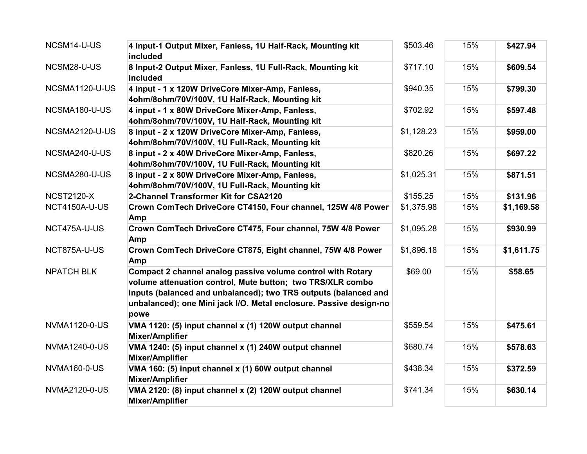| NCSM14-U-US           | 4 Input-1 Output Mixer, Fanless, 1U Half-Rack, Mounting kit<br>included                                                                                                                                                                                                    | \$503.46   | 15% | \$427.94   |
|-----------------------|----------------------------------------------------------------------------------------------------------------------------------------------------------------------------------------------------------------------------------------------------------------------------|------------|-----|------------|
| NCSM28-U-US           | 8 Input-2 Output Mixer, Fanless, 1U Full-Rack, Mounting kit<br>included                                                                                                                                                                                                    | \$717.10   | 15% | \$609.54   |
| NCSMA1120-U-US        | 4 input - 1 x 120W DriveCore Mixer-Amp, Fanless,<br>4ohm/8ohm/70V/100V, 1U Half-Rack, Mounting kit                                                                                                                                                                         | \$940.35   | 15% | \$799.30   |
| NCSMA180-U-US         | 4 input - 1 x 80W DriveCore Mixer-Amp, Fanless,<br>4ohm/8ohm/70V/100V, 1U Half-Rack, Mounting kit                                                                                                                                                                          | \$702.92   | 15% | \$597.48   |
| <b>NCSMA2120-U-US</b> | 8 input - 2 x 120W DriveCore Mixer-Amp, Fanless,<br>4ohm/8ohm/70V/100V, 1U Full-Rack, Mounting kit                                                                                                                                                                         | \$1,128.23 | 15% | \$959.00   |
| NCSMA240-U-US         | 8 input - 2 x 40W DriveCore Mixer-Amp, Fanless,<br>4ohm/8ohm/70V/100V, 1U Full-Rack, Mounting kit                                                                                                                                                                          | \$820.26   | 15% | \$697.22   |
| NCSMA280-U-US         | 8 input - 2 x 80W DriveCore Mixer-Amp, Fanless,<br>4ohm/8ohm/70V/100V, 1U Full-Rack, Mounting kit                                                                                                                                                                          | \$1,025.31 | 15% | \$871.51   |
| <b>NCST2120-X</b>     | 2-Channel Transformer Kit for CSA2120                                                                                                                                                                                                                                      | \$155.25   | 15% | \$131.96   |
| NCT4150A-U-US         | Crown ComTech DriveCore CT4150, Four channel, 125W 4/8 Power<br>Amp                                                                                                                                                                                                        | \$1,375.98 | 15% | \$1,169.58 |
| NCT475A-U-US          | Crown ComTech DriveCore CT475, Four channel, 75W 4/8 Power<br>Amp                                                                                                                                                                                                          | \$1,095.28 | 15% | \$930.99   |
| NCT875A-U-US          | Crown ComTech DriveCore CT875, Eight channel, 75W 4/8 Power<br>Amp                                                                                                                                                                                                         | \$1,896.18 | 15% | \$1,611.75 |
| <b>NPATCH BLK</b>     | Compact 2 channel analog passive volume control with Rotary<br>volume attenuation control, Mute button; two TRS/XLR combo<br>inputs (balanced and unbalanced); two TRS outputs (balanced and<br>unbalanced); one Mini jack I/O. Metal enclosure. Passive design-no<br>powe | \$69.00    | 15% | \$58.65    |
| <b>NVMA1120-0-US</b>  | VMA 1120: (5) input channel x (1) 120W output channel<br><b>Mixer/Amplifier</b>                                                                                                                                                                                            | \$559.54   | 15% | \$475.61   |
| <b>NVMA1240-0-US</b>  | VMA 1240: (5) input channel x (1) 240W output channel<br><b>Mixer/Amplifier</b>                                                                                                                                                                                            | \$680.74   | 15% | \$578.63   |
| <b>NVMA160-0-US</b>   | VMA 160: (5) input channel x (1) 60W output channel<br><b>Mixer/Amplifier</b>                                                                                                                                                                                              | \$438.34   | 15% | \$372.59   |
| <b>NVMA2120-0-US</b>  | VMA 2120: (8) input channel x (2) 120W output channel<br><b>Mixer/Amplifier</b>                                                                                                                                                                                            | \$741.34   | 15% | \$630.14   |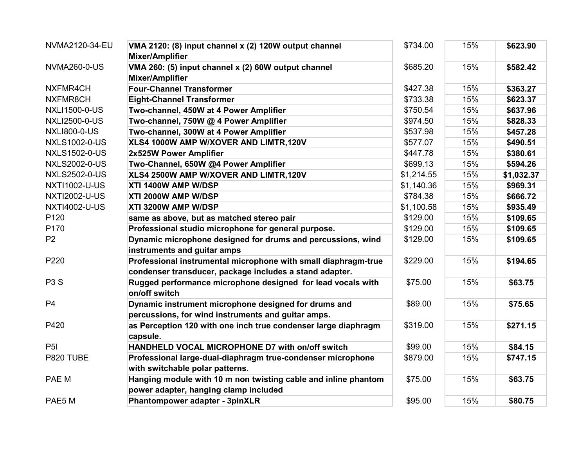| NVMA2120-34-EU       | VMA 2120: (8) input channel x (2) 120W output channel<br><b>Mixer/Amplifier</b>                            | \$734.00   | 15% | \$623.90   |
|----------------------|------------------------------------------------------------------------------------------------------------|------------|-----|------------|
| <b>NVMA260-0-US</b>  | VMA 260: (5) input channel x (2) 60W output channel<br><b>Mixer/Amplifier</b>                              | \$685.20   | 15% | \$582.42   |
| NXFMR4CH             | <b>Four-Channel Transformer</b>                                                                            | \$427.38   | 15% | \$363.27   |
| NXFMR8CH             | <b>Eight-Channel Transformer</b>                                                                           | \$733.38   | 15% | \$623.37   |
| <b>NXLI1500-0-US</b> | Two-channel, 450W at 4 Power Amplifier                                                                     | \$750.54   | 15% | \$637.96   |
| <b>NXLI2500-0-US</b> | Two-channel, 750W @ 4 Power Amplifier                                                                      | \$974.50   | 15% | \$828.33   |
| <b>NXLI800-0-US</b>  | Two-channel, 300W at 4 Power Amplifier                                                                     | \$537.98   | 15% | \$457.28   |
| <b>NXLS1002-0-US</b> | XLS4 1000W AMP W/XOVER AND LIMTR,120V                                                                      | \$577.07   | 15% | \$490.51   |
| <b>NXLS1502-0-US</b> | 2x525W Power Amplifier                                                                                     | \$447.78   | 15% | \$380.61   |
| <b>NXLS2002-0-US</b> | Two-Channel, 650W @4 Power Amplifier                                                                       | \$699.13   | 15% | \$594.26   |
| <b>NXLS2502-0-US</b> | XLS4 2500W AMP W/XOVER AND LIMTR,120V                                                                      | \$1,214.55 | 15% | \$1,032.37 |
| <b>NXTI1002-U-US</b> | XTI 1400W AMP W/DSP                                                                                        | \$1,140.36 | 15% | \$969.31   |
| <b>NXTI2002-U-US</b> | XTI 2000W AMP W/DSP                                                                                        | \$784.38   | 15% | \$666.72   |
| <b>NXTI4002-U-US</b> | XTI 3200W AMP W/DSP                                                                                        | \$1,100.58 | 15% | \$935.49   |
| P <sub>120</sub>     | same as above, but as matched stereo pair                                                                  | \$129.00   | 15% | \$109.65   |
| P170                 | Professional studio microphone for general purpose.                                                        | \$129.00   | 15% | \$109.65   |
| P <sub>2</sub>       | Dynamic microphone designed for drums and percussions, wind<br>instruments and guitar amps                 | \$129.00   | 15% | \$109.65   |
| P220                 | Professional instrumental microphone with small diaphragm-true                                             | \$229.00   | 15% | \$194.65   |
|                      | condenser transducer, package includes a stand adapter.                                                    |            |     |            |
| P <sub>3</sub> S     | Rugged performance microphone designed for lead vocals with<br>on/off switch                               | \$75.00    | 15% | \$63.75    |
| P <sub>4</sub>       | Dynamic instrument microphone designed for drums and<br>percussions, for wind instruments and guitar amps. | \$89.00    | 15% | \$75.65    |
| P420                 | as Perception 120 with one inch true condenser large diaphragm<br>capsule.                                 | \$319.00   | 15% | \$271.15   |
| P <sub>5</sub> I     | HANDHELD VOCAL MICROPHONE D7 with on/off switch                                                            | \$99.00    | 15% | \$84.15    |
| P820 TUBE            | Professional large-dual-diaphragm true-condenser microphone<br>with switchable polar patterns.             | \$879.00   | 15% | \$747.15   |
| PAE M                | Hanging module with 10 m non twisting cable and inline phantom<br>power adapter, hanging clamp included    | \$75.00    | 15% | \$63.75    |
| PAE5 M               | <b>Phantompower adapter - 3pinXLR</b>                                                                      | \$95.00    | 15% | \$80.75    |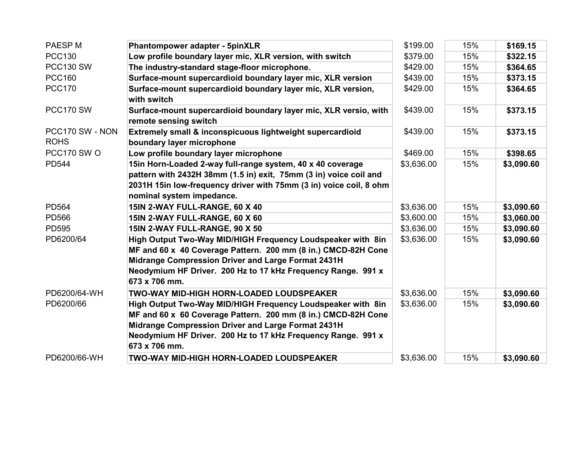| PAESP M                        | <b>Phantompower adapter - 5pinXLR</b>                                                                                                                                                                                                                               | \$199.00   | 15% | \$169.15   |
|--------------------------------|---------------------------------------------------------------------------------------------------------------------------------------------------------------------------------------------------------------------------------------------------------------------|------------|-----|------------|
| <b>PCC130</b>                  | Low profile boundary layer mic, XLR version, with switch                                                                                                                                                                                                            | \$379.00   | 15% | \$322.15   |
| <b>PCC130 SW</b>               | The industry-standard stage-floor microphone.                                                                                                                                                                                                                       | \$429.00   | 15% | \$364.65   |
| <b>PCC160</b>                  | Surface-mount supercardioid boundary layer mic, XLR version                                                                                                                                                                                                         | \$439.00   | 15% | \$373.15   |
| <b>PCC170</b>                  | Surface-mount supercardioid boundary layer mic, XLR version,<br>with switch                                                                                                                                                                                         | \$429.00   | 15% | \$364.65   |
| PCC170 SW                      | Surface-mount supercardioid boundary layer mic, XLR versio, with<br>remote sensing switch                                                                                                                                                                           | \$439.00   | 15% | \$373.15   |
| PCC170 SW - NON<br><b>ROHS</b> | Extremely small & inconspicuous lightweight supercardioid<br>boundary layer microphone                                                                                                                                                                              | \$439.00   | 15% | \$373.15   |
| PCC170 SW O                    | Low profile boundary layer microphone                                                                                                                                                                                                                               | \$469.00   | 15% | \$398.65   |
| <b>PD544</b>                   | 15in Horn-Loaded 2-way full-range system, 40 x 40 coverage<br>pattern with 2432H 38mm (1.5 in) exit, 75mm (3 in) voice coil and<br>2031H 15in low-frequency driver with 75mm (3 in) voice coil, 8 ohm<br>nominal system impedance.                                  | \$3,636.00 | 15% | \$3,090.60 |
| <b>PD564</b>                   | 15IN 2-WAY FULL-RANGE, 60 X 40                                                                                                                                                                                                                                      | \$3,636.00 | 15% | \$3,090.60 |
| <b>PD566</b>                   | 15IN 2-WAY FULL-RANGE, 60 X 60                                                                                                                                                                                                                                      | \$3,600.00 | 15% | \$3,060.00 |
| <b>PD595</b>                   | 15IN 2-WAY FULL-RANGE, 90 X 50                                                                                                                                                                                                                                      | \$3,636.00 | 15% | \$3,090.60 |
| PD6200/64                      | High Output Two-Way MID/HIGH Frequency Loudspeaker with 8in<br>MF and 60 x 40 Coverage Pattern. 200 mm (8 in.) CMCD-82H Cone<br>Midrange Compression Driver and Large Format 2431H<br>Neodymium HF Driver. 200 Hz to 17 kHz Frequency Range. 991 x<br>673 x 706 mm. | \$3,636.00 | 15% | \$3,090.60 |
| PD6200/64-WH                   | <b>TWO-WAY MID-HIGH HORN-LOADED LOUDSPEAKER</b>                                                                                                                                                                                                                     | \$3,636.00 | 15% | \$3,090.60 |
| PD6200/66                      | High Output Two-Way MID/HIGH Frequency Loudspeaker with 8in<br>MF and 60 x 60 Coverage Pattern. 200 mm (8 in.) CMCD-82H Cone<br>Midrange Compression Driver and Large Format 2431H<br>Neodymium HF Driver. 200 Hz to 17 kHz Frequency Range. 991 x<br>673 x 706 mm. | \$3,636.00 | 15% | \$3,090.60 |
| PD6200/66-WH                   | TWO-WAY MID-HIGH HORN-LOADED LOUDSPEAKER                                                                                                                                                                                                                            | \$3,636.00 | 15% | \$3,090.60 |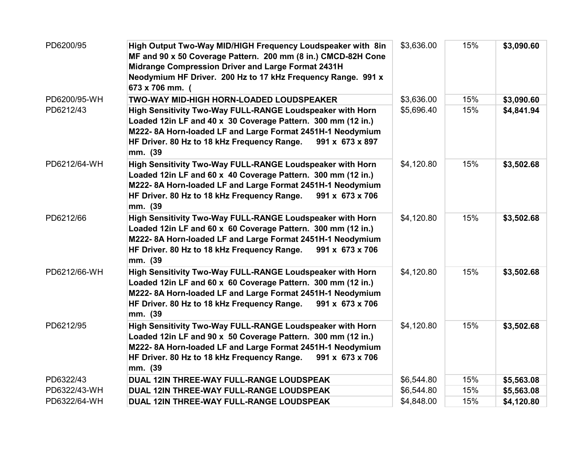| PD6200/95    | High Output Two-Way MID/HIGH Frequency Loudspeaker with 8in<br>MF and 90 x 50 Coverage Pattern. 200 mm (8 in.) CMCD-82H Cone<br>Midrange Compression Driver and Large Format 2431H<br>Neodymium HF Driver. 200 Hz to 17 kHz Frequency Range. 991 x<br>673 x 706 mm. ( | \$3,636.00 | 15% | \$3,090.60 |
|--------------|-----------------------------------------------------------------------------------------------------------------------------------------------------------------------------------------------------------------------------------------------------------------------|------------|-----|------------|
| PD6200/95-WH | TWO-WAY MID-HIGH HORN-LOADED LOUDSPEAKER                                                                                                                                                                                                                              | \$3,636.00 | 15% | \$3,090.60 |
| PD6212/43    | High Sensitivity Two-Way FULL-RANGE Loudspeaker with Horn<br>Loaded 12in LF and 40 x 30 Coverage Pattern. 300 mm (12 in.)<br>M222-8A Horn-loaded LF and Large Format 2451H-1 Neodymium<br>HF Driver. 80 Hz to 18 kHz Frequency Range.<br>991 x 673 x 897<br>mm. (39   | \$5,696.40 | 15% | \$4,841.94 |
| PD6212/64-WH | High Sensitivity Two-Way FULL-RANGE Loudspeaker with Horn<br>Loaded 12in LF and 60 x 40 Coverage Pattern. 300 mm (12 in.)<br>M222-8A Horn-loaded LF and Large Format 2451H-1 Neodymium<br>HF Driver. 80 Hz to 18 kHz Frequency Range.<br>991 x 673 x 706<br>mm. (39   | \$4,120.80 | 15% | \$3,502.68 |
| PD6212/66    | High Sensitivity Two-Way FULL-RANGE Loudspeaker with Horn<br>Loaded 12in LF and 60 x 60 Coverage Pattern. 300 mm (12 in.)<br>M222-8A Horn-loaded LF and Large Format 2451H-1 Neodymium<br>HF Driver. 80 Hz to 18 kHz Frequency Range.<br>991 x 673 x 706<br>mm. (39   | \$4,120.80 | 15% | \$3,502.68 |
| PD6212/66-WH | High Sensitivity Two-Way FULL-RANGE Loudspeaker with Horn<br>Loaded 12in LF and 60 x 60 Coverage Pattern. 300 mm (12 in.)<br>M222-8A Horn-loaded LF and Large Format 2451H-1 Neodymium<br>HF Driver. 80 Hz to 18 kHz Frequency Range.<br>991 x 673 x 706<br>mm. (39   | \$4,120.80 | 15% | \$3,502.68 |
| PD6212/95    | High Sensitivity Two-Way FULL-RANGE Loudspeaker with Horn<br>Loaded 12in LF and 90 x 50 Coverage Pattern. 300 mm (12 in.)<br>M222-8A Horn-loaded LF and Large Format 2451H-1 Neodymium<br>HF Driver. 80 Hz to 18 kHz Frequency Range.<br>991 x 673 x 706<br>mm. (39   | \$4,120.80 | 15% | \$3,502.68 |
| PD6322/43    | DUAL 12IN THREE-WAY FULL-RANGE LOUDSPEAK                                                                                                                                                                                                                              | \$6,544.80 | 15% | \$5,563.08 |
| PD6322/43-WH | DUAL 12IN THREE-WAY FULL-RANGE LOUDSPEAK                                                                                                                                                                                                                              | \$6,544.80 | 15% | \$5,563.08 |
| PD6322/64-WH | DUAL 12IN THREE-WAY FULL-RANGE LOUDSPEAK                                                                                                                                                                                                                              | \$4,848.00 | 15% | \$4,120.80 |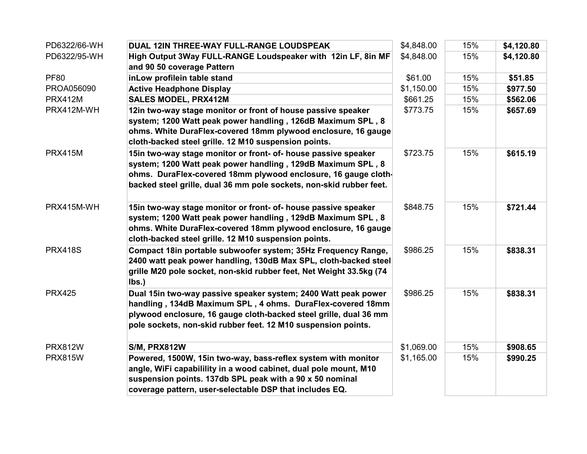| PD6322/66-WH   | DUAL 12IN THREE-WAY FULL-RANGE LOUDSPEAK                            | \$4,848.00 | 15% | \$4,120.80 |
|----------------|---------------------------------------------------------------------|------------|-----|------------|
| PD6322/95-WH   | High Output 3Way FULL-RANGE Loudspeaker with 12in LF, 8in MF        | \$4,848.00 | 15% | \$4,120.80 |
|                | and 90 50 coverage Pattern                                          |            |     |            |
| <b>PF80</b>    | inLow profilein table stand                                         | \$61.00    | 15% | \$51.85    |
| PROA056090     | <b>Active Headphone Display</b>                                     | \$1,150.00 | 15% | \$977.50   |
| <b>PRX412M</b> | <b>SALES MODEL, PRX412M</b>                                         | \$661.25   | 15% | \$562.06   |
| PRX412M-WH     | 12in two-way stage monitor or front of house passive speaker        | \$773.75   | 15% | \$657.69   |
|                | system; 1200 Watt peak power handling, 126dB Maximum SPL, 8         |            |     |            |
|                | ohms. White DuraFlex-covered 18mm plywood enclosure, 16 gauge       |            |     |            |
|                | cloth-backed steel grille. 12 M10 suspension points.                |            |     |            |
| <b>PRX415M</b> | 15in two-way stage monitor or front- of- house passive speaker      | \$723.75   | 15% | \$615.19   |
|                | system; 1200 Watt peak power handling, 129dB Maximum SPL, 8         |            |     |            |
|                | ohms. DuraFlex-covered 18mm plywood enclosure, 16 gauge cloth-      |            |     |            |
|                | backed steel grille, dual 36 mm pole sockets, non-skid rubber feet. |            |     |            |
| PRX415M-WH     | 15in two-way stage monitor or front- of- house passive speaker      | \$848.75   | 15% | \$721.44   |
|                | system; 1200 Watt peak power handling, 129dB Maximum SPL, 8         |            |     |            |
|                | ohms. White DuraFlex-covered 18mm plywood enclosure, 16 gauge       |            |     |            |
|                | cloth-backed steel grille. 12 M10 suspension points.                |            |     |            |
| <b>PRX418S</b> | Compact 18in portable subwoofer system; 35Hz Frequency Range,       | \$986.25   | 15% | \$838.31   |
|                | 2400 watt peak power handling, 130dB Max SPL, cloth-backed steel    |            |     |            |
|                | grille M20 pole socket, non-skid rubber feet, Net Weight 33.5kg (74 |            |     |            |
|                | lbs.)                                                               |            |     |            |
| <b>PRX425</b>  | Dual 15in two-way passive speaker system; 2400 Watt peak power      | \$986.25   | 15% | \$838.31   |
|                | handling, 134dB Maximum SPL, 4 ohms. DuraFlex-covered 18mm          |            |     |            |
|                | plywood enclosure, 16 gauge cloth-backed steel grille, dual 36 mm   |            |     |            |
|                | pole sockets, non-skid rubber feet. 12 M10 suspension points.       |            |     |            |
| <b>PRX812W</b> | <b>S/M, PRX812W</b>                                                 | \$1,069.00 | 15% | \$908.65   |
| <b>PRX815W</b> | Powered, 1500W, 15in two-way, bass-reflex system with monitor       | \$1,165.00 | 15% | \$990.25   |
|                | angle, WiFi capabilility in a wood cabinet, dual pole mount, M10    |            |     |            |
|                | suspension points. 137db SPL peak with a 90 x 50 nominal            |            |     |            |
|                | coverage pattern, user-selectable DSP that includes EQ.             |            |     |            |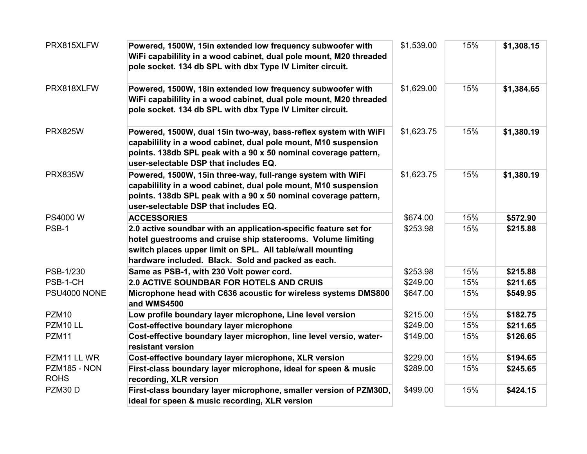| PRX815XLFW                  | Powered, 1500W, 15in extended low frequency subwoofer with<br>WiFi capabilility in a wood cabinet, dual pole mount, M20 threaded<br>pole socket. 134 db SPL with dbx Type IV Limiter circuit.                                                       | \$1,539.00 | 15% | \$1,308.15 |
|-----------------------------|-----------------------------------------------------------------------------------------------------------------------------------------------------------------------------------------------------------------------------------------------------|------------|-----|------------|
| PRX818XLFW                  | Powered, 1500W, 18in extended low frequency subwoofer with<br>WiFi capabilility in a wood cabinet, dual pole mount, M20 threaded<br>pole socket. 134 db SPL with dbx Type IV Limiter circuit.                                                       | \$1,629.00 | 15% | \$1,384.65 |
| <b>PRX825W</b>              | Powered, 1500W, dual 15in two-way, bass-reflex system with WiFi<br>capabilility in a wood cabinet, dual pole mount, M10 suspension<br>points. 138db SPL peak with a 90 x 50 nominal coverage pattern,<br>user-selectable DSP that includes EQ.      | \$1,623.75 | 15% | \$1,380.19 |
| <b>PRX835W</b>              | Powered, 1500W, 15in three-way, full-range system with WiFi<br>capabilility in a wood cabinet, dual pole mount, M10 suspension<br>points. 138db SPL peak with a 90 x 50 nominal coverage pattern,<br>user-selectable DSP that includes EQ.          | \$1,623.75 | 15% | \$1,380.19 |
| PS4000 W                    | <b>ACCESSORIES</b>                                                                                                                                                                                                                                  | \$674.00   | 15% | \$572.90   |
| PSB-1                       | 2.0 active soundbar with an application-specific feature set for<br>hotel guestrooms and cruise ship staterooms. Volume limiting<br>switch places upper limit on SPL. All table/wall mounting<br>hardware included. Black. Sold and packed as each. | \$253.98   | 15% | \$215.88   |
| PSB-1/230                   | Same as PSB-1, with 230 Volt power cord.                                                                                                                                                                                                            | \$253.98   | 15% | \$215.88   |
| PSB-1-CH                    | <b>2.0 ACTIVE SOUNDBAR FOR HOTELS AND CRUIS</b>                                                                                                                                                                                                     | \$249.00   | 15% | \$211.65   |
| PSU4000 NONE                | Microphone head with C636 acoustic for wireless systems DMS800<br>and WMS4500                                                                                                                                                                       | \$647.00   | 15% | \$549.95   |
| <b>PZM10</b>                | Low profile boundary layer microphone, Line level version                                                                                                                                                                                           | \$215.00   | 15% | \$182.75   |
| PZM10LL                     | Cost-effective boundary layer microphone                                                                                                                                                                                                            | \$249.00   | 15% | \$211.65   |
| <b>PZM11</b>                | Cost-effective boundary layer microphon, line level versio, water-<br>resistant version                                                                                                                                                             | \$149.00   | 15% | \$126.65   |
| PZM11 LL WR                 | Cost-effective boundary layer microphone, XLR version                                                                                                                                                                                               | \$229.00   | 15% | \$194.65   |
| PZM185 - NON<br><b>ROHS</b> | First-class boundary layer microphone, ideal for speen & music<br>recording, XLR version                                                                                                                                                            | \$289.00   | 15% | \$245.65   |
| PZM30D                      | First-class boundary layer microphone, smaller version of PZM30D,<br>ideal for speen & music recording, XLR version                                                                                                                                 | \$499.00   | 15% | \$424.15   |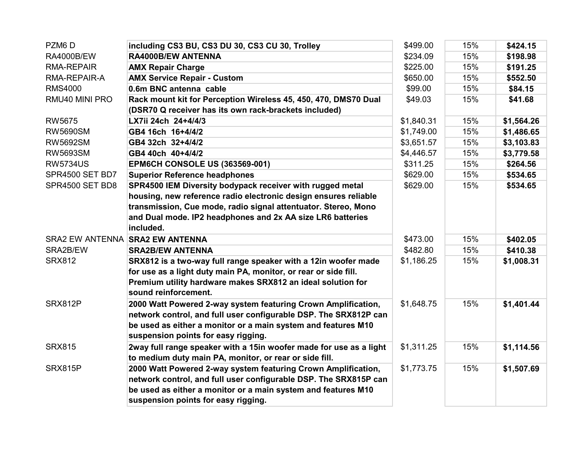| PZM6D                  | including CS3 BU, CS3 DU 30, CS3 CU 30, Trolley                    | \$499.00   | 15% | \$424.15   |
|------------------------|--------------------------------------------------------------------|------------|-----|------------|
| <b>RA4000B/EW</b>      | <b>RA4000B/EW ANTENNA</b>                                          | \$234.09   | 15% | \$198.98   |
| <b>RMA-REPAIR</b>      | <b>AMX Repair Charge</b>                                           | \$225.00   | 15% | \$191.25   |
| RMA-REPAIR-A           | <b>AMX Service Repair - Custom</b>                                 | \$650.00   | 15% | \$552.50   |
| <b>RMS4000</b>         | 0.6m BNC antenna cable                                             | \$99.00    | 15% | \$84.15    |
| RMU40 MINI PRO         | Rack mount kit for Perception Wireless 45, 450, 470, DMS70 Dual    | \$49.03    | 15% | \$41.68    |
|                        | (DSR70 Q receiver has its own rack-brackets included)              |            |     |            |
| <b>RW5675</b>          | LX7ii 24ch 24+4/4/3                                                | \$1,840.31 | 15% | \$1,564.26 |
| <b>RW5690SM</b>        | GB4 16ch 16+4/4/2                                                  | \$1,749.00 | 15% | \$1,486.65 |
| <b>RW5692SM</b>        | GB4 32ch 32+4/4/2                                                  | \$3,651.57 | 15% | \$3,103.83 |
| <b>RW5693SM</b>        | GB4 40ch 40+4/4/2                                                  | \$4,446.57 | 15% | \$3,779.58 |
| <b>RW5734US</b>        | <b>EPM6CH CONSOLE US (363569-001)</b>                              | \$311.25   | 15% | \$264.56   |
| SPR4500 SET BD7        | <b>Superior Reference headphones</b>                               | \$629.00   | 15% | \$534.65   |
| SPR4500 SET BD8        | SPR4500 IEM Diversity bodypack receiver with rugged metal          | \$629.00   | 15% | \$534.65   |
|                        | housing, new reference radio electronic design ensures reliable    |            |     |            |
|                        | transmission, Cue mode, radio signal attentuator. Stereo, Mono     |            |     |            |
|                        | and Dual mode. IP2 headphones and 2x AA size LR6 batteries         |            |     |            |
|                        | included.                                                          |            |     |            |
| <b>SRA2 EW ANTENNA</b> | <b>SRA2 EW ANTENNA</b>                                             | \$473.00   | 15% | \$402.05   |
| SRA2B/EW               | <b>SRA2B/EW ANTENNA</b>                                            | \$482.80   | 15% | \$410.38   |
| <b>SRX812</b>          | SRX812 is a two-way full range speaker with a 12in woofer made     | \$1,186.25 | 15% | \$1,008.31 |
|                        | for use as a light duty main PA, monitor, or rear or side fill.    |            |     |            |
|                        | Premium utility hardware makes SRX812 an ideal solution for        |            |     |            |
|                        | sound reinforcement.                                               |            |     |            |
| SRX812P                | 2000 Watt Powered 2-way system featuring Crown Amplification,      | \$1,648.75 | 15% | \$1,401.44 |
|                        | network control, and full user configurable DSP. The SRX812P can   |            |     |            |
|                        | be used as either a monitor or a main system and features M10      |            |     |            |
|                        | suspension points for easy rigging.                                |            |     |            |
| <b>SRX815</b>          | 2way full range speaker with a 15in woofer made for use as a light | \$1,311.25 | 15% | \$1,114.56 |
|                        | to medium duty main PA, monitor, or rear or side fill.             |            |     |            |
| SRX815P                | 2000 Watt Powered 2-way system featuring Crown Amplification,      | \$1,773.75 | 15% | \$1,507.69 |
|                        | network control, and full user configurable DSP. The SRX815P can   |            |     |            |
|                        | be used as either a monitor or a main system and features M10      |            |     |            |
|                        | suspension points for easy rigging.                                |            |     |            |